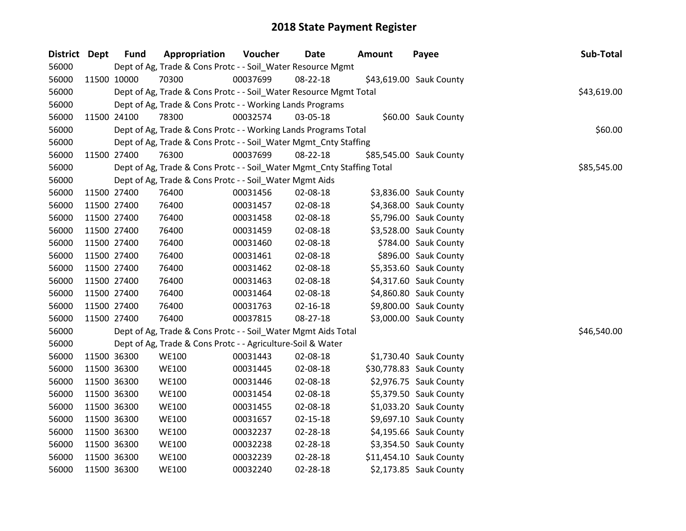| District Dept | <b>Fund</b> | Appropriation                                                          | Voucher  | <b>Date</b>    | <b>Amount</b> | Payee                   | Sub-Total   |
|---------------|-------------|------------------------------------------------------------------------|----------|----------------|---------------|-------------------------|-------------|
| 56000         |             | Dept of Ag, Trade & Cons Protc - - Soil_Water Resource Mgmt            |          |                |               |                         |             |
| 56000         | 11500 10000 | 70300                                                                  | 00037699 | 08-22-18       |               | \$43,619.00 Sauk County |             |
| 56000         |             | Dept of Ag, Trade & Cons Protc - - Soil_Water Resource Mgmt Total      |          |                |               |                         | \$43,619.00 |
| 56000         |             | Dept of Ag, Trade & Cons Protc - - Working Lands Programs              |          |                |               |                         |             |
| 56000         | 11500 24100 | 78300                                                                  | 00032574 | 03-05-18       |               | \$60.00 Sauk County     |             |
| 56000         |             | Dept of Ag, Trade & Cons Protc - - Working Lands Programs Total        |          |                |               |                         | \$60.00     |
| 56000         |             | Dept of Ag, Trade & Cons Protc - - Soil_Water Mgmt_Cnty Staffing       |          |                |               |                         |             |
| 56000         | 11500 27400 | 76300                                                                  | 00037699 | 08-22-18       |               | \$85,545.00 Sauk County |             |
| 56000         |             | Dept of Ag, Trade & Cons Protc - - Soil_Water Mgmt_Cnty Staffing Total |          |                |               |                         | \$85,545.00 |
| 56000         |             | Dept of Ag, Trade & Cons Protc - - Soil_Water Mgmt Aids                |          |                |               |                         |             |
| 56000         | 11500 27400 | 76400                                                                  | 00031456 | 02-08-18       |               | \$3,836.00 Sauk County  |             |
| 56000         | 11500 27400 | 76400                                                                  | 00031457 | 02-08-18       |               | \$4,368.00 Sauk County  |             |
| 56000         | 11500 27400 | 76400                                                                  | 00031458 | 02-08-18       |               | \$5,796.00 Sauk County  |             |
| 56000         | 11500 27400 | 76400                                                                  | 00031459 | 02-08-18       |               | \$3,528.00 Sauk County  |             |
| 56000         | 11500 27400 | 76400                                                                  | 00031460 | 02-08-18       |               | \$784.00 Sauk County    |             |
| 56000         | 11500 27400 | 76400                                                                  | 00031461 | 02-08-18       |               | \$896.00 Sauk County    |             |
| 56000         | 11500 27400 | 76400                                                                  | 00031462 | 02-08-18       |               | \$5,353.60 Sauk County  |             |
| 56000         | 11500 27400 | 76400                                                                  | 00031463 | 02-08-18       |               | \$4,317.60 Sauk County  |             |
| 56000         | 11500 27400 | 76400                                                                  | 00031464 | 02-08-18       |               | \$4,860.80 Sauk County  |             |
| 56000         | 11500 27400 | 76400                                                                  | 00031763 | $02 - 16 - 18$ |               | \$9,800.00 Sauk County  |             |
| 56000         | 11500 27400 | 76400                                                                  | 00037815 | 08-27-18       |               | \$3,000.00 Sauk County  |             |
| 56000         |             | Dept of Ag, Trade & Cons Protc - - Soil_Water Mgmt Aids Total          |          |                |               |                         | \$46,540.00 |
| 56000         |             | Dept of Ag, Trade & Cons Protc - - Agriculture-Soil & Water            |          |                |               |                         |             |
| 56000         | 11500 36300 | <b>WE100</b>                                                           | 00031443 | 02-08-18       |               | \$1,730.40 Sauk County  |             |
| 56000         | 11500 36300 | <b>WE100</b>                                                           | 00031445 | 02-08-18       |               | \$30,778.83 Sauk County |             |
| 56000         | 11500 36300 | <b>WE100</b>                                                           | 00031446 | 02-08-18       |               | \$2,976.75 Sauk County  |             |
| 56000         | 11500 36300 | <b>WE100</b>                                                           | 00031454 | 02-08-18       |               | \$5,379.50 Sauk County  |             |
| 56000         | 11500 36300 | <b>WE100</b>                                                           | 00031455 | 02-08-18       |               | \$1,033.20 Sauk County  |             |
| 56000         | 11500 36300 | <b>WE100</b>                                                           | 00031657 | $02 - 15 - 18$ |               | \$9,697.10 Sauk County  |             |
| 56000         | 11500 36300 | <b>WE100</b>                                                           | 00032237 | 02-28-18       |               | \$4,195.66 Sauk County  |             |
| 56000         | 11500 36300 | <b>WE100</b>                                                           | 00032238 | 02-28-18       |               | \$3,354.50 Sauk County  |             |
| 56000         | 11500 36300 | <b>WE100</b>                                                           | 00032239 | 02-28-18       |               | \$11,454.10 Sauk County |             |
| 56000         | 11500 36300 | <b>WE100</b>                                                           | 00032240 | 02-28-18       |               | \$2,173.85 Sauk County  |             |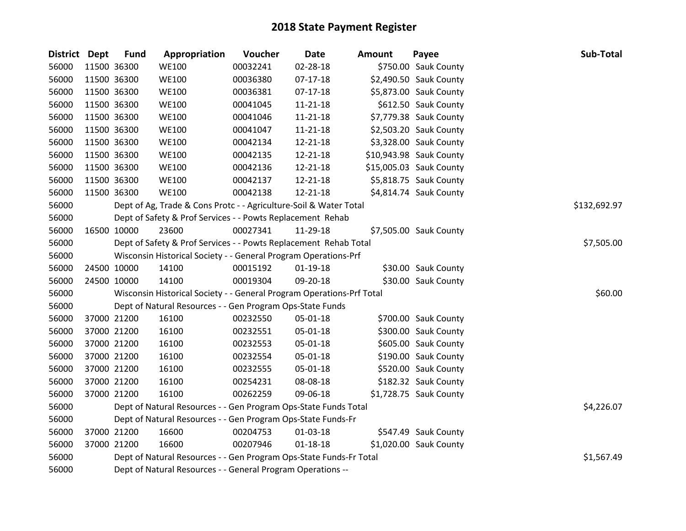| District Dept | <b>Fund</b> | Appropriation                                                         | Voucher  | <b>Date</b>    | <b>Amount</b> | Payee                   | Sub-Total    |
|---------------|-------------|-----------------------------------------------------------------------|----------|----------------|---------------|-------------------------|--------------|
| 56000         | 11500 36300 | <b>WE100</b>                                                          | 00032241 | 02-28-18       |               | \$750.00 Sauk County    |              |
| 56000         | 11500 36300 | <b>WE100</b>                                                          | 00036380 | $07-17-18$     |               | \$2,490.50 Sauk County  |              |
| 56000         | 11500 36300 | <b>WE100</b>                                                          | 00036381 | $07-17-18$     |               | \$5,873.00 Sauk County  |              |
| 56000         | 11500 36300 | <b>WE100</b>                                                          | 00041045 | 11-21-18       |               | \$612.50 Sauk County    |              |
| 56000         | 11500 36300 | <b>WE100</b>                                                          | 00041046 | 11-21-18       |               | \$7,779.38 Sauk County  |              |
| 56000         | 11500 36300 | <b>WE100</b>                                                          | 00041047 | $11 - 21 - 18$ |               | \$2,503.20 Sauk County  |              |
| 56000         | 11500 36300 | <b>WE100</b>                                                          | 00042134 | 12-21-18       |               | \$3,328.00 Sauk County  |              |
| 56000         | 11500 36300 | <b>WE100</b>                                                          | 00042135 | 12-21-18       |               | \$10,943.98 Sauk County |              |
| 56000         | 11500 36300 | <b>WE100</b>                                                          | 00042136 | 12-21-18       |               | \$15,005.03 Sauk County |              |
| 56000         | 11500 36300 | <b>WE100</b>                                                          | 00042137 | 12-21-18       |               | \$5,818.75 Sauk County  |              |
| 56000         | 11500 36300 | <b>WE100</b>                                                          | 00042138 | 12-21-18       |               | \$4,814.74 Sauk County  |              |
| 56000         |             | Dept of Ag, Trade & Cons Protc - - Agriculture-Soil & Water Total     |          |                |               |                         | \$132,692.97 |
| 56000         |             | Dept of Safety & Prof Services - - Powts Replacement Rehab            |          |                |               |                         |              |
| 56000         | 16500 10000 | 23600                                                                 | 00027341 | 11-29-18       |               | \$7,505.00 Sauk County  |              |
| 56000         |             | Dept of Safety & Prof Services - - Powts Replacement Rehab Total      |          |                |               |                         | \$7,505.00   |
| 56000         |             | Wisconsin Historical Society - - General Program Operations-Prf       |          |                |               |                         |              |
| 56000         | 24500 10000 | 14100                                                                 | 00015192 | $01-19-18$     |               | \$30.00 Sauk County     |              |
| 56000         | 24500 10000 | 14100                                                                 | 00019304 | 09-20-18       |               | \$30.00 Sauk County     |              |
| 56000         |             | Wisconsin Historical Society - - General Program Operations-Prf Total |          |                |               |                         | \$60.00      |
| 56000         |             | Dept of Natural Resources - - Gen Program Ops-State Funds             |          |                |               |                         |              |
| 56000         | 37000 21200 | 16100                                                                 | 00232550 | 05-01-18       |               | \$700.00 Sauk County    |              |
| 56000         | 37000 21200 | 16100                                                                 | 00232551 | 05-01-18       |               | \$300.00 Sauk County    |              |
| 56000         | 37000 21200 | 16100                                                                 | 00232553 | 05-01-18       |               | \$605.00 Sauk County    |              |
| 56000         | 37000 21200 | 16100                                                                 | 00232554 | 05-01-18       |               | \$190.00 Sauk County    |              |
| 56000         | 37000 21200 | 16100                                                                 | 00232555 | 05-01-18       |               | \$520.00 Sauk County    |              |
| 56000         | 37000 21200 | 16100                                                                 | 00254231 | 08-08-18       |               | \$182.32 Sauk County    |              |
| 56000         | 37000 21200 | 16100                                                                 | 00262259 | 09-06-18       |               | \$1,728.75 Sauk County  |              |
| 56000         |             | Dept of Natural Resources - - Gen Program Ops-State Funds Total       |          |                |               |                         | \$4,226.07   |
| 56000         |             | Dept of Natural Resources - - Gen Program Ops-State Funds-Fr          |          |                |               |                         |              |
| 56000         | 37000 21200 | 16600                                                                 | 00204753 | 01-03-18       |               | \$547.49 Sauk County    |              |
| 56000         | 37000 21200 | 16600                                                                 | 00207946 | $01 - 18 - 18$ |               | \$1,020.00 Sauk County  |              |
| 56000         |             | Dept of Natural Resources - - Gen Program Ops-State Funds-Fr Total    |          |                |               |                         | \$1,567.49   |
| 56000         |             | Dept of Natural Resources - - General Program Operations --           |          |                |               |                         |              |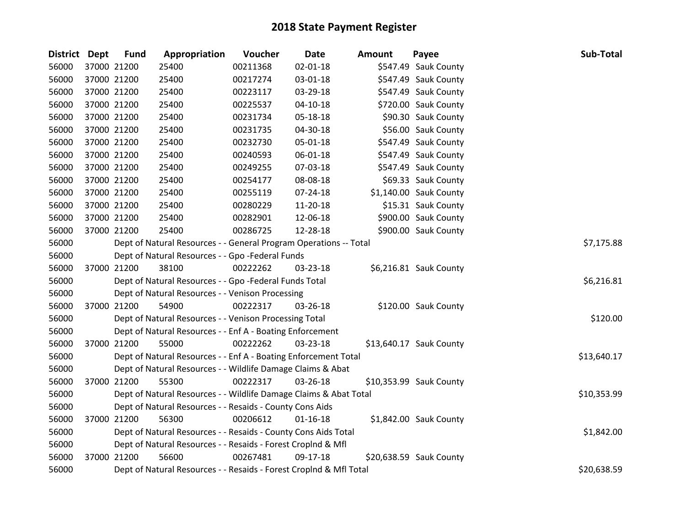| <b>District</b> | <b>Dept</b> | <b>Fund</b> | Appropriation                                                      | Voucher  | <b>Date</b>    | <b>Amount</b> | Sub-Total<br>Payee      |  |
|-----------------|-------------|-------------|--------------------------------------------------------------------|----------|----------------|---------------|-------------------------|--|
| 56000           |             | 37000 21200 | 25400                                                              | 00211368 | 02-01-18       |               | \$547.49 Sauk County    |  |
| 56000           |             | 37000 21200 | 25400                                                              | 00217274 | 03-01-18       |               | \$547.49 Sauk County    |  |
| 56000           | 37000 21200 |             | 25400                                                              | 00223117 | 03-29-18       |               | \$547.49 Sauk County    |  |
| 56000           |             | 37000 21200 | 25400                                                              | 00225537 | $04 - 10 - 18$ |               | \$720.00 Sauk County    |  |
| 56000           |             | 37000 21200 | 25400                                                              | 00231734 | 05-18-18       |               | \$90.30 Sauk County     |  |
| 56000           |             | 37000 21200 | 25400                                                              | 00231735 | 04-30-18       |               | \$56.00 Sauk County     |  |
| 56000           |             | 37000 21200 | 25400                                                              | 00232730 | 05-01-18       |               | \$547.49 Sauk County    |  |
| 56000           |             | 37000 21200 | 25400                                                              | 00240593 | 06-01-18       |               | \$547.49 Sauk County    |  |
| 56000           |             | 37000 21200 | 25400                                                              | 00249255 | 07-03-18       |               | \$547.49 Sauk County    |  |
| 56000           |             | 37000 21200 | 25400                                                              | 00254177 | 08-08-18       |               | \$69.33 Sauk County     |  |
| 56000           |             | 37000 21200 | 25400                                                              | 00255119 | 07-24-18       |               | \$1,140.00 Sauk County  |  |
| 56000           |             | 37000 21200 | 25400                                                              | 00280229 | 11-20-18       |               | \$15.31 Sauk County     |  |
| 56000           |             | 37000 21200 | 25400                                                              | 00282901 | 12-06-18       |               | \$900.00 Sauk County    |  |
| 56000           |             | 37000 21200 | 25400                                                              | 00286725 | 12-28-18       |               | \$900.00 Sauk County    |  |
| 56000           |             |             | Dept of Natural Resources - - General Program Operations -- Total  |          |                |               | \$7,175.88              |  |
| 56000           |             |             | Dept of Natural Resources - - Gpo -Federal Funds                   |          |                |               |                         |  |
| 56000           |             | 37000 21200 | 38100                                                              | 00222262 | 03-23-18       |               | \$6,216.81 Sauk County  |  |
| 56000           |             |             | Dept of Natural Resources - - Gpo -Federal Funds Total             |          |                |               | \$6,216.81              |  |
| 56000           |             |             | Dept of Natural Resources - - Venison Processing                   |          |                |               |                         |  |
| 56000           |             | 37000 21200 | 54900                                                              | 00222317 | 03-26-18       |               | \$120.00 Sauk County    |  |
| 56000           |             |             | Dept of Natural Resources - - Venison Processing Total             |          |                |               | \$120.00                |  |
| 56000           |             |             | Dept of Natural Resources - - Enf A - Boating Enforcement          |          |                |               |                         |  |
| 56000           |             | 37000 21200 | 55000                                                              | 00222262 | 03-23-18       |               | \$13,640.17 Sauk County |  |
| 56000           |             |             | Dept of Natural Resources - - Enf A - Boating Enforcement Total    |          |                |               | \$13,640.17             |  |
| 56000           |             |             | Dept of Natural Resources - - Wildlife Damage Claims & Abat        |          |                |               |                         |  |
| 56000           |             | 37000 21200 | 55300                                                              | 00222317 | 03-26-18       |               | \$10,353.99 Sauk County |  |
| 56000           |             |             | Dept of Natural Resources - - Wildlife Damage Claims & Abat Total  |          |                |               | \$10,353.99             |  |
| 56000           |             |             | Dept of Natural Resources - - Resaids - County Cons Aids           |          |                |               |                         |  |
| 56000           |             | 37000 21200 | 56300                                                              | 00206612 | $01 - 16 - 18$ |               | \$1,842.00 Sauk County  |  |
| 56000           |             |             | Dept of Natural Resources - - Resaids - County Cons Aids Total     |          |                |               | \$1,842.00              |  |
| 56000           |             |             | Dept of Natural Resources - - Resaids - Forest Croplnd & Mfl       |          |                |               |                         |  |
| 56000           |             | 37000 21200 | 56600                                                              | 00267481 | 09-17-18       |               | \$20,638.59 Sauk County |  |
| 56000           |             |             | Dept of Natural Resources - - Resaids - Forest CropInd & Mfl Total |          |                |               | \$20,638.59             |  |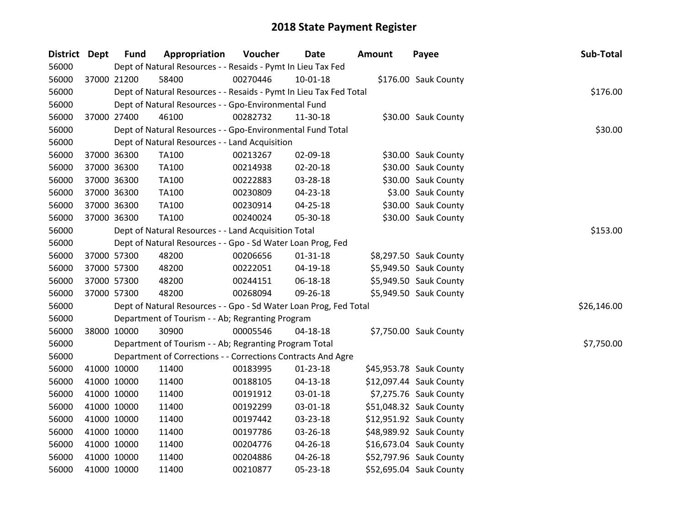| District Dept | <b>Fund</b> | Appropriation                                                      | Voucher  | <b>Date</b>    | <b>Amount</b> | Payee                   | Sub-Total   |
|---------------|-------------|--------------------------------------------------------------------|----------|----------------|---------------|-------------------------|-------------|
| 56000         |             | Dept of Natural Resources - - Resaids - Pymt In Lieu Tax Fed       |          |                |               |                         |             |
| 56000         | 37000 21200 | 58400                                                              | 00270446 | 10-01-18       |               | \$176.00 Sauk County    |             |
| 56000         |             | Dept of Natural Resources - - Resaids - Pymt In Lieu Tax Fed Total |          |                |               |                         | \$176.00    |
| 56000         |             | Dept of Natural Resources - - Gpo-Environmental Fund               |          |                |               |                         |             |
| 56000         | 37000 27400 | 46100                                                              | 00282732 | 11-30-18       |               | \$30.00 Sauk County     |             |
| 56000         |             | Dept of Natural Resources - - Gpo-Environmental Fund Total         |          |                |               |                         | \$30.00     |
| 56000         |             | Dept of Natural Resources - - Land Acquisition                     |          |                |               |                         |             |
| 56000         | 37000 36300 | <b>TA100</b>                                                       | 00213267 | 02-09-18       |               | \$30.00 Sauk County     |             |
| 56000         | 37000 36300 | <b>TA100</b>                                                       | 00214938 | $02 - 20 - 18$ |               | \$30.00 Sauk County     |             |
| 56000         | 37000 36300 | TA100                                                              | 00222883 | 03-28-18       |               | \$30.00 Sauk County     |             |
| 56000         | 37000 36300 | TA100                                                              | 00230809 | 04-23-18       |               | \$3.00 Sauk County      |             |
| 56000         | 37000 36300 | <b>TA100</b>                                                       | 00230914 | 04-25-18       |               | \$30.00 Sauk County     |             |
| 56000         | 37000 36300 | <b>TA100</b>                                                       | 00240024 | 05-30-18       |               | \$30.00 Sauk County     |             |
| 56000         |             | Dept of Natural Resources - - Land Acquisition Total               |          |                |               |                         | \$153.00    |
| 56000         |             | Dept of Natural Resources - - Gpo - Sd Water Loan Prog, Fed        |          |                |               |                         |             |
| 56000         | 37000 57300 | 48200                                                              | 00206656 | $01 - 31 - 18$ |               | \$8,297.50 Sauk County  |             |
| 56000         | 37000 57300 | 48200                                                              | 00222051 | 04-19-18       |               | \$5,949.50 Sauk County  |             |
| 56000         | 37000 57300 | 48200                                                              | 00244151 | 06-18-18       |               | \$5,949.50 Sauk County  |             |
| 56000         | 37000 57300 | 48200                                                              | 00268094 | 09-26-18       |               | \$5,949.50 Sauk County  |             |
| 56000         |             | Dept of Natural Resources - - Gpo - Sd Water Loan Prog, Fed Total  |          |                |               |                         | \$26,146.00 |
| 56000         |             | Department of Tourism - - Ab; Regranting Program                   |          |                |               |                         |             |
| 56000         | 38000 10000 | 30900                                                              | 00005546 | $04 - 18 - 18$ |               | \$7,750.00 Sauk County  |             |
| 56000         |             | Department of Tourism - - Ab; Regranting Program Total             |          |                |               |                         | \$7,750.00  |
| 56000         |             | Department of Corrections - - Corrections Contracts And Agre       |          |                |               |                         |             |
| 56000         | 41000 10000 | 11400                                                              | 00183995 | $01-23-18$     |               | \$45,953.78 Sauk County |             |
| 56000         | 41000 10000 | 11400                                                              | 00188105 | $04 - 13 - 18$ |               | \$12,097.44 Sauk County |             |
| 56000         | 41000 10000 | 11400                                                              | 00191912 | 03-01-18       |               | \$7,275.76 Sauk County  |             |
| 56000         | 41000 10000 | 11400                                                              | 00192299 | 03-01-18       |               | \$51,048.32 Sauk County |             |
| 56000         | 41000 10000 | 11400                                                              | 00197442 | 03-23-18       |               | \$12,951.92 Sauk County |             |
| 56000         | 41000 10000 | 11400                                                              | 00197786 | 03-26-18       |               | \$48,989.92 Sauk County |             |
| 56000         | 41000 10000 | 11400                                                              | 00204776 | 04-26-18       |               | \$16,673.04 Sauk County |             |
| 56000         | 41000 10000 | 11400                                                              | 00204886 | 04-26-18       |               | \$52,797.96 Sauk County |             |
| 56000         | 41000 10000 | 11400                                                              | 00210877 | 05-23-18       |               | \$52,695.04 Sauk County |             |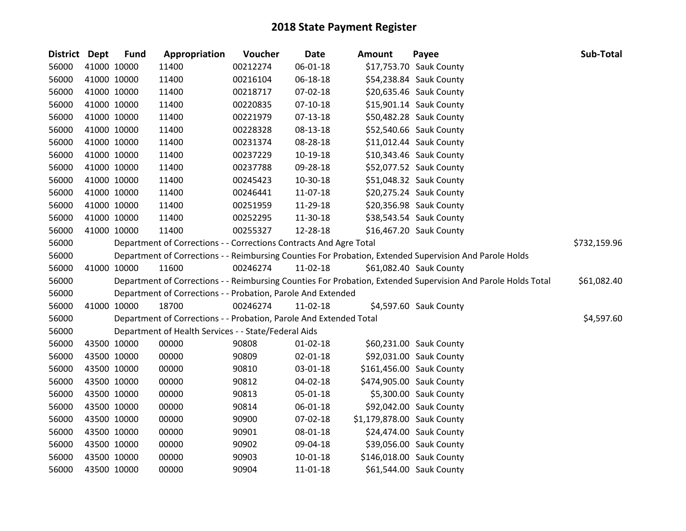| District Dept |             | <b>Fund</b> | Appropriation                                                      | Voucher  | <b>Date</b>    | <b>Amount</b>              | Payee                                                                                                         | Sub-Total    |
|---------------|-------------|-------------|--------------------------------------------------------------------|----------|----------------|----------------------------|---------------------------------------------------------------------------------------------------------------|--------------|
| 56000         |             | 41000 10000 | 11400                                                              | 00212274 | 06-01-18       |                            | \$17,753.70 Sauk County                                                                                       |              |
| 56000         |             | 41000 10000 | 11400                                                              | 00216104 | 06-18-18       |                            | \$54,238.84 Sauk County                                                                                       |              |
| 56000         | 41000 10000 |             | 11400                                                              | 00218717 | 07-02-18       |                            | \$20,635.46 Sauk County                                                                                       |              |
| 56000         | 41000 10000 |             | 11400                                                              | 00220835 | 07-10-18       |                            | \$15,901.14 Sauk County                                                                                       |              |
| 56000         | 41000 10000 |             | 11400                                                              | 00221979 | 07-13-18       |                            | \$50,482.28 Sauk County                                                                                       |              |
| 56000         | 41000 10000 |             | 11400                                                              | 00228328 | 08-13-18       |                            | \$52,540.66 Sauk County                                                                                       |              |
| 56000         |             | 41000 10000 | 11400                                                              | 00231374 | 08-28-18       |                            | \$11,012.44 Sauk County                                                                                       |              |
| 56000         | 41000 10000 |             | 11400                                                              | 00237229 | 10-19-18       |                            | \$10,343.46 Sauk County                                                                                       |              |
| 56000         | 41000 10000 |             | 11400                                                              | 00237788 | 09-28-18       |                            | \$52,077.52 Sauk County                                                                                       |              |
| 56000         | 41000 10000 |             | 11400                                                              | 00245423 | 10-30-18       |                            | \$51,048.32 Sauk County                                                                                       |              |
| 56000         | 41000 10000 |             | 11400                                                              | 00246441 | 11-07-18       |                            | \$20,275.24 Sauk County                                                                                       |              |
| 56000         |             | 41000 10000 | 11400                                                              | 00251959 | 11-29-18       |                            | \$20,356.98 Sauk County                                                                                       |              |
| 56000         | 41000 10000 |             | 11400                                                              | 00252295 | 11-30-18       |                            | \$38,543.54 Sauk County                                                                                       |              |
| 56000         | 41000 10000 |             | 11400                                                              | 00255327 | 12-28-18       |                            | \$16,467.20 Sauk County                                                                                       |              |
| 56000         |             |             | Department of Corrections - - Corrections Contracts And Agre Total |          |                |                            |                                                                                                               | \$732,159.96 |
| 56000         |             |             |                                                                    |          |                |                            | Department of Corrections - - Reimbursing Counties For Probation, Extended Supervision And Parole Holds       |              |
| 56000         |             | 41000 10000 | 11600                                                              | 00246274 | 11-02-18       |                            | \$61,082.40 Sauk County                                                                                       |              |
| 56000         |             |             |                                                                    |          |                |                            | Department of Corrections - - Reimbursing Counties For Probation, Extended Supervision And Parole Holds Total | \$61,082.40  |
| 56000         |             |             | Department of Corrections - - Probation, Parole And Extended       |          |                |                            |                                                                                                               |              |
| 56000         | 41000 10000 |             | 18700                                                              | 00246274 | 11-02-18       |                            | \$4,597.60 Sauk County                                                                                        |              |
| 56000         |             |             | Department of Corrections - - Probation, Parole And Extended Total |          |                |                            |                                                                                                               | \$4,597.60   |
| 56000         |             |             | Department of Health Services - - State/Federal Aids               |          |                |                            |                                                                                                               |              |
| 56000         |             | 43500 10000 | 00000                                                              | 90808    | $01 - 02 - 18$ |                            | \$60,231.00 Sauk County                                                                                       |              |
| 56000         | 43500 10000 |             | 00000                                                              | 90809    | 02-01-18       |                            | \$92,031.00 Sauk County                                                                                       |              |
| 56000         |             | 43500 10000 | 00000                                                              | 90810    | 03-01-18       |                            | \$161,456.00 Sauk County                                                                                      |              |
| 56000         |             | 43500 10000 | 00000                                                              | 90812    | 04-02-18       |                            | \$474,905.00 Sauk County                                                                                      |              |
| 56000         |             | 43500 10000 | 00000                                                              | 90813    | 05-01-18       |                            | \$5,300.00 Sauk County                                                                                        |              |
| 56000         | 43500 10000 |             | 00000                                                              | 90814    | 06-01-18       |                            | \$92,042.00 Sauk County                                                                                       |              |
| 56000         | 43500 10000 |             | 00000                                                              | 90900    | 07-02-18       | \$1,179,878.00 Sauk County |                                                                                                               |              |
| 56000         | 43500 10000 |             | 00000                                                              | 90901    | 08-01-18       |                            | \$24,474.00 Sauk County                                                                                       |              |
| 56000         | 43500 10000 |             | 00000                                                              | 90902    | 09-04-18       |                            | \$39,056.00 Sauk County                                                                                       |              |
| 56000         |             | 43500 10000 | 00000                                                              | 90903    | $10 - 01 - 18$ |                            | \$146,018.00 Sauk County                                                                                      |              |
| 56000         | 43500 10000 |             | 00000                                                              | 90904    | 11-01-18       |                            | \$61,544.00 Sauk County                                                                                       |              |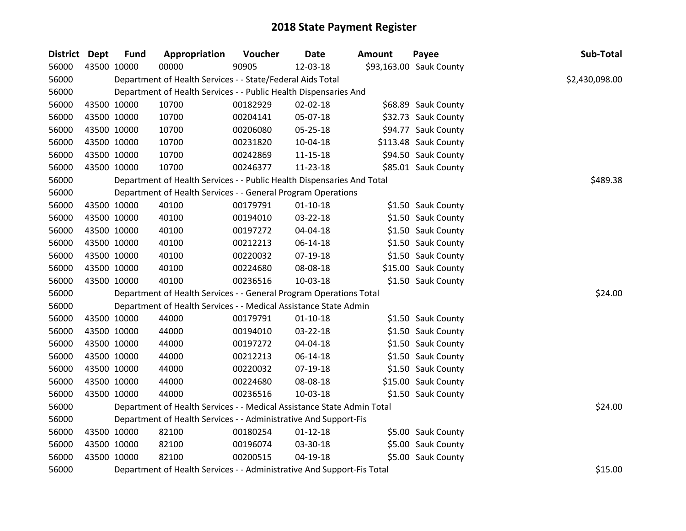| District Dept | <b>Fund</b> | Appropriation                                                          | Voucher  | <b>Date</b>    | <b>Amount</b> | Payee                   | Sub-Total      |
|---------------|-------------|------------------------------------------------------------------------|----------|----------------|---------------|-------------------------|----------------|
| 56000         | 43500 10000 | 00000                                                                  | 90905    | 12-03-18       |               | \$93,163.00 Sauk County |                |
| 56000         |             | Department of Health Services - - State/Federal Aids Total             |          |                |               |                         | \$2,430,098.00 |
| 56000         |             | Department of Health Services - - Public Health Dispensaries And       |          |                |               |                         |                |
| 56000         | 43500 10000 | 10700                                                                  | 00182929 | 02-02-18       |               | \$68.89 Sauk County     |                |
| 56000         | 43500 10000 | 10700                                                                  | 00204141 | 05-07-18       |               | \$32.73 Sauk County     |                |
| 56000         | 43500 10000 | 10700                                                                  | 00206080 | 05-25-18       |               | \$94.77 Sauk County     |                |
| 56000         | 43500 10000 | 10700                                                                  | 00231820 | 10-04-18       |               | \$113.48 Sauk County    |                |
| 56000         | 43500 10000 | 10700                                                                  | 00242869 | 11-15-18       |               | \$94.50 Sauk County     |                |
| 56000         | 43500 10000 | 10700                                                                  | 00246377 | 11-23-18       |               | \$85.01 Sauk County     |                |
| 56000         |             | Department of Health Services - - Public Health Dispensaries And Total |          |                |               |                         | \$489.38       |
| 56000         |             | Department of Health Services - - General Program Operations           |          |                |               |                         |                |
| 56000         | 43500 10000 | 40100                                                                  | 00179791 | $01 - 10 - 18$ |               | \$1.50 Sauk County      |                |
| 56000         | 43500 10000 | 40100                                                                  | 00194010 | 03-22-18       |               | \$1.50 Sauk County      |                |
| 56000         | 43500 10000 | 40100                                                                  | 00197272 | 04-04-18       |               | \$1.50 Sauk County      |                |
| 56000         | 43500 10000 | 40100                                                                  | 00212213 | 06-14-18       |               | \$1.50 Sauk County      |                |
| 56000         | 43500 10000 | 40100                                                                  | 00220032 | 07-19-18       |               | \$1.50 Sauk County      |                |
| 56000         | 43500 10000 | 40100                                                                  | 00224680 | 08-08-18       |               | \$15.00 Sauk County     |                |
| 56000         | 43500 10000 | 40100                                                                  | 00236516 | 10-03-18       |               | \$1.50 Sauk County      |                |
| 56000         |             | Department of Health Services - - General Program Operations Total     |          |                |               |                         | \$24.00        |
| 56000         |             | Department of Health Services - - Medical Assistance State Admin       |          |                |               |                         |                |
| 56000         | 43500 10000 | 44000                                                                  | 00179791 | $01-10-18$     |               | \$1.50 Sauk County      |                |
| 56000         | 43500 10000 | 44000                                                                  | 00194010 | 03-22-18       |               | \$1.50 Sauk County      |                |
| 56000         | 43500 10000 | 44000                                                                  | 00197272 | 04-04-18       |               | \$1.50 Sauk County      |                |
| 56000         | 43500 10000 | 44000                                                                  | 00212213 | 06-14-18       |               | \$1.50 Sauk County      |                |
| 56000         | 43500 10000 | 44000                                                                  | 00220032 | $07-19-18$     |               | \$1.50 Sauk County      |                |
| 56000         | 43500 10000 | 44000                                                                  | 00224680 | 08-08-18       |               | \$15.00 Sauk County     |                |
| 56000         | 43500 10000 | 44000                                                                  | 00236516 | 10-03-18       |               | \$1.50 Sauk County      |                |
| 56000         |             | Department of Health Services - - Medical Assistance State Admin Total |          |                |               |                         | \$24.00        |
| 56000         |             | Department of Health Services - - Administrative And Support-Fis       |          |                |               |                         |                |
| 56000         | 43500 10000 | 82100                                                                  | 00180254 | $01 - 12 - 18$ |               | \$5.00 Sauk County      |                |
| 56000         | 43500 10000 | 82100                                                                  | 00196074 | 03-30-18       |               | \$5.00 Sauk County      |                |
| 56000         | 43500 10000 | 82100                                                                  | 00200515 | $04 - 19 - 18$ |               | \$5.00 Sauk County      |                |
| 56000         |             | Department of Health Services - - Administrative And Support-Fis Total |          |                |               |                         | \$15.00        |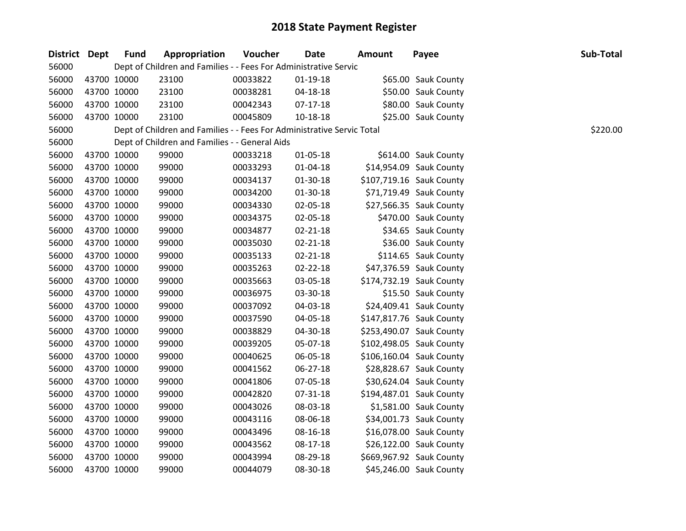| District Dept | <b>Fund</b> | Appropriation                                                          | Voucher  | <b>Date</b>    | <b>Amount</b> | Payee                    | Sub-Total |
|---------------|-------------|------------------------------------------------------------------------|----------|----------------|---------------|--------------------------|-----------|
| 56000         |             | Dept of Children and Families - - Fees For Administrative Servic       |          |                |               |                          |           |
| 56000         | 43700 10000 | 23100                                                                  | 00033822 | $01-19-18$     |               | \$65.00 Sauk County      |           |
| 56000         | 43700 10000 | 23100                                                                  | 00038281 | 04-18-18       |               | \$50.00 Sauk County      |           |
| 56000         | 43700 10000 | 23100                                                                  | 00042343 | $07-17-18$     |               | \$80.00 Sauk County      |           |
| 56000         | 43700 10000 | 23100                                                                  | 00045809 | 10-18-18       |               | \$25.00 Sauk County      |           |
| 56000         |             | Dept of Children and Families - - Fees For Administrative Servic Total |          |                |               |                          | \$220.00  |
| 56000         |             | Dept of Children and Families - - General Aids                         |          |                |               |                          |           |
| 56000         | 43700 10000 | 99000                                                                  | 00033218 | $01 - 05 - 18$ |               | \$614.00 Sauk County     |           |
| 56000         | 43700 10000 | 99000                                                                  | 00033293 | $01 - 04 - 18$ |               | \$14,954.09 Sauk County  |           |
| 56000         | 43700 10000 | 99000                                                                  | 00034137 | 01-30-18       |               | \$107,719.16 Sauk County |           |
| 56000         | 43700 10000 | 99000                                                                  | 00034200 | 01-30-18       |               | \$71,719.49 Sauk County  |           |
| 56000         | 43700 10000 | 99000                                                                  | 00034330 | 02-05-18       |               | \$27,566.35 Sauk County  |           |
| 56000         | 43700 10000 | 99000                                                                  | 00034375 | 02-05-18       |               | \$470.00 Sauk County     |           |
| 56000         | 43700 10000 | 99000                                                                  | 00034877 | $02 - 21 - 18$ |               | \$34.65 Sauk County      |           |
| 56000         | 43700 10000 | 99000                                                                  | 00035030 | 02-21-18       |               | \$36.00 Sauk County      |           |
| 56000         | 43700 10000 | 99000                                                                  | 00035133 | $02 - 21 - 18$ |               | \$114.65 Sauk County     |           |
| 56000         | 43700 10000 | 99000                                                                  | 00035263 | 02-22-18       |               | \$47,376.59 Sauk County  |           |
| 56000         | 43700 10000 | 99000                                                                  | 00035663 | 03-05-18       |               | \$174,732.19 Sauk County |           |
| 56000         | 43700 10000 | 99000                                                                  | 00036975 | 03-30-18       |               | \$15.50 Sauk County      |           |
| 56000         | 43700 10000 | 99000                                                                  | 00037092 | 04-03-18       |               | \$24,409.41 Sauk County  |           |
| 56000         | 43700 10000 | 99000                                                                  | 00037590 | 04-05-18       |               | \$147,817.76 Sauk County |           |
| 56000         | 43700 10000 | 99000                                                                  | 00038829 | 04-30-18       |               | \$253,490.07 Sauk County |           |
| 56000         | 43700 10000 | 99000                                                                  | 00039205 | 05-07-18       |               | \$102,498.05 Sauk County |           |
| 56000         | 43700 10000 | 99000                                                                  | 00040625 | 06-05-18       |               | \$106,160.04 Sauk County |           |
| 56000         | 43700 10000 | 99000                                                                  | 00041562 | $06 - 27 - 18$ |               | \$28,828.67 Sauk County  |           |
| 56000         | 43700 10000 | 99000                                                                  | 00041806 | 07-05-18       |               | \$30,624.04 Sauk County  |           |
| 56000         | 43700 10000 | 99000                                                                  | 00042820 | 07-31-18       |               | \$194,487.01 Sauk County |           |
| 56000         | 43700 10000 | 99000                                                                  | 00043026 | 08-03-18       |               | \$1,581.00 Sauk County   |           |
| 56000         | 43700 10000 | 99000                                                                  | 00043116 | 08-06-18       |               | \$34,001.73 Sauk County  |           |
| 56000         | 43700 10000 | 99000                                                                  | 00043496 | 08-16-18       |               | \$16,078.00 Sauk County  |           |
| 56000         | 43700 10000 | 99000                                                                  | 00043562 | 08-17-18       |               | \$26,122.00 Sauk County  |           |
| 56000         | 43700 10000 | 99000                                                                  | 00043994 | 08-29-18       |               | \$669,967.92 Sauk County |           |
| 56000         | 43700 10000 | 99000                                                                  | 00044079 | 08-30-18       |               | \$45,246.00 Sauk County  |           |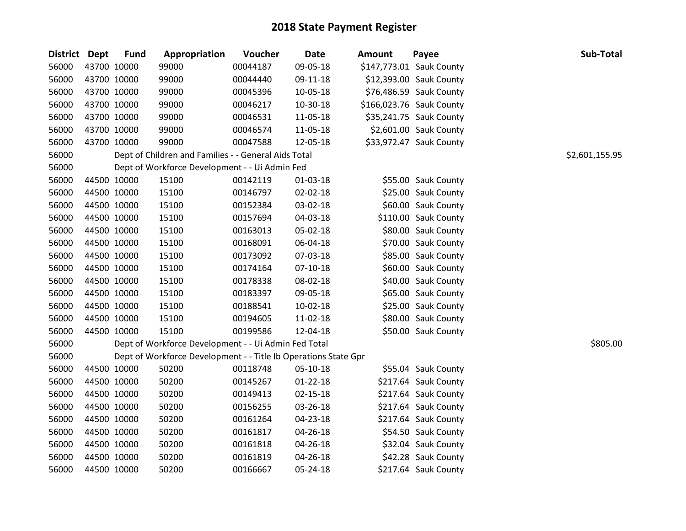| District Dept |             | <b>Fund</b> | Appropriation                                                   | Voucher  | <b>Date</b>    | <b>Amount</b> | Payee                    | Sub-Total      |
|---------------|-------------|-------------|-----------------------------------------------------------------|----------|----------------|---------------|--------------------------|----------------|
| 56000         | 43700 10000 |             | 99000                                                           | 00044187 | 09-05-18       |               | \$147,773.01 Sauk County |                |
| 56000         | 43700 10000 |             | 99000                                                           | 00044440 | 09-11-18       |               | \$12,393.00 Sauk County  |                |
| 56000         | 43700 10000 |             | 99000                                                           | 00045396 | 10-05-18       |               | \$76,486.59 Sauk County  |                |
| 56000         | 43700 10000 |             | 99000                                                           | 00046217 | 10-30-18       |               | \$166,023.76 Sauk County |                |
| 56000         | 43700 10000 |             | 99000                                                           | 00046531 | 11-05-18       |               | \$35,241.75 Sauk County  |                |
| 56000         | 43700 10000 |             | 99000                                                           | 00046574 | 11-05-18       |               | \$2,601.00 Sauk County   |                |
| 56000         | 43700 10000 |             | 99000                                                           | 00047588 | 12-05-18       |               | \$33,972.47 Sauk County  |                |
| 56000         |             |             | Dept of Children and Families - - General Aids Total            |          |                |               |                          | \$2,601,155.95 |
| 56000         |             |             | Dept of Workforce Development - - Ui Admin Fed                  |          |                |               |                          |                |
| 56000         | 44500 10000 |             | 15100                                                           | 00142119 | 01-03-18       |               | \$55.00 Sauk County      |                |
| 56000         | 44500 10000 |             | 15100                                                           | 00146797 | 02-02-18       |               | \$25.00 Sauk County      |                |
| 56000         | 44500 10000 |             | 15100                                                           | 00152384 | 03-02-18       |               | \$60.00 Sauk County      |                |
| 56000         | 44500 10000 |             | 15100                                                           | 00157694 | 04-03-18       |               | \$110.00 Sauk County     |                |
| 56000         | 44500 10000 |             | 15100                                                           | 00163013 | 05-02-18       |               | \$80.00 Sauk County      |                |
| 56000         | 44500 10000 |             | 15100                                                           | 00168091 | 06-04-18       |               | \$70.00 Sauk County      |                |
| 56000         | 44500 10000 |             | 15100                                                           | 00173092 | 07-03-18       |               | \$85.00 Sauk County      |                |
| 56000         | 44500 10000 |             | 15100                                                           | 00174164 | 07-10-18       |               | \$60.00 Sauk County      |                |
| 56000         | 44500 10000 |             | 15100                                                           | 00178338 | 08-02-18       |               | \$40.00 Sauk County      |                |
| 56000         | 44500 10000 |             | 15100                                                           | 00183397 | 09-05-18       |               | \$65.00 Sauk County      |                |
| 56000         | 44500 10000 |             | 15100                                                           | 00188541 | $10-02-18$     |               | \$25.00 Sauk County      |                |
| 56000         | 44500 10000 |             | 15100                                                           | 00194605 | 11-02-18       |               | \$80.00 Sauk County      |                |
| 56000         | 44500 10000 |             | 15100                                                           | 00199586 | 12-04-18       |               | \$50.00 Sauk County      |                |
| 56000         |             |             | Dept of Workforce Development - - Ui Admin Fed Total            |          |                |               |                          | \$805.00       |
| 56000         |             |             | Dept of Workforce Development - - Title Ib Operations State Gpr |          |                |               |                          |                |
| 56000         | 44500 10000 |             | 50200                                                           | 00118748 | 05-10-18       |               | \$55.04 Sauk County      |                |
| 56000         | 44500 10000 |             | 50200                                                           | 00145267 | 01-22-18       |               | \$217.64 Sauk County     |                |
| 56000         | 44500 10000 |             | 50200                                                           | 00149413 | $02 - 15 - 18$ |               | \$217.64 Sauk County     |                |
| 56000         | 44500 10000 |             | 50200                                                           | 00156255 | 03-26-18       |               | \$217.64 Sauk County     |                |
| 56000         | 44500 10000 |             | 50200                                                           | 00161264 | 04-23-18       |               | \$217.64 Sauk County     |                |
| 56000         | 44500 10000 |             | 50200                                                           | 00161817 | 04-26-18       |               | \$54.50 Sauk County      |                |
| 56000         | 44500 10000 |             | 50200                                                           | 00161818 | 04-26-18       |               | \$32.04 Sauk County      |                |
| 56000         | 44500 10000 |             | 50200                                                           | 00161819 | 04-26-18       |               | \$42.28 Sauk County      |                |
| 56000         | 44500 10000 |             | 50200                                                           | 00166667 | 05-24-18       |               | \$217.64 Sauk County     |                |
|               |             |             |                                                                 |          |                |               |                          |                |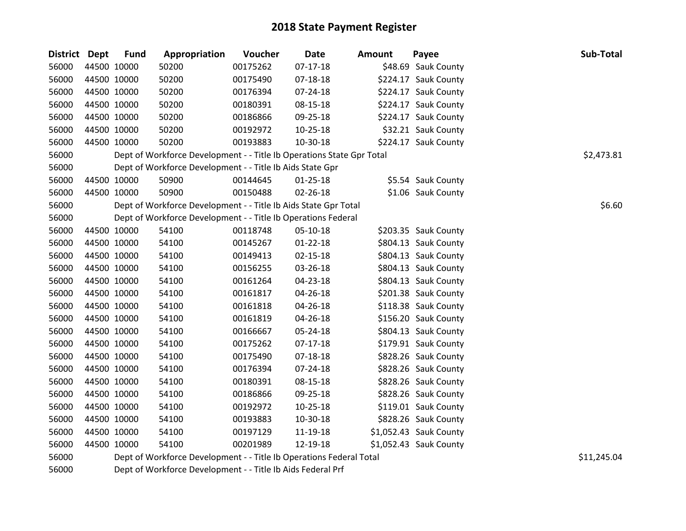| District Dept |             | <b>Fund</b> | Appropriation                                                         | Voucher  | Date           | <b>Amount</b> | Payee                  | Sub-Total   |
|---------------|-------------|-------------|-----------------------------------------------------------------------|----------|----------------|---------------|------------------------|-------------|
| 56000         |             | 44500 10000 | 50200                                                                 | 00175262 | $07-17-18$     |               | \$48.69 Sauk County    |             |
| 56000         |             | 44500 10000 | 50200                                                                 | 00175490 | 07-18-18       |               | \$224.17 Sauk County   |             |
| 56000         | 44500 10000 |             | 50200                                                                 | 00176394 | 07-24-18       |               | \$224.17 Sauk County   |             |
| 56000         |             | 44500 10000 | 50200                                                                 | 00180391 | 08-15-18       |               | \$224.17 Sauk County   |             |
| 56000         |             | 44500 10000 | 50200                                                                 | 00186866 | 09-25-18       |               | \$224.17 Sauk County   |             |
| 56000         | 44500 10000 |             | 50200                                                                 | 00192972 | $10 - 25 - 18$ |               | \$32.21 Sauk County    |             |
| 56000         | 44500 10000 |             | 50200                                                                 | 00193883 | 10-30-18       |               | \$224.17 Sauk County   |             |
| 56000         |             |             | Dept of Workforce Development - - Title Ib Operations State Gpr Total |          |                |               |                        | \$2,473.81  |
| 56000         |             |             | Dept of Workforce Development - - Title Ib Aids State Gpr             |          |                |               |                        |             |
| 56000         |             | 44500 10000 | 50900                                                                 | 00144645 | $01 - 25 - 18$ |               | \$5.54 Sauk County     |             |
| 56000         |             | 44500 10000 | 50900                                                                 | 00150488 | 02-26-18       |               | \$1.06 Sauk County     |             |
| 56000         |             |             | Dept of Workforce Development - - Title Ib Aids State Gpr Total       |          |                |               |                        | \$6.60      |
| 56000         |             |             | Dept of Workforce Development - - Title Ib Operations Federal         |          |                |               |                        |             |
| 56000         |             | 44500 10000 | 54100                                                                 | 00118748 | 05-10-18       |               | \$203.35 Sauk County   |             |
| 56000         | 44500 10000 |             | 54100                                                                 | 00145267 | $01 - 22 - 18$ |               | \$804.13 Sauk County   |             |
| 56000         |             | 44500 10000 | 54100                                                                 | 00149413 | 02-15-18       |               | \$804.13 Sauk County   |             |
| 56000         | 44500 10000 |             | 54100                                                                 | 00156255 | 03-26-18       |               | \$804.13 Sauk County   |             |
| 56000         |             | 44500 10000 | 54100                                                                 | 00161264 | 04-23-18       |               | \$804.13 Sauk County   |             |
| 56000         |             | 44500 10000 | 54100                                                                 | 00161817 | 04-26-18       |               | \$201.38 Sauk County   |             |
| 56000         |             | 44500 10000 | 54100                                                                 | 00161818 | 04-26-18       |               | \$118.38 Sauk County   |             |
| 56000         |             | 44500 10000 | 54100                                                                 | 00161819 | 04-26-18       |               | \$156.20 Sauk County   |             |
| 56000         |             | 44500 10000 | 54100                                                                 | 00166667 | 05-24-18       |               | \$804.13 Sauk County   |             |
| 56000         |             | 44500 10000 | 54100                                                                 | 00175262 | $07-17-18$     |               | \$179.91 Sauk County   |             |
| 56000         | 44500 10000 |             | 54100                                                                 | 00175490 | $07 - 18 - 18$ |               | \$828.26 Sauk County   |             |
| 56000         |             | 44500 10000 | 54100                                                                 | 00176394 | $07 - 24 - 18$ |               | \$828.26 Sauk County   |             |
| 56000         |             | 44500 10000 | 54100                                                                 | 00180391 | 08-15-18       |               | \$828.26 Sauk County   |             |
| 56000         |             | 44500 10000 | 54100                                                                 | 00186866 | 09-25-18       |               | \$828.26 Sauk County   |             |
| 56000         | 44500 10000 |             | 54100                                                                 | 00192972 | $10 - 25 - 18$ |               | \$119.01 Sauk County   |             |
| 56000         | 44500 10000 |             | 54100                                                                 | 00193883 | 10-30-18       |               | \$828.26 Sauk County   |             |
| 56000         |             | 44500 10000 | 54100                                                                 | 00197129 | 11-19-18       |               | \$1,052.43 Sauk County |             |
| 56000         |             | 44500 10000 | 54100                                                                 | 00201989 | 12-19-18       |               | \$1,052.43 Sauk County |             |
| 56000         |             |             | Dept of Workforce Development - - Title Ib Operations Federal Total   |          |                |               |                        | \$11,245.04 |

Dept of Workforce Development - - Title Ib Aids Federal Prf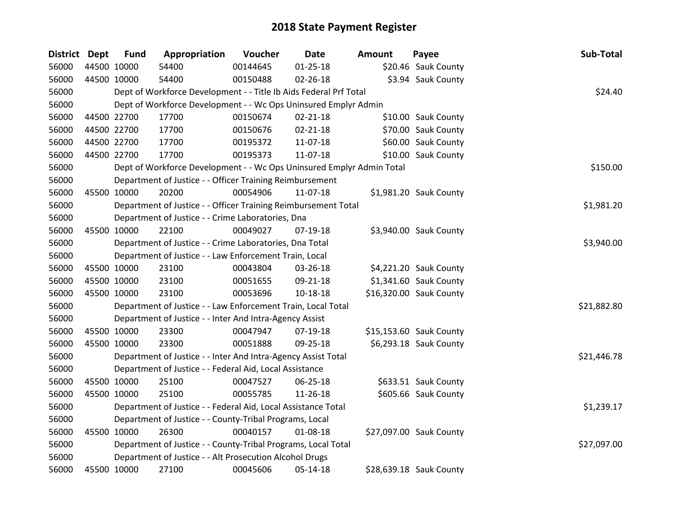| <b>District Dept</b> |             | <b>Fund</b> | Appropriation                                                         | Voucher  | <b>Date</b>    | <b>Amount</b> | Payee                   | Sub-Total   |
|----------------------|-------------|-------------|-----------------------------------------------------------------------|----------|----------------|---------------|-------------------------|-------------|
| 56000                | 44500 10000 |             | 54400                                                                 | 00144645 | $01 - 25 - 18$ |               | \$20.46 Sauk County     |             |
| 56000                | 44500 10000 |             | 54400                                                                 | 00150488 | 02-26-18       |               | \$3.94 Sauk County      |             |
| 56000                |             |             | Dept of Workforce Development - - Title Ib Aids Federal Prf Total     |          |                |               |                         | \$24.40     |
| 56000                |             |             | Dept of Workforce Development - - Wc Ops Uninsured Emplyr Admin       |          |                |               |                         |             |
| 56000                | 44500 22700 |             | 17700                                                                 | 00150674 | $02 - 21 - 18$ |               | \$10.00 Sauk County     |             |
| 56000                |             | 44500 22700 | 17700                                                                 | 00150676 | $02 - 21 - 18$ |               | \$70.00 Sauk County     |             |
| 56000                |             | 44500 22700 | 17700                                                                 | 00195372 | 11-07-18       |               | \$60.00 Sauk County     |             |
| 56000                |             | 44500 22700 | 17700                                                                 | 00195373 | 11-07-18       |               | \$10.00 Sauk County     |             |
| 56000                |             |             | Dept of Workforce Development - - Wc Ops Uninsured Emplyr Admin Total |          |                |               |                         | \$150.00    |
| 56000                |             |             | Department of Justice - - Officer Training Reimbursement              |          |                |               |                         |             |
| 56000                | 45500 10000 |             | 20200                                                                 | 00054906 | 11-07-18       |               | \$1,981.20 Sauk County  |             |
| 56000                |             |             | Department of Justice - - Officer Training Reimbursement Total        |          |                |               |                         | \$1,981.20  |
| 56000                |             |             | Department of Justice - - Crime Laboratories, Dna                     |          |                |               |                         |             |
| 56000                | 45500 10000 |             | 22100                                                                 | 00049027 | 07-19-18       |               | \$3,940.00 Sauk County  |             |
| 56000                |             |             | Department of Justice - - Crime Laboratories, Dna Total               |          |                |               |                         | \$3,940.00  |
| 56000                |             |             | Department of Justice - - Law Enforcement Train, Local                |          |                |               |                         |             |
| 56000                | 45500 10000 |             | 23100                                                                 | 00043804 | 03-26-18       |               | \$4,221.20 Sauk County  |             |
| 56000                |             | 45500 10000 | 23100                                                                 | 00051655 | 09-21-18       |               | \$1,341.60 Sauk County  |             |
| 56000                | 45500 10000 |             | 23100                                                                 | 00053696 | $10-18-18$     |               | \$16,320.00 Sauk County |             |
| 56000                |             |             | Department of Justice - - Law Enforcement Train, Local Total          |          |                |               |                         | \$21,882.80 |
| 56000                |             |             | Department of Justice - - Inter And Intra-Agency Assist               |          |                |               |                         |             |
| 56000                |             | 45500 10000 | 23300                                                                 | 00047947 | 07-19-18       |               | \$15,153.60 Sauk County |             |
| 56000                | 45500 10000 |             | 23300                                                                 | 00051888 | 09-25-18       |               | \$6,293.18 Sauk County  |             |
| 56000                |             |             | Department of Justice - - Inter And Intra-Agency Assist Total         |          |                |               |                         | \$21,446.78 |
| 56000                |             |             | Department of Justice - - Federal Aid, Local Assistance               |          |                |               |                         |             |
| 56000                | 45500 10000 |             | 25100                                                                 | 00047527 | 06-25-18       |               | \$633.51 Sauk County    |             |
| 56000                | 45500 10000 |             | 25100                                                                 | 00055785 | 11-26-18       |               | \$605.66 Sauk County    |             |
| 56000                |             |             | Department of Justice - - Federal Aid, Local Assistance Total         |          |                |               |                         | \$1,239.17  |
| 56000                |             |             | Department of Justice - - County-Tribal Programs, Local               |          |                |               |                         |             |
| 56000                | 45500 10000 |             | 26300                                                                 | 00040157 | 01-08-18       |               | \$27,097.00 Sauk County |             |
| 56000                |             |             | Department of Justice - - County-Tribal Programs, Local Total         |          |                |               |                         | \$27,097.00 |
| 56000                |             |             | Department of Justice - - Alt Prosecution Alcohol Drugs               |          |                |               |                         |             |
| 56000                | 45500 10000 |             | 27100                                                                 | 00045606 | 05-14-18       |               | \$28,639.18 Sauk County |             |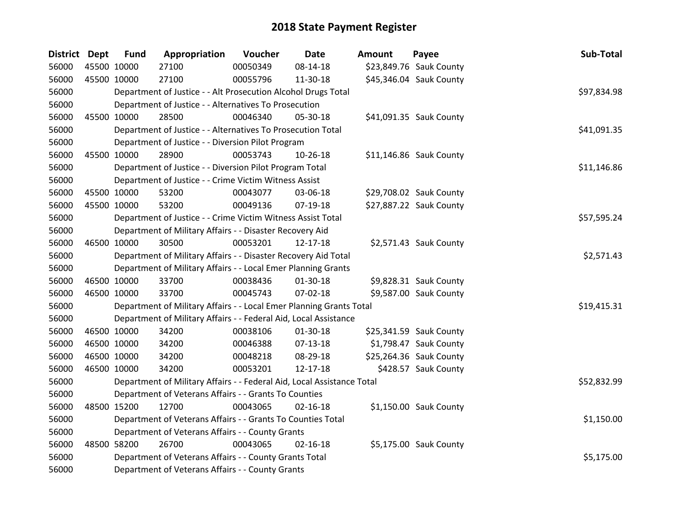| District Dept | <b>Fund</b> | Appropriation                                                          | Voucher  | <b>Date</b>    | <b>Amount</b> | Payee                   | Sub-Total   |
|---------------|-------------|------------------------------------------------------------------------|----------|----------------|---------------|-------------------------|-------------|
| 56000         | 45500 10000 | 27100                                                                  | 00050349 | 08-14-18       |               | \$23,849.76 Sauk County |             |
| 56000         | 45500 10000 | 27100                                                                  | 00055796 | 11-30-18       |               | \$45,346.04 Sauk County |             |
| 56000         |             | Department of Justice - - Alt Prosecution Alcohol Drugs Total          |          |                |               |                         | \$97,834.98 |
| 56000         |             | Department of Justice - - Alternatives To Prosecution                  |          |                |               |                         |             |
| 56000         | 45500 10000 | 28500                                                                  | 00046340 | 05-30-18       |               | \$41,091.35 Sauk County |             |
| 56000         |             | Department of Justice - - Alternatives To Prosecution Total            |          |                |               |                         | \$41,091.35 |
| 56000         |             | Department of Justice - - Diversion Pilot Program                      |          |                |               |                         |             |
| 56000         | 45500 10000 | 28900                                                                  | 00053743 | 10-26-18       |               | \$11,146.86 Sauk County |             |
| 56000         |             | Department of Justice - - Diversion Pilot Program Total                |          |                |               |                         | \$11,146.86 |
| 56000         |             | Department of Justice - - Crime Victim Witness Assist                  |          |                |               |                         |             |
| 56000         | 45500 10000 | 53200                                                                  | 00043077 | 03-06-18       |               | \$29,708.02 Sauk County |             |
| 56000         | 45500 10000 | 53200                                                                  | 00049136 | 07-19-18       |               | \$27,887.22 Sauk County |             |
| 56000         |             | Department of Justice - - Crime Victim Witness Assist Total            |          |                |               |                         | \$57,595.24 |
| 56000         |             | Department of Military Affairs - - Disaster Recovery Aid               |          |                |               |                         |             |
| 56000         | 46500 10000 | 30500                                                                  | 00053201 | 12-17-18       |               | \$2,571.43 Sauk County  |             |
| 56000         |             | Department of Military Affairs - - Disaster Recovery Aid Total         |          |                |               |                         | \$2,571.43  |
| 56000         |             | Department of Military Affairs - - Local Emer Planning Grants          |          |                |               |                         |             |
| 56000         | 46500 10000 | 33700                                                                  | 00038436 | 01-30-18       |               | \$9,828.31 Sauk County  |             |
| 56000         | 46500 10000 | 33700                                                                  | 00045743 | 07-02-18       |               | \$9,587.00 Sauk County  |             |
| 56000         |             | Department of Military Affairs - - Local Emer Planning Grants Total    |          |                |               |                         | \$19,415.31 |
| 56000         |             | Department of Military Affairs - - Federal Aid, Local Assistance       |          |                |               |                         |             |
| 56000         | 46500 10000 | 34200                                                                  | 00038106 | 01-30-18       |               | \$25,341.59 Sauk County |             |
| 56000         | 46500 10000 | 34200                                                                  | 00046388 | $07-13-18$     |               | \$1,798.47 Sauk County  |             |
| 56000         | 46500 10000 | 34200                                                                  | 00048218 | 08-29-18       |               | \$25,264.36 Sauk County |             |
| 56000         | 46500 10000 | 34200                                                                  | 00053201 | 12-17-18       |               | \$428.57 Sauk County    |             |
| 56000         |             | Department of Military Affairs - - Federal Aid, Local Assistance Total |          |                |               |                         | \$52,832.99 |
| 56000         |             | Department of Veterans Affairs - - Grants To Counties                  |          |                |               |                         |             |
| 56000         | 48500 15200 | 12700                                                                  | 00043065 | $02 - 16 - 18$ |               | \$1,150.00 Sauk County  |             |
| 56000         |             | Department of Veterans Affairs - - Grants To Counties Total            |          |                |               |                         | \$1,150.00  |
| 56000         |             | Department of Veterans Affairs - - County Grants                       |          |                |               |                         |             |
| 56000         | 48500 58200 | 26700                                                                  | 00043065 | $02 - 16 - 18$ |               | \$5,175.00 Sauk County  |             |
| 56000         |             | Department of Veterans Affairs - - County Grants Total                 |          |                |               |                         | \$5,175.00  |
| 56000         |             | Department of Veterans Affairs - - County Grants                       |          |                |               |                         |             |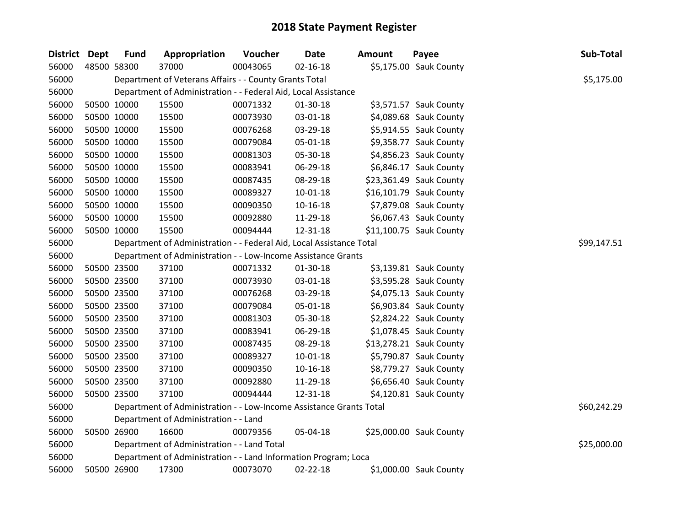| <b>District</b> | <b>Dept</b> | <b>Fund</b> | Appropriation                                                        | Voucher  | Date           | Amount | Payee                   | Sub-Total   |
|-----------------|-------------|-------------|----------------------------------------------------------------------|----------|----------------|--------|-------------------------|-------------|
| 56000           |             | 48500 58300 | 37000                                                                | 00043065 | $02 - 16 - 18$ |        | \$5,175.00 Sauk County  |             |
| 56000           |             |             | Department of Veterans Affairs - - County Grants Total               |          |                |        |                         | \$5,175.00  |
| 56000           |             |             | Department of Administration - - Federal Aid, Local Assistance       |          |                |        |                         |             |
| 56000           |             | 50500 10000 | 15500                                                                | 00071332 | 01-30-18       |        | \$3,571.57 Sauk County  |             |
| 56000           |             | 50500 10000 | 15500                                                                | 00073930 | 03-01-18       |        | \$4,089.68 Sauk County  |             |
| 56000           |             | 50500 10000 | 15500                                                                | 00076268 | 03-29-18       |        | \$5,914.55 Sauk County  |             |
| 56000           |             | 50500 10000 | 15500                                                                | 00079084 | 05-01-18       |        | \$9,358.77 Sauk County  |             |
| 56000           |             | 50500 10000 | 15500                                                                | 00081303 | 05-30-18       |        | \$4,856.23 Sauk County  |             |
| 56000           |             | 50500 10000 | 15500                                                                | 00083941 | 06-29-18       |        | \$6,846.17 Sauk County  |             |
| 56000           |             | 50500 10000 | 15500                                                                | 00087435 | 08-29-18       |        | \$23,361.49 Sauk County |             |
| 56000           |             | 50500 10000 | 15500                                                                | 00089327 | $10 - 01 - 18$ |        | \$16,101.79 Sauk County |             |
| 56000           |             | 50500 10000 | 15500                                                                | 00090350 | $10 - 16 - 18$ |        | \$7,879.08 Sauk County  |             |
| 56000           |             | 50500 10000 | 15500                                                                | 00092880 | 11-29-18       |        | \$6,067.43 Sauk County  |             |
| 56000           |             | 50500 10000 | 15500                                                                | 00094444 | 12-31-18       |        | \$11,100.75 Sauk County |             |
| 56000           |             |             | Department of Administration - - Federal Aid, Local Assistance Total |          |                |        |                         | \$99,147.51 |
| 56000           |             |             | Department of Administration - - Low-Income Assistance Grants        |          |                |        |                         |             |
| 56000           |             | 50500 23500 | 37100                                                                | 00071332 | 01-30-18       |        | \$3,139.81 Sauk County  |             |
| 56000           |             | 50500 23500 | 37100                                                                | 00073930 | 03-01-18       |        | \$3,595.28 Sauk County  |             |
| 56000           |             | 50500 23500 | 37100                                                                | 00076268 | 03-29-18       |        | \$4,075.13 Sauk County  |             |
| 56000           |             | 50500 23500 | 37100                                                                | 00079084 | 05-01-18       |        | \$6,903.84 Sauk County  |             |
| 56000           |             | 50500 23500 | 37100                                                                | 00081303 | 05-30-18       |        | \$2,824.22 Sauk County  |             |
| 56000           |             | 50500 23500 | 37100                                                                | 00083941 | 06-29-18       |        | \$1,078.45 Sauk County  |             |
| 56000           |             | 50500 23500 | 37100                                                                | 00087435 | 08-29-18       |        | \$13,278.21 Sauk County |             |
| 56000           |             | 50500 23500 | 37100                                                                | 00089327 | $10 - 01 - 18$ |        | \$5,790.87 Sauk County  |             |
| 56000           |             | 50500 23500 | 37100                                                                | 00090350 | $10 - 16 - 18$ |        | \$8,779.27 Sauk County  |             |
| 56000           |             | 50500 23500 | 37100                                                                | 00092880 | 11-29-18       |        | \$6,656.40 Sauk County  |             |
| 56000           |             | 50500 23500 | 37100                                                                | 00094444 | 12-31-18       |        | \$4,120.81 Sauk County  |             |
| 56000           |             |             | Department of Administration - - Low-Income Assistance Grants Total  |          |                |        |                         | \$60,242.29 |
| 56000           |             |             | Department of Administration - - Land                                |          |                |        |                         |             |
| 56000           |             | 50500 26900 | 16600                                                                | 00079356 | 05-04-18       |        | \$25,000.00 Sauk County |             |
| 56000           |             |             | Department of Administration - - Land Total                          |          |                |        |                         | \$25,000.00 |
| 56000           |             |             | Department of Administration - - Land Information Program; Loca      |          |                |        |                         |             |
| 56000           |             | 50500 26900 | 17300                                                                | 00073070 | 02-22-18       |        | \$1,000.00 Sauk County  |             |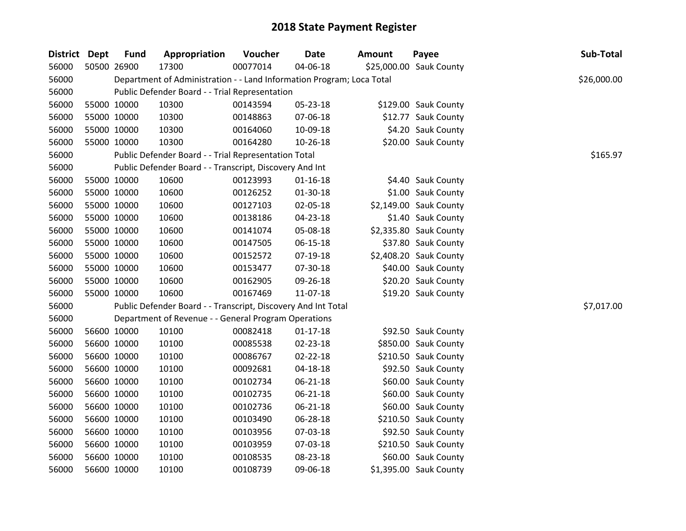| <b>District Dept</b> | <b>Fund</b> | Appropriation                                                         | <b>Voucher</b> | Date           | <b>Amount</b> | Payee                   | Sub-Total   |
|----------------------|-------------|-----------------------------------------------------------------------|----------------|----------------|---------------|-------------------------|-------------|
| 56000                | 50500 26900 | 17300                                                                 | 00077014       | 04-06-18       |               | \$25,000.00 Sauk County |             |
| 56000                |             | Department of Administration - - Land Information Program; Loca Total |                |                |               |                         | \$26,000.00 |
| 56000                |             | Public Defender Board - - Trial Representation                        |                |                |               |                         |             |
| 56000                | 55000 10000 | 10300                                                                 | 00143594       | 05-23-18       |               | \$129.00 Sauk County    |             |
| 56000                | 55000 10000 | 10300                                                                 | 00148863       | 07-06-18       |               | \$12.77 Sauk County     |             |
| 56000                | 55000 10000 | 10300                                                                 | 00164060       | 10-09-18       |               | \$4.20 Sauk County      |             |
| 56000                | 55000 10000 | 10300                                                                 | 00164280       | 10-26-18       |               | \$20.00 Sauk County     |             |
| 56000                |             | Public Defender Board - - Trial Representation Total                  |                |                |               |                         | \$165.97    |
| 56000                |             | Public Defender Board - - Transcript, Discovery And Int               |                |                |               |                         |             |
| 56000                | 55000 10000 | 10600                                                                 | 00123993       | $01 - 16 - 18$ |               | \$4.40 Sauk County      |             |
| 56000                | 55000 10000 | 10600                                                                 | 00126252       | 01-30-18       |               | \$1.00 Sauk County      |             |
| 56000                | 55000 10000 | 10600                                                                 | 00127103       | 02-05-18       |               | \$2,149.00 Sauk County  |             |
| 56000                | 55000 10000 | 10600                                                                 | 00138186       | 04-23-18       |               | \$1.40 Sauk County      |             |
| 56000                | 55000 10000 | 10600                                                                 | 00141074       | 05-08-18       |               | \$2,335.80 Sauk County  |             |
| 56000                | 55000 10000 | 10600                                                                 | 00147505       | 06-15-18       |               | \$37.80 Sauk County     |             |
| 56000                | 55000 10000 | 10600                                                                 | 00152572       | 07-19-18       |               | \$2,408.20 Sauk County  |             |
| 56000                | 55000 10000 | 10600                                                                 | 00153477       | 07-30-18       |               | \$40.00 Sauk County     |             |
| 56000                | 55000 10000 | 10600                                                                 | 00162905       | 09-26-18       |               | \$20.20 Sauk County     |             |
| 56000                | 55000 10000 | 10600                                                                 | 00167469       | 11-07-18       |               | \$19.20 Sauk County     |             |
| 56000                |             | Public Defender Board - - Transcript, Discovery And Int Total         |                |                |               |                         | \$7,017.00  |
| 56000                |             | Department of Revenue - - General Program Operations                  |                |                |               |                         |             |
| 56000                | 56600 10000 | 10100                                                                 | 00082418       | $01-17-18$     |               | \$92.50 Sauk County     |             |
| 56000                | 56600 10000 | 10100                                                                 | 00085538       | 02-23-18       |               | \$850.00 Sauk County    |             |
| 56000                | 56600 10000 | 10100                                                                 | 00086767       | 02-22-18       |               | \$210.50 Sauk County    |             |
| 56000                | 56600 10000 | 10100                                                                 | 00092681       | 04-18-18       |               | \$92.50 Sauk County     |             |
| 56000                | 56600 10000 | 10100                                                                 | 00102734       | 06-21-18       |               | \$60.00 Sauk County     |             |
| 56000                | 56600 10000 | 10100                                                                 | 00102735       | 06-21-18       |               | \$60.00 Sauk County     |             |
| 56000                | 56600 10000 | 10100                                                                 | 00102736       | $06 - 21 - 18$ |               | \$60.00 Sauk County     |             |
| 56000                | 56600 10000 | 10100                                                                 | 00103490       | 06-28-18       |               | \$210.50 Sauk County    |             |
| 56000                | 56600 10000 | 10100                                                                 | 00103956       | 07-03-18       |               | \$92.50 Sauk County     |             |
| 56000                | 56600 10000 | 10100                                                                 | 00103959       | 07-03-18       |               | \$210.50 Sauk County    |             |
| 56000                | 56600 10000 | 10100                                                                 | 00108535       | 08-23-18       |               | \$60.00 Sauk County     |             |
| 56000                | 56600 10000 | 10100                                                                 | 00108739       | 09-06-18       |               | \$1,395.00 Sauk County  |             |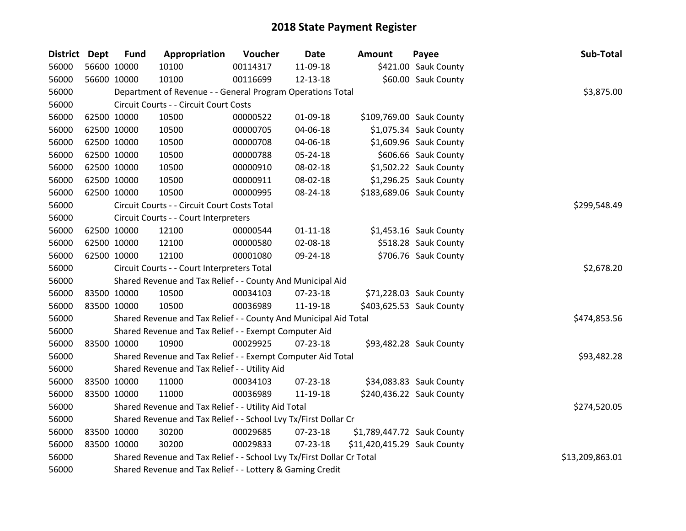| District Dept | <b>Fund</b> | Appropriation                                                         | Voucher  | <b>Date</b>    | <b>Amount</b>               | Payee                    | Sub-Total       |
|---------------|-------------|-----------------------------------------------------------------------|----------|----------------|-----------------------------|--------------------------|-----------------|
| 56000         | 56600 10000 | 10100                                                                 | 00114317 | 11-09-18       |                             | \$421.00 Sauk County     |                 |
| 56000         | 56600 10000 | 10100                                                                 | 00116699 | 12-13-18       |                             | \$60.00 Sauk County      |                 |
| 56000         |             | Department of Revenue - - General Program Operations Total            |          |                |                             |                          | \$3,875.00      |
| 56000         |             | Circuit Courts - - Circuit Court Costs                                |          |                |                             |                          |                 |
| 56000         | 62500 10000 | 10500                                                                 | 00000522 | 01-09-18       |                             | \$109,769.00 Sauk County |                 |
| 56000         | 62500 10000 | 10500                                                                 | 00000705 | 04-06-18       |                             | \$1,075.34 Sauk County   |                 |
| 56000         | 62500 10000 | 10500                                                                 | 00000708 | 04-06-18       |                             | \$1,609.96 Sauk County   |                 |
| 56000         | 62500 10000 | 10500                                                                 | 00000788 | 05-24-18       |                             | \$606.66 Sauk County     |                 |
| 56000         | 62500 10000 | 10500                                                                 | 00000910 | 08-02-18       |                             | \$1,502.22 Sauk County   |                 |
| 56000         | 62500 10000 | 10500                                                                 | 00000911 | 08-02-18       |                             | \$1,296.25 Sauk County   |                 |
| 56000         | 62500 10000 | 10500                                                                 | 00000995 | 08-24-18       |                             | \$183,689.06 Sauk County |                 |
| 56000         |             | Circuit Courts - - Circuit Court Costs Total                          |          |                |                             |                          | \$299,548.49    |
| 56000         |             | Circuit Courts - - Court Interpreters                                 |          |                |                             |                          |                 |
| 56000         | 62500 10000 | 12100                                                                 | 00000544 | $01 - 11 - 18$ |                             | \$1,453.16 Sauk County   |                 |
| 56000         | 62500 10000 | 12100                                                                 | 00000580 | 02-08-18       |                             | \$518.28 Sauk County     |                 |
| 56000         | 62500 10000 | 12100                                                                 | 00001080 | 09-24-18       |                             | \$706.76 Sauk County     |                 |
| 56000         |             | Circuit Courts - - Court Interpreters Total                           |          |                |                             |                          | \$2,678.20      |
| 56000         |             | Shared Revenue and Tax Relief - - County And Municipal Aid            |          |                |                             |                          |                 |
| 56000         | 83500 10000 | 10500                                                                 | 00034103 | 07-23-18       |                             | \$71,228.03 Sauk County  |                 |
| 56000         | 83500 10000 | 10500                                                                 | 00036989 | 11-19-18       |                             | \$403,625.53 Sauk County |                 |
| 56000         |             | Shared Revenue and Tax Relief - - County And Municipal Aid Total      |          |                |                             |                          | \$474,853.56    |
| 56000         |             | Shared Revenue and Tax Relief - - Exempt Computer Aid                 |          |                |                             |                          |                 |
| 56000         | 83500 10000 | 10900                                                                 | 00029925 | $07 - 23 - 18$ |                             | \$93,482.28 Sauk County  |                 |
| 56000         |             | Shared Revenue and Tax Relief - - Exempt Computer Aid Total           |          |                |                             |                          | \$93,482.28     |
| 56000         |             | Shared Revenue and Tax Relief - - Utility Aid                         |          |                |                             |                          |                 |
| 56000         | 83500 10000 | 11000                                                                 | 00034103 | 07-23-18       |                             | \$34,083.83 Sauk County  |                 |
| 56000         | 83500 10000 | 11000                                                                 | 00036989 | 11-19-18       |                             | \$240,436.22 Sauk County |                 |
| 56000         |             | Shared Revenue and Tax Relief - - Utility Aid Total                   |          |                |                             |                          | \$274,520.05    |
| 56000         |             | Shared Revenue and Tax Relief - - School Lvy Tx/First Dollar Cr       |          |                |                             |                          |                 |
| 56000         | 83500 10000 | 30200                                                                 | 00029685 | 07-23-18       | \$1,789,447.72 Sauk County  |                          |                 |
| 56000         | 83500 10000 | 30200                                                                 | 00029833 | 07-23-18       | \$11,420,415.29 Sauk County |                          |                 |
| 56000         |             | Shared Revenue and Tax Relief - - School Lvy Tx/First Dollar Cr Total |          |                |                             |                          | \$13,209,863.01 |
| 56000         |             | Shared Revenue and Tax Relief - - Lottery & Gaming Credit             |          |                |                             |                          |                 |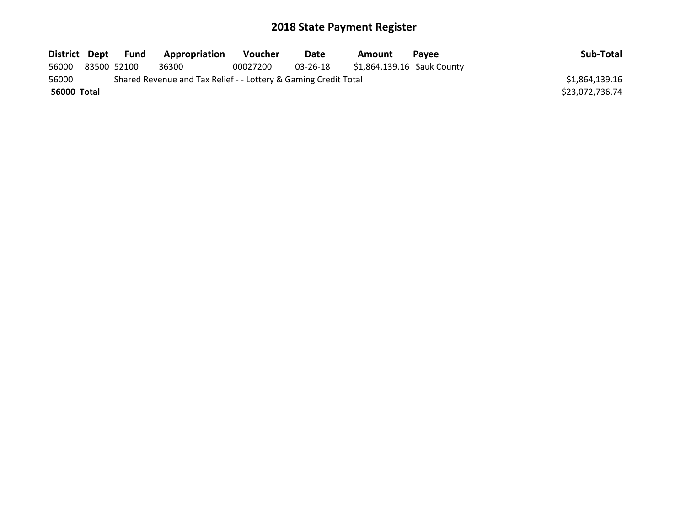| District Dept |             | Fund | Appropriation                                                   | <b>Voucher</b> | <b>Date</b> | Amount                     | <b>Pavee</b> | Sub-Total       |
|---------------|-------------|------|-----------------------------------------------------------------|----------------|-------------|----------------------------|--------------|-----------------|
| 56000         | 83500 52100 |      | 36300                                                           | 00027200       | 03-26-18    | \$1,864,139.16 Sauk County |              |                 |
| 56000         |             |      | Shared Revenue and Tax Relief - - Lottery & Gaming Credit Total |                |             |                            |              | \$1,864,139.16  |
| 56000 Total   |             |      |                                                                 |                |             |                            |              | \$23,072,736.74 |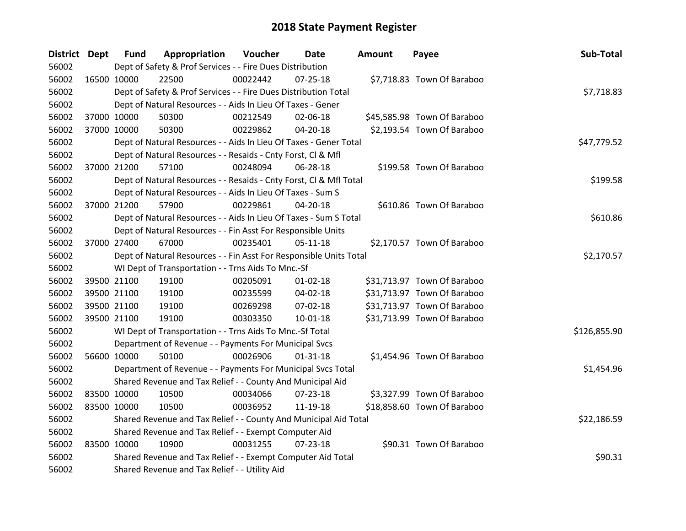| District Dept |             | <b>Fund</b> | Appropriation                                                      | Voucher  | Date           | Amount | Payee                       | Sub-Total    |
|---------------|-------------|-------------|--------------------------------------------------------------------|----------|----------------|--------|-----------------------------|--------------|
| 56002         |             |             | Dept of Safety & Prof Services - - Fire Dues Distribution          |          |                |        |                             |              |
| 56002         | 16500 10000 |             | 22500                                                              | 00022442 | $07 - 25 - 18$ |        | \$7,718.83 Town Of Baraboo  |              |
| 56002         |             |             | Dept of Safety & Prof Services - - Fire Dues Distribution Total    |          |                |        |                             | \$7,718.83   |
| 56002         |             |             | Dept of Natural Resources - - Aids In Lieu Of Taxes - Gener        |          |                |        |                             |              |
| 56002         |             | 37000 10000 | 50300                                                              | 00212549 | 02-06-18       |        | \$45,585.98 Town Of Baraboo |              |
| 56002         | 37000 10000 |             | 50300                                                              | 00229862 | 04-20-18       |        | \$2,193.54 Town Of Baraboo  |              |
| 56002         |             |             | Dept of Natural Resources - - Aids In Lieu Of Taxes - Gener Total  |          |                |        |                             | \$47,779.52  |
| 56002         |             |             | Dept of Natural Resources - - Resaids - Cnty Forst, Cl & Mfl       |          |                |        |                             |              |
| 56002         |             | 37000 21200 | 57100                                                              | 00248094 | 06-28-18       |        | \$199.58 Town Of Baraboo    |              |
| 56002         |             |             | Dept of Natural Resources - - Resaids - Cnty Forst, CI & Mfl Total |          |                |        |                             | \$199.58     |
| 56002         |             |             | Dept of Natural Resources - - Aids In Lieu Of Taxes - Sum S        |          |                |        |                             |              |
| 56002         |             | 37000 21200 | 57900                                                              | 00229861 | 04-20-18       |        | \$610.86 Town Of Baraboo    |              |
| 56002         |             |             | Dept of Natural Resources - - Aids In Lieu Of Taxes - Sum S Total  |          |                |        |                             | \$610.86     |
| 56002         |             |             | Dept of Natural Resources - - Fin Asst For Responsible Units       |          |                |        |                             |              |
| 56002         |             | 37000 27400 | 67000                                                              | 00235401 | $05 - 11 - 18$ |        | \$2,170.57 Town Of Baraboo  |              |
| 56002         |             |             | Dept of Natural Resources - - Fin Asst For Responsible Units Total |          |                |        |                             | \$2,170.57   |
| 56002         |             |             | WI Dept of Transportation - - Trns Aids To Mnc.-Sf                 |          |                |        |                             |              |
| 56002         |             | 39500 21100 | 19100                                                              | 00205091 | $01 - 02 - 18$ |        | \$31,713.97 Town Of Baraboo |              |
| 56002         |             | 39500 21100 | 19100                                                              | 00235599 | $04 - 02 - 18$ |        | \$31,713.97 Town Of Baraboo |              |
| 56002         |             | 39500 21100 | 19100                                                              | 00269298 | 07-02-18       |        | \$31,713.97 Town Of Baraboo |              |
| 56002         | 39500 21100 |             | 19100                                                              | 00303350 | $10 - 01 - 18$ |        | \$31,713.99 Town Of Baraboo |              |
| 56002         |             |             | WI Dept of Transportation - - Trns Aids To Mnc.-Sf Total           |          |                |        |                             | \$126,855.90 |
| 56002         |             |             | Department of Revenue - - Payments For Municipal Svcs              |          |                |        |                             |              |
| 56002         | 56600 10000 |             | 50100                                                              | 00026906 | $01 - 31 - 18$ |        | \$1,454.96 Town Of Baraboo  |              |
| 56002         |             |             | Department of Revenue - - Payments For Municipal Svcs Total        |          |                |        |                             | \$1,454.96   |
| 56002         |             |             | Shared Revenue and Tax Relief - - County And Municipal Aid         |          |                |        |                             |              |
| 56002         | 83500 10000 |             | 10500                                                              | 00034066 | 07-23-18       |        | \$3,327.99 Town Of Baraboo  |              |
| 56002         | 83500 10000 |             | 10500                                                              | 00036952 | 11-19-18       |        | \$18,858.60 Town Of Baraboo |              |
| 56002         |             |             | Shared Revenue and Tax Relief - - County And Municipal Aid Total   |          |                |        |                             | \$22,186.59  |
| 56002         |             |             | Shared Revenue and Tax Relief - - Exempt Computer Aid              |          |                |        |                             |              |
| 56002         | 83500 10000 |             | 10900                                                              | 00031255 | $07 - 23 - 18$ |        | \$90.31 Town Of Baraboo     |              |
| 56002         |             |             | Shared Revenue and Tax Relief - - Exempt Computer Aid Total        |          |                |        |                             | \$90.31      |
| 56002         |             |             | Shared Revenue and Tax Relief - - Utility Aid                      |          |                |        |                             |              |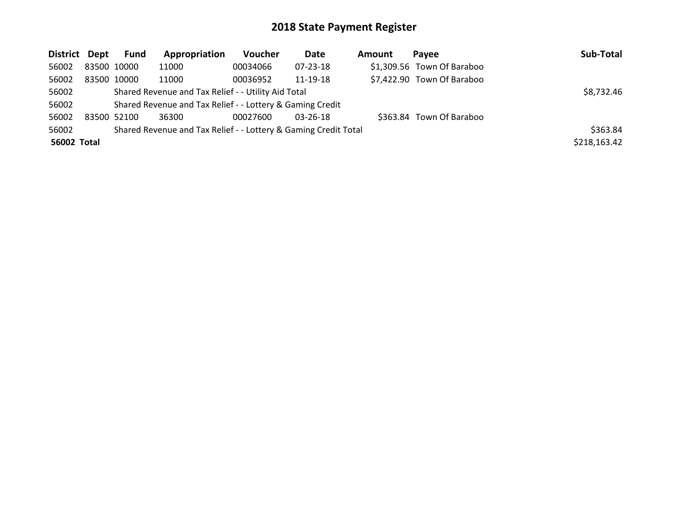| District Dept |             | <b>Fund</b> | Appropriation                                                   | <b>Voucher</b> | Date           | Amount | Pavee                      | Sub-Total    |
|---------------|-------------|-------------|-----------------------------------------------------------------|----------------|----------------|--------|----------------------------|--------------|
| 56002         | 83500 10000 |             | 11000                                                           | 00034066       | 07-23-18       |        | \$1,309.56 Town Of Baraboo |              |
| 56002         | 83500 10000 |             | 11000                                                           | 00036952       | 11-19-18       |        | \$7,422.90 Town Of Baraboo |              |
| 56002         |             |             | Shared Revenue and Tax Relief - - Utility Aid Total             |                |                |        |                            | \$8,732.46   |
| 56002         |             |             | Shared Revenue and Tax Relief - - Lottery & Gaming Credit       |                |                |        |                            |              |
| 56002         | 83500 52100 |             | 36300                                                           | 00027600       | $03 - 26 - 18$ |        | \$363.84 Town Of Baraboo   |              |
| 56002         |             |             | Shared Revenue and Tax Relief - - Lottery & Gaming Credit Total |                |                |        |                            | \$363.84     |
| 56002 Total   |             |             |                                                                 |                |                |        |                            | \$218,163.42 |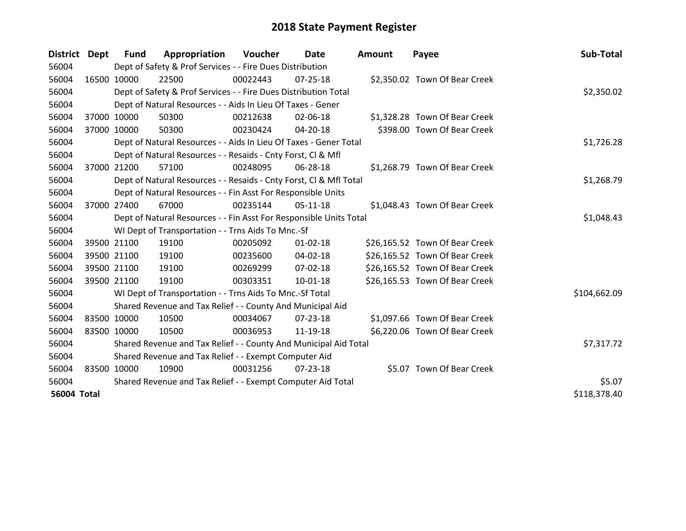| District Dept      |             | <b>Fund</b> | Appropriation                                                      | Voucher  | Date           | <b>Amount</b> | Payee                          | Sub-Total    |
|--------------------|-------------|-------------|--------------------------------------------------------------------|----------|----------------|---------------|--------------------------------|--------------|
| 56004              |             |             | Dept of Safety & Prof Services - - Fire Dues Distribution          |          |                |               |                                |              |
| 56004              | 16500 10000 |             | 22500                                                              | 00022443 | $07 - 25 - 18$ |               | \$2,350.02 Town Of Bear Creek  |              |
| 56004              |             |             | Dept of Safety & Prof Services - - Fire Dues Distribution Total    |          |                |               |                                | \$2,350.02   |
| 56004              |             |             | Dept of Natural Resources - - Aids In Lieu Of Taxes - Gener        |          |                |               |                                |              |
| 56004              | 37000 10000 |             | 50300                                                              | 00212638 | 02-06-18       |               | \$1,328.28 Town Of Bear Creek  |              |
| 56004              | 37000 10000 |             | 50300                                                              | 00230424 | 04-20-18       |               | \$398.00 Town Of Bear Creek    |              |
| 56004              |             |             | Dept of Natural Resources - - Aids In Lieu Of Taxes - Gener Total  |          |                |               |                                | \$1,726.28   |
| 56004              |             |             | Dept of Natural Resources - - Resaids - Cnty Forst, CI & Mfl       |          |                |               |                                |              |
| 56004              |             | 37000 21200 | 57100                                                              | 00248095 | 06-28-18       |               | \$1,268.79 Town Of Bear Creek  |              |
| 56004              |             |             | Dept of Natural Resources - - Resaids - Cnty Forst, CI & Mfl Total |          |                |               |                                | \$1,268.79   |
| 56004              |             |             | Dept of Natural Resources - - Fin Asst For Responsible Units       |          |                |               |                                |              |
| 56004              |             | 37000 27400 | 67000                                                              | 00235144 | 05-11-18       |               | \$1,048.43 Town Of Bear Creek  |              |
| 56004              |             |             | Dept of Natural Resources - - Fin Asst For Responsible Units Total |          |                |               |                                | \$1,048.43   |
| 56004              |             |             | WI Dept of Transportation - - Trns Aids To Mnc.-Sf                 |          |                |               |                                |              |
| 56004              |             | 39500 21100 | 19100                                                              | 00205092 | $01 - 02 - 18$ |               | \$26,165.52 Town Of Bear Creek |              |
| 56004              |             | 39500 21100 | 19100                                                              | 00235600 | 04-02-18       |               | \$26,165.52 Town Of Bear Creek |              |
| 56004              |             | 39500 21100 | 19100                                                              | 00269299 | $07 - 02 - 18$ |               | \$26,165.52 Town Of Bear Creek |              |
| 56004              |             | 39500 21100 | 19100                                                              | 00303351 | 10-01-18       |               | \$26,165.53 Town Of Bear Creek |              |
| 56004              |             |             | WI Dept of Transportation - - Trns Aids To Mnc.-Sf Total           |          |                |               |                                | \$104,662.09 |
| 56004              |             |             | Shared Revenue and Tax Relief - - County And Municipal Aid         |          |                |               |                                |              |
| 56004              |             | 83500 10000 | 10500                                                              | 00034067 | $07 - 23 - 18$ |               | \$1,097.66 Town Of Bear Creek  |              |
| 56004              | 83500 10000 |             | 10500                                                              | 00036953 | 11-19-18       |               | \$6,220.06 Town Of Bear Creek  |              |
| 56004              |             |             | Shared Revenue and Tax Relief - - County And Municipal Aid Total   |          |                |               |                                | \$7,317.72   |
| 56004              |             |             | Shared Revenue and Tax Relief - - Exempt Computer Aid              |          |                |               |                                |              |
| 56004              | 83500 10000 |             | 10900                                                              | 00031256 | $07 - 23 - 18$ |               | \$5.07 Town Of Bear Creek      |              |
| 56004              |             |             | Shared Revenue and Tax Relief - - Exempt Computer Aid Total        |          |                |               |                                | \$5.07       |
| <b>56004 Total</b> |             |             |                                                                    |          |                |               |                                | \$118,378.40 |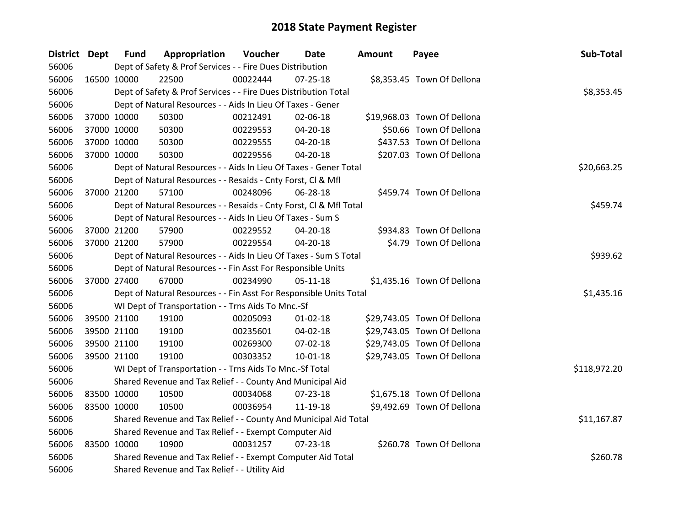| District Dept |             | <b>Fund</b> | Appropriation                                                      | Voucher  | Date           | Amount | Payee                       | Sub-Total    |
|---------------|-------------|-------------|--------------------------------------------------------------------|----------|----------------|--------|-----------------------------|--------------|
| 56006         |             |             | Dept of Safety & Prof Services - - Fire Dues Distribution          |          |                |        |                             |              |
| 56006         |             | 16500 10000 | 22500                                                              | 00022444 | $07 - 25 - 18$ |        | \$8,353.45 Town Of Dellona  |              |
| 56006         |             |             | Dept of Safety & Prof Services - - Fire Dues Distribution Total    |          |                |        |                             | \$8,353.45   |
| 56006         |             |             | Dept of Natural Resources - - Aids In Lieu Of Taxes - Gener        |          |                |        |                             |              |
| 56006         |             | 37000 10000 | 50300                                                              | 00212491 | 02-06-18       |        | \$19,968.03 Town Of Dellona |              |
| 56006         |             | 37000 10000 | 50300                                                              | 00229553 | 04-20-18       |        | \$50.66 Town Of Dellona     |              |
| 56006         |             | 37000 10000 | 50300                                                              | 00229555 | 04-20-18       |        | \$437.53 Town Of Dellona    |              |
| 56006         |             | 37000 10000 | 50300                                                              | 00229556 | $04 - 20 - 18$ |        | \$207.03 Town Of Dellona    |              |
| 56006         |             |             | Dept of Natural Resources - - Aids In Lieu Of Taxes - Gener Total  |          |                |        |                             | \$20,663.25  |
| 56006         |             |             | Dept of Natural Resources - - Resaids - Cnty Forst, Cl & Mfl       |          |                |        |                             |              |
| 56006         |             | 37000 21200 | 57100                                                              | 00248096 | 06-28-18       |        | \$459.74 Town Of Dellona    |              |
| 56006         |             |             | Dept of Natural Resources - - Resaids - Cnty Forst, CI & Mfl Total |          |                |        |                             | \$459.74     |
| 56006         |             |             | Dept of Natural Resources - - Aids In Lieu Of Taxes - Sum S        |          |                |        |                             |              |
| 56006         |             | 37000 21200 | 57900                                                              | 00229552 | 04-20-18       |        | \$934.83 Town Of Dellona    |              |
| 56006         |             | 37000 21200 | 57900                                                              | 00229554 | 04-20-18       |        | \$4.79 Town Of Dellona      |              |
| 56006         |             |             | Dept of Natural Resources - - Aids In Lieu Of Taxes - Sum S Total  | \$939.62 |                |        |                             |              |
| 56006         |             |             | Dept of Natural Resources - - Fin Asst For Responsible Units       |          |                |        |                             |              |
| 56006         |             | 37000 27400 | 67000                                                              | 00234990 | 05-11-18       |        | \$1,435.16 Town Of Dellona  |              |
| 56006         |             |             | Dept of Natural Resources - - Fin Asst For Responsible Units Total |          |                |        |                             | \$1,435.16   |
| 56006         |             |             | WI Dept of Transportation - - Trns Aids To Mnc.-Sf                 |          |                |        |                             |              |
| 56006         |             | 39500 21100 | 19100                                                              | 00205093 | $01 - 02 - 18$ |        | \$29,743.05 Town Of Dellona |              |
| 56006         |             | 39500 21100 | 19100                                                              | 00235601 | 04-02-18       |        | \$29,743.05 Town Of Dellona |              |
| 56006         |             | 39500 21100 | 19100                                                              | 00269300 | 07-02-18       |        | \$29,743.05 Town Of Dellona |              |
| 56006         |             | 39500 21100 | 19100                                                              | 00303352 | 10-01-18       |        | \$29,743.05 Town Of Dellona |              |
| 56006         |             |             | WI Dept of Transportation - - Trns Aids To Mnc.-Sf Total           |          |                |        |                             | \$118,972.20 |
| 56006         |             |             | Shared Revenue and Tax Relief - - County And Municipal Aid         |          |                |        |                             |              |
| 56006         | 83500 10000 |             | 10500                                                              | 00034068 | 07-23-18       |        | \$1,675.18 Town Of Dellona  |              |
| 56006         |             | 83500 10000 | 10500                                                              | 00036954 | 11-19-18       |        | \$9,492.69 Town Of Dellona  |              |
| 56006         |             |             | Shared Revenue and Tax Relief - - County And Municipal Aid Total   |          |                |        |                             | \$11,167.87  |
| 56006         |             |             | Shared Revenue and Tax Relief - - Exempt Computer Aid              |          |                |        |                             |              |
| 56006         |             | 83500 10000 | 10900                                                              | 00031257 | $07 - 23 - 18$ |        | \$260.78 Town Of Dellona    |              |
| 56006         |             |             | Shared Revenue and Tax Relief - - Exempt Computer Aid Total        |          |                |        |                             | \$260.78     |
| 56006         |             |             | Shared Revenue and Tax Relief - - Utility Aid                      |          |                |        |                             |              |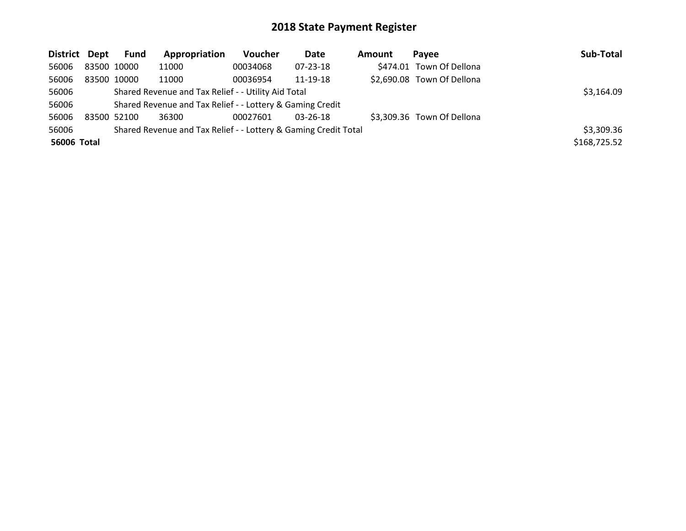| District Dept |             | <b>Fund</b> | Appropriation                                                   | <b>Voucher</b> | Date     | Amount | <b>Pavee</b>               | Sub-Total    |
|---------------|-------------|-------------|-----------------------------------------------------------------|----------------|----------|--------|----------------------------|--------------|
| 56006         | 83500 10000 |             | 11000                                                           | 00034068       | 07-23-18 |        | \$474.01 Town Of Dellona   |              |
| 56006         | 83500 10000 |             | 11000                                                           | 00036954       | 11-19-18 |        | \$2,690.08 Town Of Dellona |              |
| 56006         |             |             | Shared Revenue and Tax Relief - - Utility Aid Total             |                |          |        |                            | \$3,164.09   |
| 56006         |             |             | Shared Revenue and Tax Relief - - Lottery & Gaming Credit       |                |          |        |                            |              |
| 56006         | 83500 52100 |             | 36300                                                           | 00027601       | 03-26-18 |        | \$3,309.36 Town Of Dellona |              |
| 56006         |             |             | Shared Revenue and Tax Relief - - Lottery & Gaming Credit Total |                |          |        |                            | \$3,309.36   |
| 56006 Total   |             |             |                                                                 |                |          |        |                            | \$168,725.52 |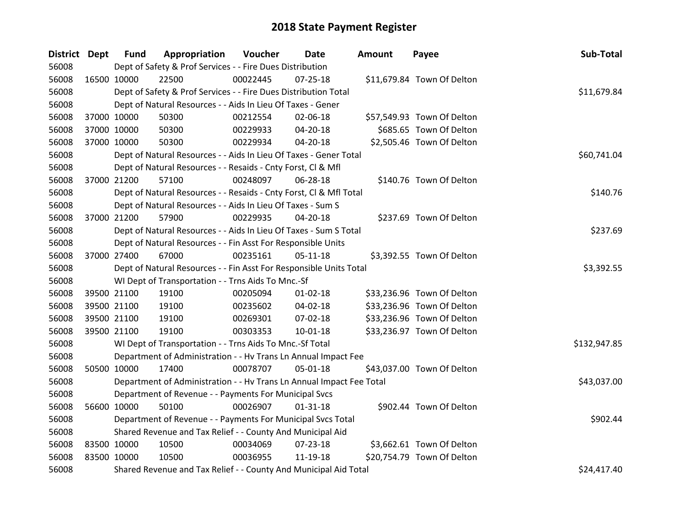| District Dept |             | <b>Fund</b> | Appropriation                                                        | Voucher  | Date           | <b>Amount</b> | Payee                      | Sub-Total    |
|---------------|-------------|-------------|----------------------------------------------------------------------|----------|----------------|---------------|----------------------------|--------------|
| 56008         |             |             | Dept of Safety & Prof Services - - Fire Dues Distribution            |          |                |               |                            |              |
| 56008         | 16500 10000 |             | 22500                                                                | 00022445 | $07 - 25 - 18$ |               | \$11,679.84 Town Of Delton |              |
| 56008         |             |             | Dept of Safety & Prof Services - - Fire Dues Distribution Total      |          |                |               |                            | \$11,679.84  |
| 56008         |             |             | Dept of Natural Resources - - Aids In Lieu Of Taxes - Gener          |          |                |               |                            |              |
| 56008         | 37000 10000 |             | 50300                                                                | 00212554 | 02-06-18       |               | \$57,549.93 Town Of Delton |              |
| 56008         | 37000 10000 |             | 50300                                                                | 00229933 | 04-20-18       |               | \$685.65 Town Of Delton    |              |
| 56008         | 37000 10000 |             | 50300                                                                | 00229934 | $04 - 20 - 18$ |               | \$2,505.46 Town Of Delton  |              |
| 56008         |             |             | Dept of Natural Resources - - Aids In Lieu Of Taxes - Gener Total    |          |                |               |                            | \$60,741.04  |
| 56008         |             |             | Dept of Natural Resources - - Resaids - Cnty Forst, Cl & Mfl         |          |                |               |                            |              |
| 56008         | 37000 21200 |             | 57100                                                                | 00248097 | 06-28-18       |               | \$140.76 Town Of Delton    |              |
| 56008         |             |             | Dept of Natural Resources - - Resaids - Cnty Forst, CI & Mfl Total   |          |                |               |                            | \$140.76     |
| 56008         |             |             | Dept of Natural Resources - - Aids In Lieu Of Taxes - Sum S          |          |                |               |                            |              |
| 56008         | 37000 21200 |             | 57900                                                                | 00229935 | 04-20-18       |               | \$237.69 Town Of Delton    |              |
| 56008         |             |             | Dept of Natural Resources - - Aids In Lieu Of Taxes - Sum S Total    |          |                |               |                            | \$237.69     |
| 56008         |             |             | Dept of Natural Resources - - Fin Asst For Responsible Units         |          |                |               |                            |              |
| 56008         | 37000 27400 |             | 67000                                                                | 00235161 | $05-11-18$     |               | \$3,392.55 Town Of Delton  |              |
| 56008         |             |             | Dept of Natural Resources - - Fin Asst For Responsible Units Total   |          |                |               |                            | \$3,392.55   |
| 56008         |             |             | WI Dept of Transportation - - Trns Aids To Mnc.-Sf                   |          |                |               |                            |              |
| 56008         | 39500 21100 |             | 19100                                                                | 00205094 | $01 - 02 - 18$ |               | \$33,236.96 Town Of Delton |              |
| 56008         | 39500 21100 |             | 19100                                                                | 00235602 | 04-02-18       |               | \$33,236.96 Town Of Delton |              |
| 56008         | 39500 21100 |             | 19100                                                                | 00269301 | 07-02-18       |               | \$33,236.96 Town Of Delton |              |
| 56008         | 39500 21100 |             | 19100                                                                | 00303353 | $10 - 01 - 18$ |               | \$33,236.97 Town Of Delton |              |
| 56008         |             |             | WI Dept of Transportation - - Trns Aids To Mnc.-Sf Total             |          |                |               |                            | \$132,947.85 |
| 56008         |             |             | Department of Administration - - Hv Trans Ln Annual Impact Fee       |          |                |               |                            |              |
| 56008         | 50500 10000 |             | 17400                                                                | 00078707 | 05-01-18       |               | \$43,037.00 Town Of Delton |              |
| 56008         |             |             | Department of Administration - - Hv Trans Ln Annual Impact Fee Total |          |                |               |                            | \$43,037.00  |
| 56008         |             |             | Department of Revenue - - Payments For Municipal Svcs                |          |                |               |                            |              |
| 56008         | 56600 10000 |             | 50100                                                                | 00026907 | $01 - 31 - 18$ |               | \$902.44 Town Of Delton    |              |
| 56008         |             |             | Department of Revenue - - Payments For Municipal Svcs Total          |          |                |               |                            | \$902.44     |
| 56008         |             |             | Shared Revenue and Tax Relief - - County And Municipal Aid           |          |                |               |                            |              |
| 56008         | 83500 10000 |             | 10500                                                                | 00034069 | $07 - 23 - 18$ |               | \$3,662.61 Town Of Delton  |              |
| 56008         | 83500 10000 |             | 10500                                                                | 00036955 | 11-19-18       |               | \$20,754.79 Town Of Delton |              |
| 56008         |             |             | Shared Revenue and Tax Relief - - County And Municipal Aid Total     |          |                |               |                            | \$24,417.40  |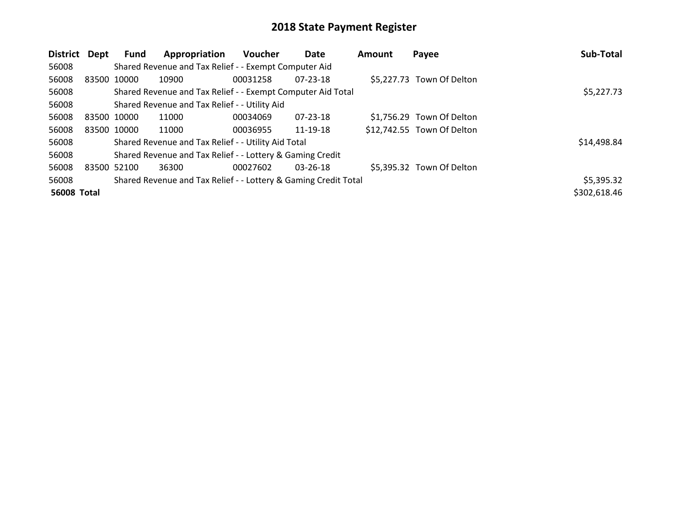| District           | Dept        | Fund | Appropriation                                                   | <b>Voucher</b> | Date           | <b>Amount</b> | Payee                      | Sub-Total    |
|--------------------|-------------|------|-----------------------------------------------------------------|----------------|----------------|---------------|----------------------------|--------------|
| 56008              |             |      | Shared Revenue and Tax Relief - - Exempt Computer Aid           |                |                |               |                            |              |
| 56008              | 83500 10000 |      | 10900                                                           | 00031258       | 07-23-18       |               | \$5,227.73 Town Of Delton  |              |
| 56008              |             |      | Shared Revenue and Tax Relief - - Exempt Computer Aid Total     |                |                |               |                            | \$5,227.73   |
| 56008              |             |      | Shared Revenue and Tax Relief - - Utility Aid                   |                |                |               |                            |              |
| 56008              | 83500 10000 |      | 11000                                                           | 00034069       | 07-23-18       |               | \$1,756.29 Town Of Delton  |              |
| 56008              | 83500 10000 |      | 11000                                                           | 00036955       | 11-19-18       |               | \$12,742.55 Town Of Delton |              |
| 56008              |             |      | Shared Revenue and Tax Relief - - Utility Aid Total             |                |                |               |                            | \$14,498.84  |
| 56008              |             |      | Shared Revenue and Tax Relief - - Lottery & Gaming Credit       |                |                |               |                            |              |
| 56008              | 83500 52100 |      | 36300                                                           | 00027602       | $03 - 26 - 18$ |               | \$5,395.32 Town Of Delton  |              |
| 56008              |             |      | Shared Revenue and Tax Relief - - Lottery & Gaming Credit Total |                |                |               |                            | \$5,395.32   |
| <b>56008 Total</b> |             |      |                                                                 |                |                |               |                            | \$302,618.46 |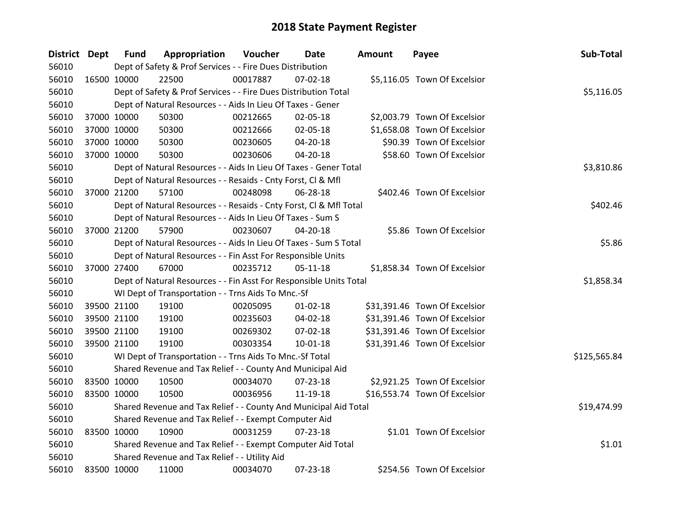| <b>District Dept</b> |             | <b>Fund</b> | Appropriation                                                      | Voucher  | Date           | <b>Amount</b> | Payee                         | Sub-Total    |
|----------------------|-------------|-------------|--------------------------------------------------------------------|----------|----------------|---------------|-------------------------------|--------------|
| 56010                |             |             | Dept of Safety & Prof Services - - Fire Dues Distribution          |          |                |               |                               |              |
| 56010                | 16500 10000 |             | 22500                                                              | 00017887 | $07 - 02 - 18$ |               | \$5,116.05 Town Of Excelsior  |              |
| 56010                |             |             | Dept of Safety & Prof Services - - Fire Dues Distribution Total    |          |                |               |                               | \$5,116.05   |
| 56010                |             |             | Dept of Natural Resources - - Aids In Lieu Of Taxes - Gener        |          |                |               |                               |              |
| 56010                |             | 37000 10000 | 50300                                                              | 00212665 | 02-05-18       |               | \$2,003.79 Town Of Excelsior  |              |
| 56010                |             | 37000 10000 | 50300                                                              | 00212666 | 02-05-18       |               | \$1,658.08 Town Of Excelsior  |              |
| 56010                |             | 37000 10000 | 50300                                                              | 00230605 | 04-20-18       |               | \$90.39 Town Of Excelsior     |              |
| 56010                |             | 37000 10000 | 50300                                                              | 00230606 | $04 - 20 - 18$ |               | \$58.60 Town Of Excelsior     |              |
| 56010                |             |             | Dept of Natural Resources - - Aids In Lieu Of Taxes - Gener Total  |          |                |               |                               | \$3,810.86   |
| 56010                |             |             | Dept of Natural Resources - - Resaids - Cnty Forst, CI & Mfl       |          |                |               |                               |              |
| 56010                |             | 37000 21200 | 57100                                                              | 00248098 | 06-28-18       |               | \$402.46 Town Of Excelsior    |              |
| 56010                |             |             | Dept of Natural Resources - - Resaids - Cnty Forst, Cl & Mfl Total |          |                |               |                               | \$402.46     |
| 56010                |             |             | Dept of Natural Resources - - Aids In Lieu Of Taxes - Sum S        |          |                |               |                               |              |
| 56010                |             | 37000 21200 | 57900                                                              | 00230607 | 04-20-18       |               | \$5.86 Town Of Excelsior      |              |
| 56010                |             |             | Dept of Natural Resources - - Aids In Lieu Of Taxes - Sum S Total  |          |                |               |                               | \$5.86       |
| 56010                |             |             | Dept of Natural Resources - - Fin Asst For Responsible Units       |          |                |               |                               |              |
| 56010                |             | 37000 27400 | 67000                                                              | 00235712 | $05 - 11 - 18$ |               | \$1,858.34 Town Of Excelsior  |              |
| 56010                |             |             | Dept of Natural Resources - - Fin Asst For Responsible Units Total |          |                |               |                               | \$1,858.34   |
| 56010                |             |             | WI Dept of Transportation - - Trns Aids To Mnc.-Sf                 |          |                |               |                               |              |
| 56010                |             | 39500 21100 | 19100                                                              | 00205095 | $01 - 02 - 18$ |               | \$31,391.46 Town Of Excelsior |              |
| 56010                |             | 39500 21100 | 19100                                                              | 00235603 | 04-02-18       |               | \$31,391.46 Town Of Excelsior |              |
| 56010                |             | 39500 21100 | 19100                                                              | 00269302 | 07-02-18       |               | \$31,391.46 Town Of Excelsior |              |
| 56010                |             | 39500 21100 | 19100                                                              | 00303354 | $10 - 01 - 18$ |               | \$31,391.46 Town Of Excelsior |              |
| 56010                |             |             | WI Dept of Transportation - - Trns Aids To Mnc.-Sf Total           |          |                |               |                               | \$125,565.84 |
| 56010                |             |             | Shared Revenue and Tax Relief - - County And Municipal Aid         |          |                |               |                               |              |
| 56010                | 83500 10000 |             | 10500                                                              | 00034070 | 07-23-18       |               | \$2,921.25 Town Of Excelsior  |              |
| 56010                |             | 83500 10000 | 10500                                                              | 00036956 | 11-19-18       |               | \$16,553.74 Town Of Excelsior |              |
| 56010                |             |             | Shared Revenue and Tax Relief - - County And Municipal Aid Total   |          |                |               |                               | \$19,474.99  |
| 56010                |             |             | Shared Revenue and Tax Relief - - Exempt Computer Aid              |          |                |               |                               |              |
| 56010                | 83500 10000 |             | 10900                                                              | 00031259 | $07 - 23 - 18$ |               | \$1.01 Town Of Excelsior      |              |
| 56010                |             |             | Shared Revenue and Tax Relief - - Exempt Computer Aid Total        |          |                |               |                               | \$1.01       |
| 56010                |             |             | Shared Revenue and Tax Relief - - Utility Aid                      |          |                |               |                               |              |
| 56010                | 83500 10000 |             | 11000                                                              | 00034070 | 07-23-18       |               | \$254.56 Town Of Excelsior    |              |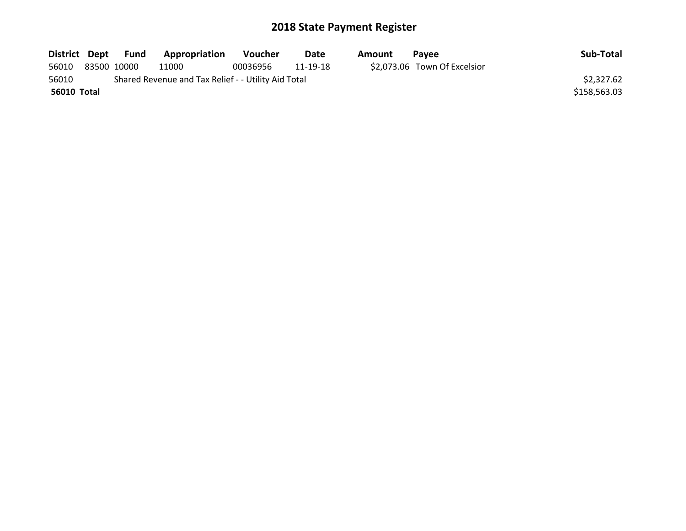|             |             | District Dept Fund | <b>Appropriation</b>                                | <b>Voucher</b> | Date     | Amount | <b>Pavee</b>                 | Sub-Total    |
|-------------|-------------|--------------------|-----------------------------------------------------|----------------|----------|--------|------------------------------|--------------|
| 56010       | 83500 10000 |                    | 11000                                               | 00036956       | 11-19-18 |        | \$2,073.06 Town Of Excelsior |              |
| 56010       |             |                    | Shared Revenue and Tax Relief - - Utility Aid Total |                |          |        |                              | \$2,327.62   |
| 56010 Total |             |                    |                                                     |                |          |        |                              | \$158,563.03 |
|             |             |                    |                                                     |                |          |        |                              |              |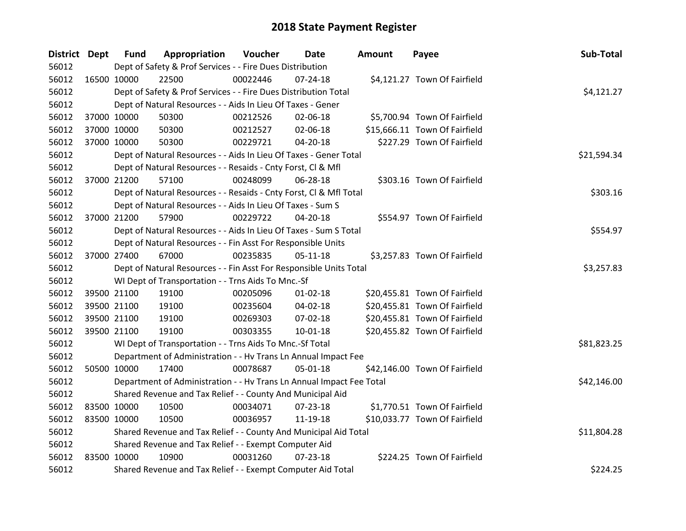| District Dept |             | <b>Fund</b> | Appropriation                                                        | Voucher  | Date           | <b>Amount</b> | Payee                         | Sub-Total   |
|---------------|-------------|-------------|----------------------------------------------------------------------|----------|----------------|---------------|-------------------------------|-------------|
| 56012         |             |             | Dept of Safety & Prof Services - - Fire Dues Distribution            |          |                |               |                               |             |
| 56012         | 16500 10000 |             | 22500                                                                | 00022446 | $07 - 24 - 18$ |               | \$4,121.27 Town Of Fairfield  |             |
| 56012         |             |             | Dept of Safety & Prof Services - - Fire Dues Distribution Total      |          |                |               |                               | \$4,121.27  |
| 56012         |             |             | Dept of Natural Resources - - Aids In Lieu Of Taxes - Gener          |          |                |               |                               |             |
| 56012         |             | 37000 10000 | 50300                                                                | 00212526 | 02-06-18       |               | \$5,700.94 Town Of Fairfield  |             |
| 56012         | 37000 10000 |             | 50300                                                                | 00212527 | 02-06-18       |               | \$15,666.11 Town Of Fairfield |             |
| 56012         |             | 37000 10000 | 50300                                                                | 00229721 | $04 - 20 - 18$ |               | \$227.29 Town Of Fairfield    |             |
| 56012         |             |             | Dept of Natural Resources - - Aids In Lieu Of Taxes - Gener Total    |          |                |               |                               | \$21,594.34 |
| 56012         |             |             | Dept of Natural Resources - - Resaids - Cnty Forst, CI & Mfl         |          |                |               |                               |             |
| 56012         |             | 37000 21200 | 57100                                                                | 00248099 | 06-28-18       |               | \$303.16 Town Of Fairfield    |             |
| 56012         |             |             | Dept of Natural Resources - - Resaids - Cnty Forst, Cl & Mfl Total   |          |                |               |                               | \$303.16    |
| 56012         |             |             | Dept of Natural Resources - - Aids In Lieu Of Taxes - Sum S          |          |                |               |                               |             |
| 56012         |             | 37000 21200 | 57900                                                                | 00229722 | 04-20-18       |               | \$554.97 Town Of Fairfield    |             |
| 56012         |             |             | Dept of Natural Resources - - Aids In Lieu Of Taxes - Sum S Total    |          |                |               |                               | \$554.97    |
| 56012         |             |             | Dept of Natural Resources - - Fin Asst For Responsible Units         |          |                |               |                               |             |
| 56012         | 37000 27400 |             | 67000                                                                | 00235835 | $05 - 11 - 18$ |               | \$3,257.83 Town Of Fairfield  |             |
| 56012         |             |             | Dept of Natural Resources - - Fin Asst For Responsible Units Total   |          |                |               |                               | \$3,257.83  |
| 56012         |             |             | WI Dept of Transportation - - Trns Aids To Mnc.-Sf                   |          |                |               |                               |             |
| 56012         |             | 39500 21100 | 19100                                                                | 00205096 | $01 - 02 - 18$ |               | \$20,455.81 Town Of Fairfield |             |
| 56012         |             | 39500 21100 | 19100                                                                | 00235604 | 04-02-18       |               | \$20,455.81 Town Of Fairfield |             |
| 56012         |             | 39500 21100 | 19100                                                                | 00269303 | 07-02-18       |               | \$20,455.81 Town Of Fairfield |             |
| 56012         | 39500 21100 |             | 19100                                                                | 00303355 | $10-01-18$     |               | \$20,455.82 Town Of Fairfield |             |
| 56012         |             |             | WI Dept of Transportation - - Trns Aids To Mnc.-Sf Total             |          |                |               |                               | \$81,823.25 |
| 56012         |             |             | Department of Administration - - Hv Trans Ln Annual Impact Fee       |          |                |               |                               |             |
| 56012         | 50500 10000 |             | 17400                                                                | 00078687 | 05-01-18       |               | \$42,146.00 Town Of Fairfield |             |
| 56012         |             |             | Department of Administration - - Hv Trans Ln Annual Impact Fee Total |          |                |               |                               | \$42,146.00 |
| 56012         |             |             | Shared Revenue and Tax Relief - - County And Municipal Aid           |          |                |               |                               |             |
| 56012         |             | 83500 10000 | 10500                                                                | 00034071 | $07 - 23 - 18$ |               | \$1,770.51 Town Of Fairfield  |             |
| 56012         | 83500 10000 |             | 10500                                                                | 00036957 | 11-19-18       |               | \$10,033.77 Town Of Fairfield |             |
| 56012         |             |             | Shared Revenue and Tax Relief - - County And Municipal Aid Total     |          |                |               |                               | \$11,804.28 |
| 56012         |             |             | Shared Revenue and Tax Relief - - Exempt Computer Aid                |          |                |               |                               |             |
| 56012         | 83500 10000 |             | 10900                                                                | 00031260 | $07 - 23 - 18$ |               | \$224.25 Town Of Fairfield    |             |
| 56012         |             |             | Shared Revenue and Tax Relief - - Exempt Computer Aid Total          |          |                |               |                               | \$224.25    |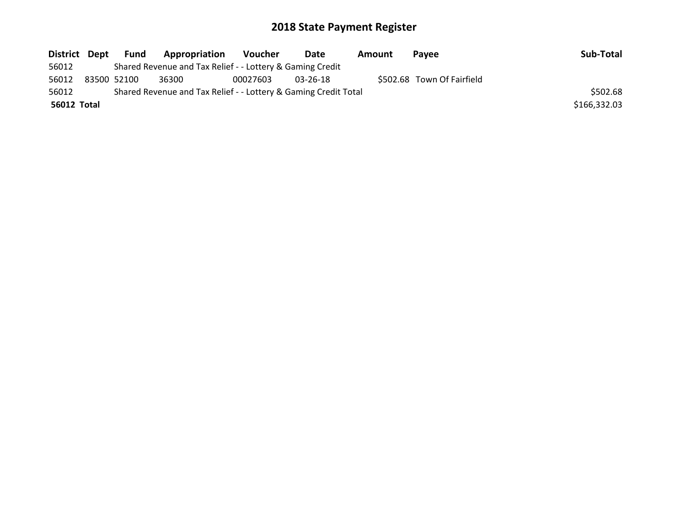| District Dept | Fund        | <b>Appropriation</b>                                            | Voucher  | Date           | Amount | Pavee                      | Sub-Total    |
|---------------|-------------|-----------------------------------------------------------------|----------|----------------|--------|----------------------------|--------------|
| 56012         |             | Shared Revenue and Tax Relief - - Lottery & Gaming Credit       |          |                |        |                            |              |
| 56012         | 83500 52100 | 36300                                                           | 00027603 | $03 - 26 - 18$ |        | \$502.68 Town Of Fairfield |              |
| 56012         |             | Shared Revenue and Tax Relief - - Lottery & Gaming Credit Total |          |                |        |                            | \$502.68     |
| 56012 Total   |             |                                                                 |          |                |        |                            | \$166,332.03 |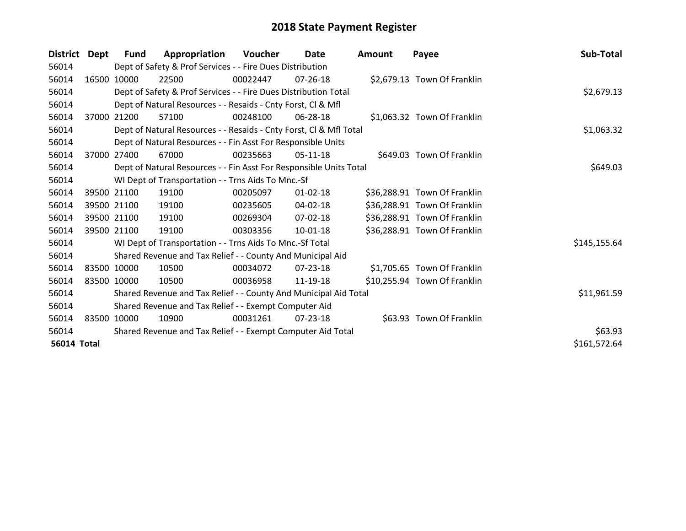| District           | Dept  | <b>Fund</b> | Appropriation                                                      | Voucher  | Date           | <b>Amount</b> | Payee                        | Sub-Total    |
|--------------------|-------|-------------|--------------------------------------------------------------------|----------|----------------|---------------|------------------------------|--------------|
| 56014              |       |             | Dept of Safety & Prof Services - - Fire Dues Distribution          |          |                |               |                              |              |
| 56014              |       | 16500 10000 | 22500                                                              | 00022447 | $07 - 26 - 18$ |               | \$2,679.13 Town Of Franklin  |              |
| 56014              |       |             | Dept of Safety & Prof Services - - Fire Dues Distribution Total    |          |                |               |                              | \$2,679.13   |
| 56014              |       |             | Dept of Natural Resources - - Resaids - Cnty Forst, CI & Mfl       |          |                |               |                              |              |
| 56014              | 37000 | 21200       | 57100                                                              | 00248100 | 06-28-18       |               | \$1,063.32 Town Of Franklin  |              |
| 56014              |       |             | Dept of Natural Resources - - Resaids - Cnty Forst, CI & Mfl Total |          |                |               |                              | \$1,063.32   |
| 56014              |       |             | Dept of Natural Resources - - Fin Asst For Responsible Units       |          |                |               |                              |              |
| 56014              | 37000 | 27400       | 67000                                                              | 00235663 | 05-11-18       |               | \$649.03 Town Of Franklin    |              |
| 56014              |       |             | Dept of Natural Resources - - Fin Asst For Responsible Units Total |          |                |               |                              | \$649.03     |
| 56014              |       |             | WI Dept of Transportation - - Trns Aids To Mnc.-Sf                 |          |                |               |                              |              |
| 56014              |       | 39500 21100 | 19100                                                              | 00205097 | $01 - 02 - 18$ |               | \$36,288.91 Town Of Franklin |              |
| 56014              |       | 39500 21100 | 19100                                                              | 00235605 | 04-02-18       |               | \$36,288.91 Town Of Franklin |              |
| 56014              |       | 39500 21100 | 19100                                                              | 00269304 | 07-02-18       |               | \$36,288.91 Town Of Franklin |              |
| 56014              |       | 39500 21100 | 19100                                                              | 00303356 | $10 - 01 - 18$ |               | \$36,288.91 Town Of Franklin |              |
| 56014              |       |             | WI Dept of Transportation - - Trns Aids To Mnc.-Sf Total           |          |                |               |                              | \$145,155.64 |
| 56014              |       |             | Shared Revenue and Tax Relief - - County And Municipal Aid         |          |                |               |                              |              |
| 56014              |       | 83500 10000 | 10500                                                              | 00034072 | 07-23-18       |               | \$1,705.65 Town Of Franklin  |              |
| 56014              |       | 83500 10000 | 10500                                                              | 00036958 | 11-19-18       |               | \$10,255.94 Town Of Franklin |              |
| 56014              |       |             | Shared Revenue and Tax Relief - - County And Municipal Aid Total   |          |                |               |                              | \$11,961.59  |
| 56014              |       |             | Shared Revenue and Tax Relief - - Exempt Computer Aid              |          |                |               |                              |              |
| 56014              |       | 83500 10000 | 10900                                                              | 00031261 | 07-23-18       |               | \$63.93 Town Of Franklin     |              |
| 56014              |       |             | Shared Revenue and Tax Relief - - Exempt Computer Aid Total        |          |                |               |                              | \$63.93      |
| <b>56014 Total</b> |       |             |                                                                    |          |                |               |                              | \$161,572.64 |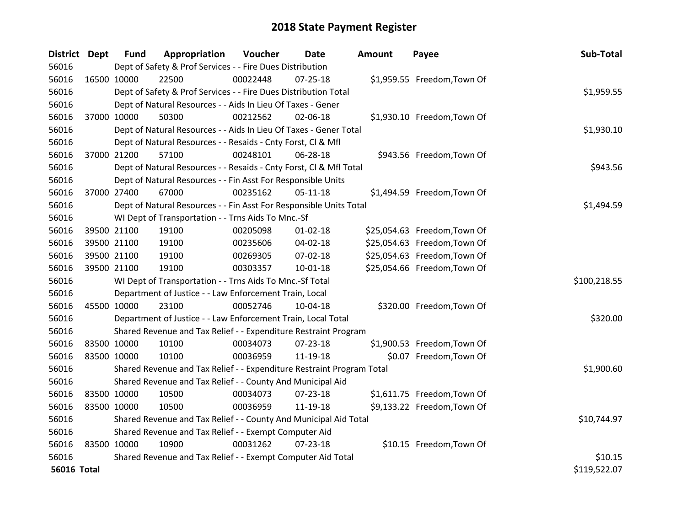| District Dept      |             | <b>Fund</b> | Appropriation                                                         | Voucher  | Date           | <b>Amount</b> | Payee                        | Sub-Total    |
|--------------------|-------------|-------------|-----------------------------------------------------------------------|----------|----------------|---------------|------------------------------|--------------|
| 56016              |             |             | Dept of Safety & Prof Services - - Fire Dues Distribution             |          |                |               |                              |              |
| 56016              | 16500 10000 |             | 22500                                                                 | 00022448 | 07-25-18       |               | \$1,959.55 Freedom, Town Of  |              |
| 56016              |             |             | Dept of Safety & Prof Services - - Fire Dues Distribution Total       |          |                |               |                              | \$1,959.55   |
| 56016              |             |             | Dept of Natural Resources - - Aids In Lieu Of Taxes - Gener           |          |                |               |                              |              |
| 56016              | 37000 10000 |             | 50300                                                                 | 00212562 | $02 - 06 - 18$ |               | \$1,930.10 Freedom, Town Of  |              |
| 56016              |             |             | Dept of Natural Resources - - Aids In Lieu Of Taxes - Gener Total     |          |                |               |                              | \$1,930.10   |
| 56016              |             |             | Dept of Natural Resources - - Resaids - Cnty Forst, CI & Mfl          |          |                |               |                              |              |
| 56016              |             | 37000 21200 | 57100                                                                 | 00248101 | 06-28-18       |               | \$943.56 Freedom, Town Of    |              |
| 56016              |             |             | Dept of Natural Resources - - Resaids - Cnty Forst, Cl & Mfl Total    |          |                |               |                              | \$943.56     |
| 56016              |             |             | Dept of Natural Resources - - Fin Asst For Responsible Units          |          |                |               |                              |              |
| 56016              |             | 37000 27400 | 67000                                                                 | 00235162 | 05-11-18       |               | \$1,494.59 Freedom, Town Of  |              |
| 56016              |             |             | Dept of Natural Resources - - Fin Asst For Responsible Units Total    |          |                |               |                              | \$1,494.59   |
| 56016              |             |             | WI Dept of Transportation - - Trns Aids To Mnc.-Sf                    |          |                |               |                              |              |
| 56016              |             | 39500 21100 | 19100                                                                 | 00205098 | $01 - 02 - 18$ |               | \$25,054.63 Freedom, Town Of |              |
| 56016              |             | 39500 21100 | 19100                                                                 | 00235606 | 04-02-18       |               | \$25,054.63 Freedom, Town Of |              |
| 56016              |             | 39500 21100 | 19100                                                                 | 00269305 | 07-02-18       |               | \$25,054.63 Freedom, Town Of |              |
| 56016              |             | 39500 21100 | 19100                                                                 | 00303357 | 10-01-18       |               | \$25,054.66 Freedom, Town Of |              |
| 56016              |             |             | WI Dept of Transportation - - Trns Aids To Mnc.-Sf Total              |          |                |               |                              | \$100,218.55 |
| 56016              |             |             | Department of Justice - - Law Enforcement Train, Local                |          |                |               |                              |              |
| 56016              | 45500 10000 |             | 23100                                                                 | 00052746 | 10-04-18       |               | \$320.00 Freedom, Town Of    |              |
| 56016              |             |             | Department of Justice - - Law Enforcement Train, Local Total          |          |                |               |                              | \$320.00     |
| 56016              |             |             | Shared Revenue and Tax Relief - - Expenditure Restraint Program       |          |                |               |                              |              |
| 56016              | 83500 10000 |             | 10100                                                                 | 00034073 | 07-23-18       |               | \$1,900.53 Freedom, Town Of  |              |
| 56016              |             | 83500 10000 | 10100                                                                 | 00036959 | 11-19-18       |               | \$0.07 Freedom, Town Of      |              |
| 56016              |             |             | Shared Revenue and Tax Relief - - Expenditure Restraint Program Total |          |                |               |                              | \$1,900.60   |
| 56016              |             |             | Shared Revenue and Tax Relief - - County And Municipal Aid            |          |                |               |                              |              |
| 56016              | 83500 10000 |             | 10500                                                                 | 00034073 | 07-23-18       |               | \$1,611.75 Freedom, Town Of  |              |
| 56016              | 83500 10000 |             | 10500                                                                 | 00036959 | 11-19-18       |               | \$9,133.22 Freedom, Town Of  |              |
| 56016              |             |             | Shared Revenue and Tax Relief - - County And Municipal Aid Total      |          |                |               |                              | \$10,744.97  |
| 56016              |             |             | Shared Revenue and Tax Relief - - Exempt Computer Aid                 |          |                |               |                              |              |
| 56016              | 83500 10000 |             | 10900                                                                 | 00031262 | $07 - 23 - 18$ |               | \$10.15 Freedom, Town Of     |              |
| 56016              |             |             | Shared Revenue and Tax Relief - - Exempt Computer Aid Total           |          |                |               |                              | \$10.15      |
| <b>56016 Total</b> |             |             |                                                                       |          |                |               |                              | \$119,522.07 |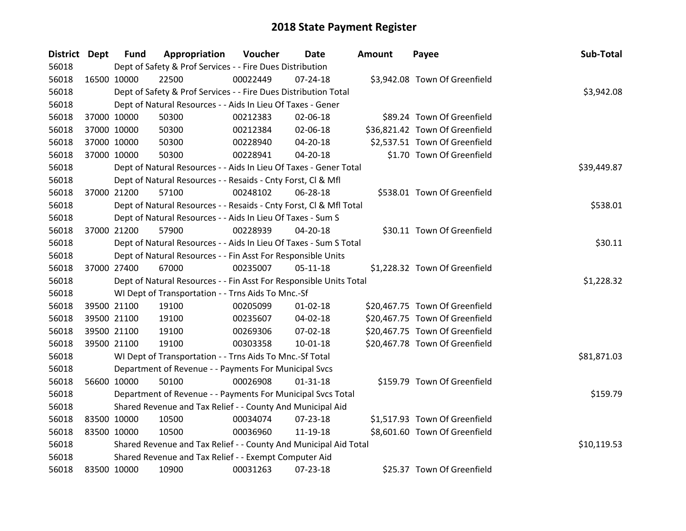| <b>District Dept</b> |             | <b>Fund</b> | Appropriation                                                      | Voucher     | Date           | Amount | Payee                          | Sub-Total   |
|----------------------|-------------|-------------|--------------------------------------------------------------------|-------------|----------------|--------|--------------------------------|-------------|
| 56018                |             |             | Dept of Safety & Prof Services - - Fire Dues Distribution          |             |                |        |                                |             |
| 56018                | 16500 10000 |             | 22500                                                              | 00022449    | $07 - 24 - 18$ |        | \$3,942.08 Town Of Greenfield  |             |
| 56018                |             |             | Dept of Safety & Prof Services - - Fire Dues Distribution Total    |             |                |        |                                | \$3,942.08  |
| 56018                |             |             | Dept of Natural Resources - - Aids In Lieu Of Taxes - Gener        |             |                |        |                                |             |
| 56018                |             | 37000 10000 | 50300                                                              | 00212383    | 02-06-18       |        | \$89.24 Town Of Greenfield     |             |
| 56018                |             | 37000 10000 | 50300                                                              | 00212384    | 02-06-18       |        | \$36,821.42 Town Of Greenfield |             |
| 56018                | 37000 10000 |             | 50300                                                              | 00228940    | 04-20-18       |        | \$2,537.51 Town Of Greenfield  |             |
| 56018                |             | 37000 10000 | 50300                                                              | 00228941    | 04-20-18       |        | \$1.70 Town Of Greenfield      |             |
| 56018                |             |             | Dept of Natural Resources - - Aids In Lieu Of Taxes - Gener Total  | \$39,449.87 |                |        |                                |             |
| 56018                |             |             | Dept of Natural Resources - - Resaids - Cnty Forst, Cl & Mfl       |             |                |        |                                |             |
| 56018                |             | 37000 21200 | 57100                                                              | 00248102    | 06-28-18       |        | \$538.01 Town Of Greenfield    |             |
| 56018                |             |             | Dept of Natural Resources - - Resaids - Cnty Forst, Cl & Mfl Total |             |                |        |                                | \$538.01    |
| 56018                |             |             | Dept of Natural Resources - - Aids In Lieu Of Taxes - Sum S        |             |                |        |                                |             |
| 56018                | 37000 21200 |             | 57900                                                              | 00228939    | 04-20-18       |        | \$30.11 Town Of Greenfield     |             |
| 56018                |             |             | Dept of Natural Resources - - Aids In Lieu Of Taxes - Sum S Total  | \$30.11     |                |        |                                |             |
| 56018                |             |             | Dept of Natural Resources - - Fin Asst For Responsible Units       |             |                |        |                                |             |
| 56018                |             | 37000 27400 | 67000                                                              | 00235007    | $05 - 11 - 18$ |        | \$1,228.32 Town Of Greenfield  |             |
| 56018                |             |             | Dept of Natural Resources - - Fin Asst For Responsible Units Total |             |                |        |                                | \$1,228.32  |
| 56018                |             |             | WI Dept of Transportation - - Trns Aids To Mnc.-Sf                 |             |                |        |                                |             |
| 56018                |             | 39500 21100 | 19100                                                              | 00205099    | $01 - 02 - 18$ |        | \$20,467.75 Town Of Greenfield |             |
| 56018                | 39500 21100 |             | 19100                                                              | 00235607    | 04-02-18       |        | \$20,467.75 Town Of Greenfield |             |
| 56018                | 39500 21100 |             | 19100                                                              | 00269306    | 07-02-18       |        | \$20,467.75 Town Of Greenfield |             |
| 56018                |             | 39500 21100 | 19100                                                              | 00303358    | 10-01-18       |        | \$20,467.78 Town Of Greenfield |             |
| 56018                |             |             | WI Dept of Transportation - - Trns Aids To Mnc.-Sf Total           |             |                |        |                                | \$81,871.03 |
| 56018                |             |             | Department of Revenue - - Payments For Municipal Svcs              |             |                |        |                                |             |
| 56018                | 56600 10000 |             | 50100                                                              | 00026908    | $01 - 31 - 18$ |        | \$159.79 Town Of Greenfield    |             |
| 56018                |             |             | Department of Revenue - - Payments For Municipal Svcs Total        |             |                |        |                                | \$159.79    |
| 56018                |             |             | Shared Revenue and Tax Relief - - County And Municipal Aid         |             |                |        |                                |             |
| 56018                | 83500 10000 |             | 10500                                                              | 00034074    | 07-23-18       |        | \$1,517.93 Town Of Greenfield  |             |
| 56018                | 83500 10000 |             | 10500                                                              | 00036960    | 11-19-18       |        | \$8,601.60 Town Of Greenfield  |             |
| 56018                |             |             | Shared Revenue and Tax Relief - - County And Municipal Aid Total   |             |                |        |                                | \$10,119.53 |
| 56018                |             |             | Shared Revenue and Tax Relief - - Exempt Computer Aid              |             |                |        |                                |             |
| 56018                | 83500 10000 |             | 10900                                                              | 00031263    | 07-23-18       |        | \$25.37 Town Of Greenfield     |             |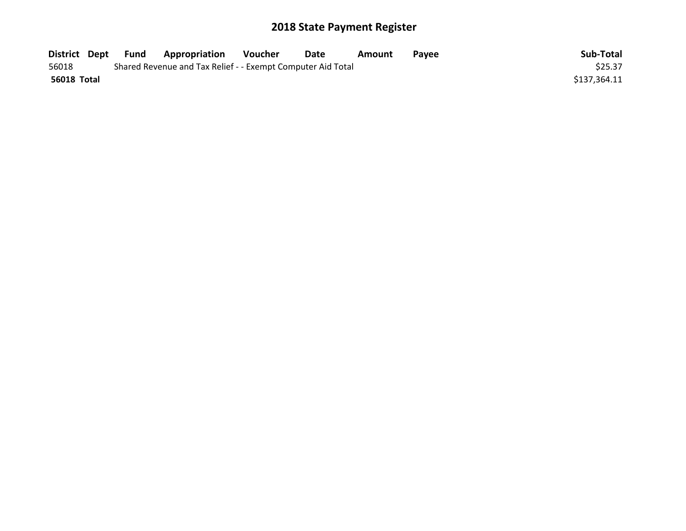| District Dept | Fund | <b>Surfa</b> Appropriation                                  | Voucher | Date | Amount | Pavee | Sub-Total    |
|---------------|------|-------------------------------------------------------------|---------|------|--------|-------|--------------|
| 56018         |      | Shared Revenue and Tax Relief - - Exempt Computer Aid Total |         |      |        |       | \$25.37      |
| 56018 Total   |      |                                                             |         |      |        |       | \$137,364.11 |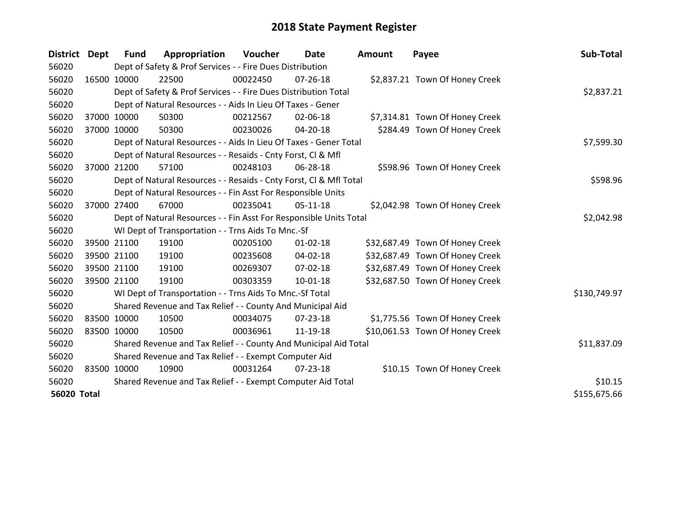| District Dept      |             | <b>Fund</b>                                           | Appropriation                                                      | Voucher  | <b>Date</b>    | <b>Amount</b> | Payee                           | Sub-Total    |
|--------------------|-------------|-------------------------------------------------------|--------------------------------------------------------------------|----------|----------------|---------------|---------------------------------|--------------|
| 56020              |             |                                                       | Dept of Safety & Prof Services - - Fire Dues Distribution          |          |                |               |                                 |              |
| 56020              | 16500 10000 |                                                       | 22500                                                              | 00022450 | $07 - 26 - 18$ |               | \$2,837.21 Town Of Honey Creek  |              |
| 56020              |             |                                                       | Dept of Safety & Prof Services - - Fire Dues Distribution Total    |          |                |               |                                 | \$2,837.21   |
| 56020              |             |                                                       | Dept of Natural Resources - - Aids In Lieu Of Taxes - Gener        |          |                |               |                                 |              |
| 56020              | 37000 10000 |                                                       | 50300                                                              | 00212567 | 02-06-18       |               | \$7,314.81 Town Of Honey Creek  |              |
| 56020              | 37000 10000 |                                                       | 50300                                                              | 00230026 | 04-20-18       |               | \$284.49 Town Of Honey Creek    |              |
| 56020              |             |                                                       | Dept of Natural Resources - - Aids In Lieu Of Taxes - Gener Total  |          |                |               |                                 | \$7,599.30   |
| 56020              |             |                                                       | Dept of Natural Resources - - Resaids - Cnty Forst, CI & Mfl       |          |                |               |                                 |              |
| 56020              |             | 37000 21200                                           | 57100                                                              | 00248103 | 06-28-18       |               | \$598.96 Town Of Honey Creek    |              |
| 56020              |             |                                                       | Dept of Natural Resources - - Resaids - Cnty Forst, Cl & Mfl Total |          |                |               |                                 | \$598.96     |
| 56020              |             |                                                       | Dept of Natural Resources - - Fin Asst For Responsible Units       |          |                |               |                                 |              |
| 56020              |             | 37000 27400                                           | 67000                                                              | 00235041 | 05-11-18       |               | \$2,042.98 Town Of Honey Creek  |              |
| 56020              |             |                                                       | Dept of Natural Resources - - Fin Asst For Responsible Units Total |          |                |               |                                 | \$2,042.98   |
| 56020              |             |                                                       | WI Dept of Transportation - - Trns Aids To Mnc.-Sf                 |          |                |               |                                 |              |
| 56020              |             | 39500 21100                                           | 19100                                                              | 00205100 | $01 - 02 - 18$ |               | \$32,687.49 Town Of Honey Creek |              |
| 56020              |             | 39500 21100                                           | 19100                                                              | 00235608 | $04 - 02 - 18$ |               | \$32,687.49 Town Of Honey Creek |              |
| 56020              |             | 39500 21100                                           | 19100                                                              | 00269307 | 07-02-18       |               | \$32,687.49 Town Of Honey Creek |              |
| 56020              |             | 39500 21100                                           | 19100                                                              | 00303359 | $10 - 01 - 18$ |               | \$32,687.50 Town Of Honey Creek |              |
| 56020              |             |                                                       | WI Dept of Transportation - - Trns Aids To Mnc.-Sf Total           |          |                |               |                                 | \$130,749.97 |
| 56020              |             |                                                       | Shared Revenue and Tax Relief - - County And Municipal Aid         |          |                |               |                                 |              |
| 56020              |             | 83500 10000                                           | 10500                                                              | 00034075 | $07 - 23 - 18$ |               | \$1,775.56 Town Of Honey Creek  |              |
| 56020              | 83500 10000 |                                                       | 10500                                                              | 00036961 | 11-19-18       |               | \$10,061.53 Town Of Honey Creek |              |
| 56020              |             |                                                       | Shared Revenue and Tax Relief - - County And Municipal Aid Total   |          |                |               |                                 | \$11,837.09  |
| 56020              |             | Shared Revenue and Tax Relief - - Exempt Computer Aid |                                                                    |          |                |               |                                 |              |
| 56020              | 83500 10000 |                                                       | 10900                                                              | 00031264 | $07 - 23 - 18$ |               | \$10.15 Town Of Honey Creek     |              |
| 56020              |             |                                                       | Shared Revenue and Tax Relief - - Exempt Computer Aid Total        |          |                |               |                                 | \$10.15      |
| <b>56020 Total</b> |             |                                                       |                                                                    |          |                |               |                                 | \$155,675.66 |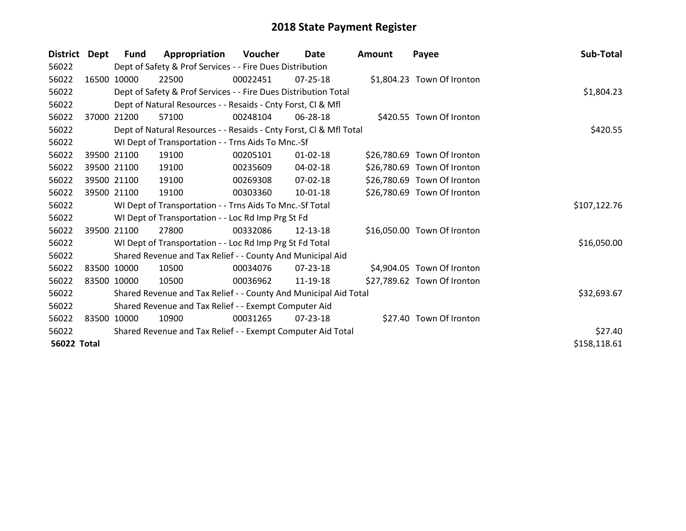| <b>District</b>    | Dept | <b>Fund</b> | Appropriation                                                      | Voucher  | Date           | <b>Amount</b> | Payee                       | Sub-Total    |
|--------------------|------|-------------|--------------------------------------------------------------------|----------|----------------|---------------|-----------------------------|--------------|
| 56022              |      |             | Dept of Safety & Prof Services - - Fire Dues Distribution          |          |                |               |                             |              |
| 56022              |      | 16500 10000 | 22500                                                              | 00022451 | $07 - 25 - 18$ |               | \$1,804.23 Town Of Ironton  |              |
| 56022              |      |             | Dept of Safety & Prof Services - - Fire Dues Distribution Total    |          |                |               |                             | \$1,804.23   |
| 56022              |      |             | Dept of Natural Resources - - Resaids - Cnty Forst, CI & Mfl       |          |                |               |                             |              |
| 56022              |      | 37000 21200 | 57100                                                              | 00248104 | 06-28-18       |               | \$420.55 Town Of Ironton    |              |
| 56022              |      |             | Dept of Natural Resources - - Resaids - Cnty Forst, CI & Mfl Total |          |                |               |                             | \$420.55     |
| 56022              |      |             | WI Dept of Transportation - - Trns Aids To Mnc.-Sf                 |          |                |               |                             |              |
| 56022              |      | 39500 21100 | 19100                                                              | 00205101 | $01 - 02 - 18$ |               | \$26,780.69 Town Of Ironton |              |
| 56022              |      | 39500 21100 | 19100                                                              | 00235609 | 04-02-18       |               | \$26,780.69 Town Of Ironton |              |
| 56022              |      | 39500 21100 | 19100                                                              | 00269308 | $07-02-18$     |               | \$26,780.69 Town Of Ironton |              |
| 56022              |      | 39500 21100 | 19100                                                              | 00303360 | 10-01-18       |               | \$26,780.69 Town Of Ironton |              |
| 56022              |      |             | WI Dept of Transportation - - Trns Aids To Mnc.-Sf Total           |          |                |               |                             | \$107,122.76 |
| 56022              |      |             | WI Dept of Transportation - - Loc Rd Imp Prg St Fd                 |          |                |               |                             |              |
| 56022              |      | 39500 21100 | 27800                                                              | 00332086 | 12-13-18       |               | \$16,050.00 Town Of Ironton |              |
| 56022              |      |             | WI Dept of Transportation - - Loc Rd Imp Prg St Fd Total           |          |                |               |                             | \$16,050.00  |
| 56022              |      |             | Shared Revenue and Tax Relief - - County And Municipal Aid         |          |                |               |                             |              |
| 56022              |      | 83500 10000 | 10500                                                              | 00034076 | 07-23-18       |               | \$4,904.05 Town Of Ironton  |              |
| 56022              |      | 83500 10000 | 10500                                                              | 00036962 | 11-19-18       |               | \$27,789.62 Town Of Ironton |              |
| 56022              |      |             | Shared Revenue and Tax Relief - - County And Municipal Aid Total   |          |                |               |                             | \$32,693.67  |
| 56022              |      |             | Shared Revenue and Tax Relief - - Exempt Computer Aid              |          |                |               |                             |              |
| 56022              |      | 83500 10000 | 10900                                                              | 00031265 | 07-23-18       |               | \$27.40 Town Of Ironton     |              |
| 56022              |      |             | Shared Revenue and Tax Relief - - Exempt Computer Aid Total        |          |                |               |                             | \$27.40      |
| <b>56022 Total</b> |      |             |                                                                    |          |                |               |                             | \$158,118.61 |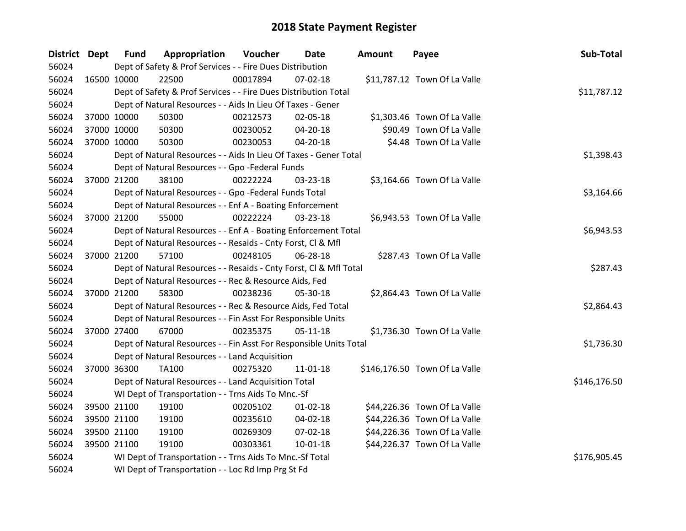| District Dept |             | <b>Fund</b> | Appropriation                                                      | Voucher      | <b>Date</b>    | Amount | Payee                         | Sub-Total    |
|---------------|-------------|-------------|--------------------------------------------------------------------|--------------|----------------|--------|-------------------------------|--------------|
| 56024         |             |             | Dept of Safety & Prof Services - - Fire Dues Distribution          |              |                |        |                               |              |
| 56024         | 16500 10000 |             | 22500                                                              | 00017894     | 07-02-18       |        | \$11,787.12 Town Of La Valle  |              |
| 56024         |             |             | Dept of Safety & Prof Services - - Fire Dues Distribution Total    |              |                |        |                               | \$11,787.12  |
| 56024         |             |             | Dept of Natural Resources - - Aids In Lieu Of Taxes - Gener        |              |                |        |                               |              |
| 56024         |             | 37000 10000 | 50300                                                              | 00212573     | 02-05-18       |        | \$1,303.46 Town Of La Valle   |              |
| 56024         | 37000 10000 |             | 50300                                                              | 00230052     | 04-20-18       |        | \$90.49 Town Of La Valle      |              |
| 56024         | 37000 10000 |             | 50300                                                              | 00230053     | 04-20-18       |        | \$4.48 Town Of La Valle       |              |
| 56024         |             |             | Dept of Natural Resources - - Aids In Lieu Of Taxes - Gener Total  |              | \$1,398.43     |        |                               |              |
| 56024         |             |             | Dept of Natural Resources - - Gpo -Federal Funds                   |              |                |        |                               |              |
| 56024         |             | 37000 21200 | 38100                                                              | 00222224     | 03-23-18       |        | \$3,164.66 Town Of La Valle   |              |
| 56024         |             |             | Dept of Natural Resources - - Gpo -Federal Funds Total             |              |                |        |                               | \$3,164.66   |
| 56024         |             |             | Dept of Natural Resources - - Enf A - Boating Enforcement          |              |                |        |                               |              |
| 56024         |             | 37000 21200 | 55000                                                              | 00222224     | 03-23-18       |        | \$6,943.53 Town Of La Valle   |              |
| 56024         |             |             | Dept of Natural Resources - - Enf A - Boating Enforcement Total    |              |                |        |                               | \$6,943.53   |
| 56024         |             |             | Dept of Natural Resources - - Resaids - Cnty Forst, CI & Mfl       |              |                |        |                               |              |
| 56024         |             | 37000 21200 | 57100                                                              | 00248105     | 06-28-18       |        | \$287.43 Town Of La Valle     |              |
| 56024         |             |             | Dept of Natural Resources - - Resaids - Cnty Forst, CI & Mfl Total |              |                |        |                               | \$287.43     |
| 56024         |             |             | Dept of Natural Resources - - Rec & Resource Aids, Fed             |              |                |        |                               |              |
| 56024         | 37000 21200 |             | 58300                                                              | 00238236     | 05-30-18       |        | \$2,864.43 Town Of La Valle   |              |
| 56024         |             |             | Dept of Natural Resources - - Rec & Resource Aids, Fed Total       |              |                |        |                               | \$2,864.43   |
| 56024         |             |             | Dept of Natural Resources - - Fin Asst For Responsible Units       |              |                |        |                               |              |
| 56024         | 37000 27400 |             | 67000                                                              | 00235375     | 05-11-18       |        | \$1,736.30 Town Of La Valle   |              |
| 56024         |             |             | Dept of Natural Resources - - Fin Asst For Responsible Units Total |              |                |        |                               | \$1,736.30   |
| 56024         |             |             | Dept of Natural Resources - - Land Acquisition                     |              |                |        |                               |              |
| 56024         | 37000 36300 |             | TA100                                                              | 00275320     | 11-01-18       |        | \$146,176.50 Town Of La Valle |              |
| 56024         |             |             | Dept of Natural Resources - - Land Acquisition Total               |              |                |        |                               | \$146,176.50 |
| 56024         |             |             | WI Dept of Transportation - - Trns Aids To Mnc.-Sf                 |              |                |        |                               |              |
| 56024         | 39500 21100 |             | 19100                                                              | 00205102     | $01 - 02 - 18$ |        | \$44,226.36 Town Of La Valle  |              |
| 56024         |             | 39500 21100 | 19100                                                              | 00235610     | 04-02-18       |        | \$44,226.36 Town Of La Valle  |              |
| 56024         |             | 39500 21100 | 19100                                                              | 00269309     | 07-02-18       |        | \$44,226.36 Town Of La Valle  |              |
| 56024         | 39500 21100 |             | 19100                                                              | 00303361     | $10 - 01 - 18$ |        | \$44,226.37 Town Of La Valle  |              |
| 56024         |             |             | WI Dept of Transportation - - Trns Aids To Mnc.-Sf Total           | \$176,905.45 |                |        |                               |              |
| 56024         |             |             | WI Dept of Transportation - - Loc Rd Imp Prg St Fd                 |              |                |        |                               |              |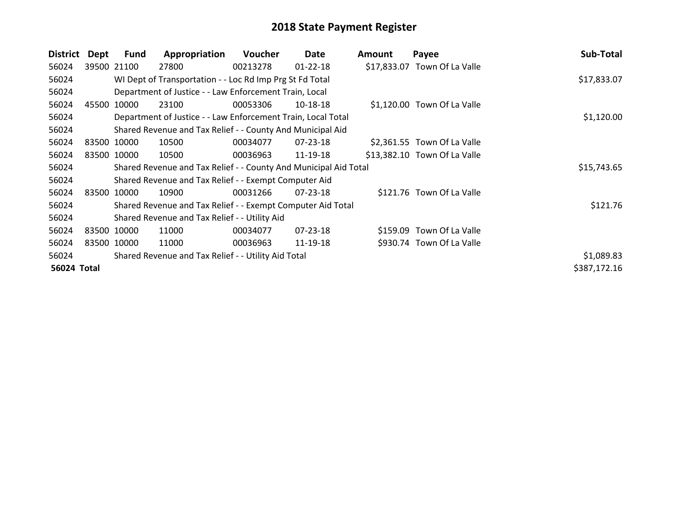| <b>District</b> | Dept | <b>Fund</b> | Appropriation                                                    | <b>Voucher</b> | Date           | <b>Amount</b> | Payee                        | Sub-Total    |
|-----------------|------|-------------|------------------------------------------------------------------|----------------|----------------|---------------|------------------------------|--------------|
| 56024           |      | 39500 21100 | 27800                                                            | 00213278       | $01 - 22 - 18$ |               | \$17,833.07 Town Of La Valle |              |
| 56024           |      |             | WI Dept of Transportation - - Loc Rd Imp Prg St Fd Total         |                |                |               |                              | \$17,833.07  |
| 56024           |      |             | Department of Justice - - Law Enforcement Train, Local           |                |                |               |                              |              |
| 56024           |      | 45500 10000 | 23100                                                            | 00053306       | 10-18-18       |               | \$1,120.00 Town Of La Valle  |              |
| 56024           |      |             | Department of Justice - - Law Enforcement Train, Local Total     |                |                |               |                              | \$1,120.00   |
| 56024           |      |             | Shared Revenue and Tax Relief - - County And Municipal Aid       |                |                |               |                              |              |
| 56024           |      | 83500 10000 | 10500                                                            | 00034077       | $07 - 23 - 18$ |               | \$2,361.55 Town Of La Valle  |              |
| 56024           |      | 83500 10000 | 10500                                                            | 00036963       | 11-19-18       |               | \$13,382.10 Town Of La Valle |              |
| 56024           |      |             | Shared Revenue and Tax Relief - - County And Municipal Aid Total |                |                |               |                              | \$15,743.65  |
| 56024           |      |             | Shared Revenue and Tax Relief - - Exempt Computer Aid            |                |                |               |                              |              |
| 56024           |      | 83500 10000 | 10900                                                            | 00031266       | $07 - 23 - 18$ |               | \$121.76 Town Of La Valle    |              |
| 56024           |      |             | Shared Revenue and Tax Relief - - Exempt Computer Aid Total      |                |                |               |                              | \$121.76     |
| 56024           |      |             | Shared Revenue and Tax Relief - - Utility Aid                    |                |                |               |                              |              |
| 56024           |      | 83500 10000 | 11000                                                            | 00034077       | 07-23-18       |               | \$159.09 Town Of La Valle    |              |
| 56024           |      | 83500 10000 | 11000                                                            | 00036963       | 11-19-18       |               | \$930.74 Town Of La Valle    |              |
| 56024           |      |             | Shared Revenue and Tax Relief - - Utility Aid Total              |                |                |               |                              | \$1,089.83   |
| 56024 Total     |      |             |                                                                  |                |                |               |                              | \$387,172.16 |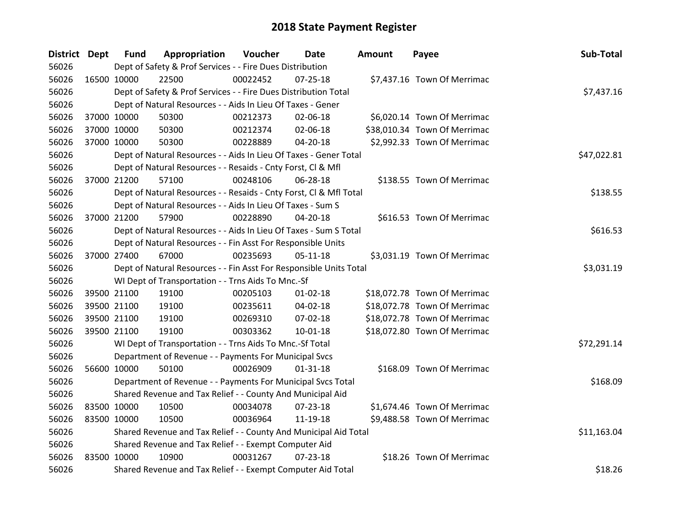| District Dept |             | <b>Fund</b> | Appropriation                                                      | Voucher     | Date           | Amount | Payee                        | Sub-Total   |
|---------------|-------------|-------------|--------------------------------------------------------------------|-------------|----------------|--------|------------------------------|-------------|
| 56026         |             |             | Dept of Safety & Prof Services - - Fire Dues Distribution          |             |                |        |                              |             |
| 56026         | 16500 10000 |             | 22500                                                              | 00022452    | $07 - 25 - 18$ |        | \$7,437.16 Town Of Merrimac  |             |
| 56026         |             |             | Dept of Safety & Prof Services - - Fire Dues Distribution Total    |             |                |        |                              | \$7,437.16  |
| 56026         |             |             | Dept of Natural Resources - - Aids In Lieu Of Taxes - Gener        |             |                |        |                              |             |
| 56026         |             | 37000 10000 | 50300                                                              | 00212373    | 02-06-18       |        | \$6,020.14 Town Of Merrimac  |             |
| 56026         |             | 37000 10000 | 50300                                                              | 00212374    | 02-06-18       |        | \$38,010.34 Town Of Merrimac |             |
| 56026         | 37000 10000 |             | 50300                                                              | 00228889    | $04 - 20 - 18$ |        | \$2,992.33 Town Of Merrimac  |             |
| 56026         |             |             | Dept of Natural Resources - - Aids In Lieu Of Taxes - Gener Total  | \$47,022.81 |                |        |                              |             |
| 56026         |             |             | Dept of Natural Resources - - Resaids - Cnty Forst, CI & Mfl       |             |                |        |                              |             |
| 56026         | 37000 21200 |             | 57100                                                              | 00248106    | 06-28-18       |        | \$138.55 Town Of Merrimac    |             |
| 56026         |             |             | Dept of Natural Resources - - Resaids - Cnty Forst, CI & Mfl Total |             |                |        |                              | \$138.55    |
| 56026         |             |             | Dept of Natural Resources - - Aids In Lieu Of Taxes - Sum S        |             |                |        |                              |             |
| 56026         |             | 37000 21200 | 57900                                                              | 00228890    | 04-20-18       |        | \$616.53 Town Of Merrimac    |             |
| 56026         |             |             | Dept of Natural Resources - - Aids In Lieu Of Taxes - Sum S Total  |             |                |        |                              | \$616.53    |
| 56026         |             |             | Dept of Natural Resources - - Fin Asst For Responsible Units       |             |                |        |                              |             |
| 56026         | 37000 27400 |             | 67000                                                              | 00235693    | $05 - 11 - 18$ |        | \$3,031.19 Town Of Merrimac  |             |
| 56026         |             |             | Dept of Natural Resources - - Fin Asst For Responsible Units Total |             |                |        |                              | \$3,031.19  |
| 56026         |             |             | WI Dept of Transportation - - Trns Aids To Mnc.-Sf                 |             |                |        |                              |             |
| 56026         |             | 39500 21100 | 19100                                                              | 00205103    | $01 - 02 - 18$ |        | \$18,072.78 Town Of Merrimac |             |
| 56026         |             | 39500 21100 | 19100                                                              | 00235611    | 04-02-18       |        | \$18,072.78 Town Of Merrimac |             |
| 56026         |             | 39500 21100 | 19100                                                              | 00269310    | 07-02-18       |        | \$18,072.78 Town Of Merrimac |             |
| 56026         | 39500 21100 |             | 19100                                                              | 00303362    | $10-01-18$     |        | \$18,072.80 Town Of Merrimac |             |
| 56026         |             |             | WI Dept of Transportation - - Trns Aids To Mnc.-Sf Total           |             |                |        |                              | \$72,291.14 |
| 56026         |             |             | Department of Revenue - - Payments For Municipal Svcs              |             |                |        |                              |             |
| 56026         | 56600 10000 |             | 50100                                                              | 00026909    | $01 - 31 - 18$ |        | \$168.09 Town Of Merrimac    |             |
| 56026         |             |             | Department of Revenue - - Payments For Municipal Svcs Total        |             |                |        |                              | \$168.09    |
| 56026         |             |             | Shared Revenue and Tax Relief - - County And Municipal Aid         |             |                |        |                              |             |
| 56026         | 83500 10000 |             | 10500                                                              | 00034078    | 07-23-18       |        | \$1,674.46 Town Of Merrimac  |             |
| 56026         | 83500 10000 |             | 10500                                                              | 00036964    | 11-19-18       |        | \$9,488.58 Town Of Merrimac  |             |
| 56026         |             |             | Shared Revenue and Tax Relief - - County And Municipal Aid Total   |             |                |        |                              | \$11,163.04 |
| 56026         |             |             | Shared Revenue and Tax Relief - - Exempt Computer Aid              |             |                |        |                              |             |
| 56026         | 83500 10000 |             | 10900                                                              | 00031267    | $07 - 23 - 18$ |        | \$18.26 Town Of Merrimac     |             |
| 56026         |             |             | Shared Revenue and Tax Relief - - Exempt Computer Aid Total        |             |                |        |                              | \$18.26     |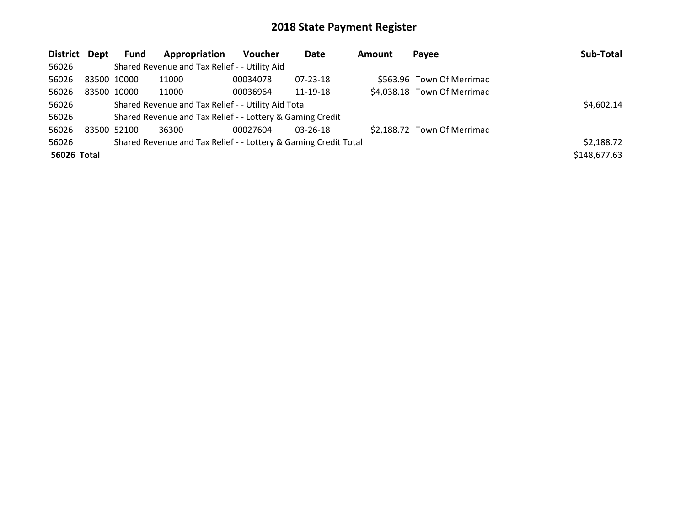| District Dept |             | <b>Fund</b> | Appropriation                                                   | <b>Voucher</b> | Date           | Amount | Payee                       | Sub-Total    |
|---------------|-------------|-------------|-----------------------------------------------------------------|----------------|----------------|--------|-----------------------------|--------------|
| 56026         |             |             | Shared Revenue and Tax Relief - - Utility Aid                   |                |                |        |                             |              |
| 56026         | 83500 10000 |             | 11000                                                           | 00034078       | $07 - 23 - 18$ |        | \$563.96 Town Of Merrimac   |              |
| 56026         | 83500 10000 |             | 11000                                                           | 00036964       | 11-19-18       |        | \$4,038.18 Town Of Merrimac |              |
| 56026         |             |             | Shared Revenue and Tax Relief - - Utility Aid Total             |                |                |        |                             | \$4,602.14   |
| 56026         |             |             | Shared Revenue and Tax Relief - - Lottery & Gaming Credit       |                |                |        |                             |              |
| 56026         | 83500 52100 |             | 36300                                                           | 00027604       | 03-26-18       |        | \$2,188.72 Town Of Merrimac |              |
| 56026         |             |             | Shared Revenue and Tax Relief - - Lottery & Gaming Credit Total |                |                |        |                             | \$2,188.72   |
| 56026 Total   |             |             |                                                                 |                |                |        |                             | \$148,677.63 |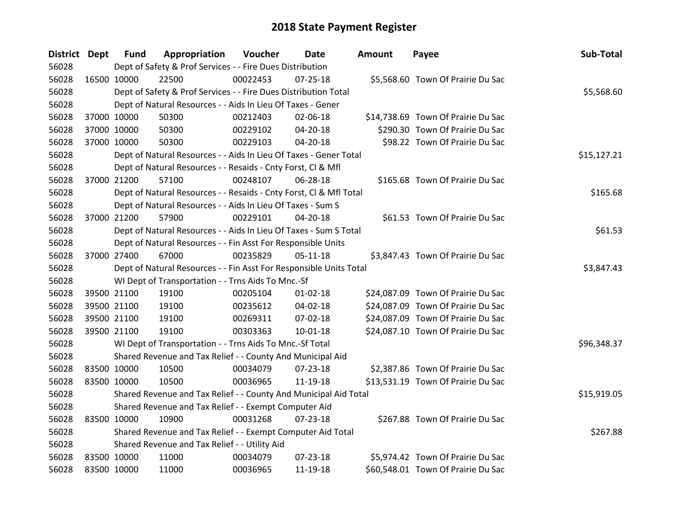| District Dept | <b>Fund</b> | Appropriation                                                      | Voucher  | <b>Date</b>    | <b>Amount</b> | Payee                              | Sub-Total   |
|---------------|-------------|--------------------------------------------------------------------|----------|----------------|---------------|------------------------------------|-------------|
| 56028         |             | Dept of Safety & Prof Services - - Fire Dues Distribution          |          |                |               |                                    |             |
| 56028         | 16500 10000 | 22500                                                              | 00022453 | $07 - 25 - 18$ |               | \$5,568.60 Town Of Prairie Du Sac  |             |
| 56028         |             | Dept of Safety & Prof Services - - Fire Dues Distribution Total    |          |                |               |                                    | \$5,568.60  |
| 56028         |             | Dept of Natural Resources - - Aids In Lieu Of Taxes - Gener        |          |                |               |                                    |             |
| 56028         | 37000 10000 | 50300                                                              | 00212403 | 02-06-18       |               | \$14,738.69 Town Of Prairie Du Sac |             |
| 56028         | 37000 10000 | 50300                                                              | 00229102 | 04-20-18       |               | \$290.30 Town Of Prairie Du Sac    |             |
| 56028         | 37000 10000 | 50300                                                              | 00229103 | $04 - 20 - 18$ |               | \$98.22 Town Of Prairie Du Sac     |             |
| 56028         |             | Dept of Natural Resources - - Aids In Lieu Of Taxes - Gener Total  |          |                |               |                                    | \$15,127.21 |
| 56028         |             | Dept of Natural Resources - - Resaids - Cnty Forst, Cl & Mfl       |          |                |               |                                    |             |
| 56028         | 37000 21200 | 57100                                                              | 00248107 | 06-28-18       |               | \$165.68 Town Of Prairie Du Sac    |             |
| 56028         |             | Dept of Natural Resources - - Resaids - Cnty Forst, CI & Mfl Total |          |                |               |                                    | \$165.68    |
| 56028         |             | Dept of Natural Resources - - Aids In Lieu Of Taxes - Sum S        |          |                |               |                                    |             |
| 56028         | 37000 21200 | 57900                                                              | 00229101 | 04-20-18       |               | \$61.53 Town Of Prairie Du Sac     |             |
| 56028         |             | Dept of Natural Resources - - Aids In Lieu Of Taxes - Sum S Total  |          |                |               |                                    | \$61.53     |
| 56028         |             | Dept of Natural Resources - - Fin Asst For Responsible Units       |          |                |               |                                    |             |
| 56028         | 37000 27400 | 67000                                                              | 00235829 | $05-11-18$     |               | \$3,847.43 Town Of Prairie Du Sac  |             |
| 56028         |             | Dept of Natural Resources - - Fin Asst For Responsible Units Total |          |                |               |                                    | \$3,847.43  |
| 56028         |             | WI Dept of Transportation - - Trns Aids To Mnc.-Sf                 |          |                |               |                                    |             |
| 56028         | 39500 21100 | 19100                                                              | 00205104 | $01 - 02 - 18$ |               | \$24,087.09 Town Of Prairie Du Sac |             |
| 56028         | 39500 21100 | 19100                                                              | 00235612 | 04-02-18       |               | \$24,087.09 Town Of Prairie Du Sac |             |
| 56028         | 39500 21100 | 19100                                                              | 00269311 | 07-02-18       |               | \$24,087.09 Town Of Prairie Du Sac |             |
| 56028         | 39500 21100 | 19100                                                              | 00303363 | 10-01-18       |               | \$24,087.10 Town Of Prairie Du Sac |             |
| 56028         |             | WI Dept of Transportation - - Trns Aids To Mnc.-Sf Total           |          |                |               |                                    | \$96,348.37 |
| 56028         |             | Shared Revenue and Tax Relief - - County And Municipal Aid         |          |                |               |                                    |             |
| 56028         | 83500 10000 | 10500                                                              | 00034079 | 07-23-18       |               | \$2,387.86 Town Of Prairie Du Sac  |             |
| 56028         | 83500 10000 | 10500                                                              | 00036965 | 11-19-18       |               | \$13,531.19 Town Of Prairie Du Sac |             |
| 56028         |             | Shared Revenue and Tax Relief - - County And Municipal Aid Total   |          |                |               |                                    | \$15,919.05 |
| 56028         |             | Shared Revenue and Tax Relief - - Exempt Computer Aid              |          |                |               |                                    |             |
| 56028         | 83500 10000 | 10900                                                              | 00031268 | $07 - 23 - 18$ |               | \$267.88 Town Of Prairie Du Sac    |             |
| 56028         |             | Shared Revenue and Tax Relief - - Exempt Computer Aid Total        |          |                |               |                                    | \$267.88    |
| 56028         |             | Shared Revenue and Tax Relief - - Utility Aid                      |          |                |               |                                    |             |
| 56028         | 83500 10000 | 11000                                                              | 00034079 | $07 - 23 - 18$ |               | \$5,974.42 Town Of Prairie Du Sac  |             |
| 56028         | 83500 10000 | 11000                                                              | 00036965 | 11-19-18       |               | \$60,548.01 Town Of Prairie Du Sac |             |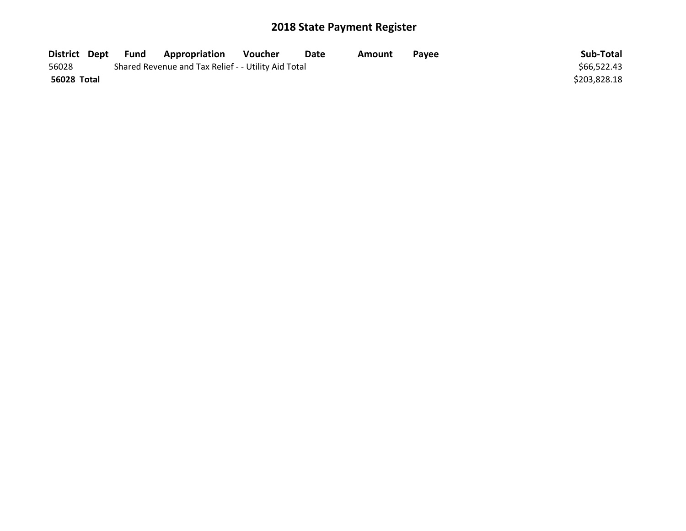| District Dept | Fund | <b>Appropriation</b>                                | Voucher | Date | Amount | <b>Pavee</b> | Sub-Total    |
|---------------|------|-----------------------------------------------------|---------|------|--------|--------------|--------------|
| 56028         |      | Shared Revenue and Tax Relief - - Utility Aid Total |         |      |        |              | \$66,522.43  |
| 56028 Total   |      |                                                     |         |      |        |              | \$203,828.18 |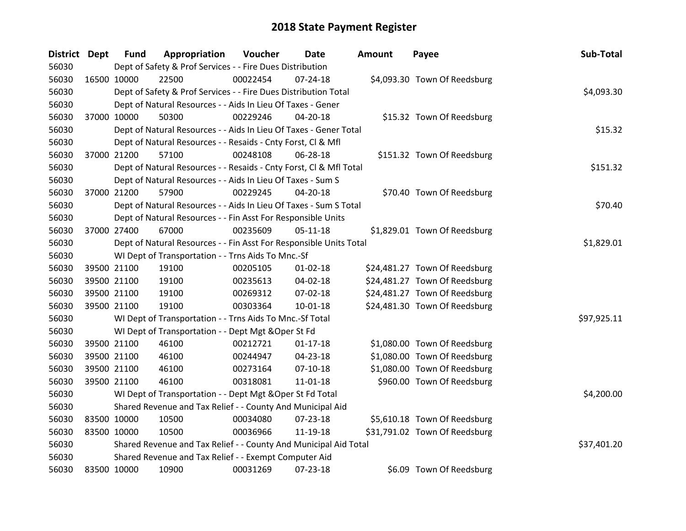| <b>District Dept</b> |                                                                    | <b>Fund</b>                                        | Appropriation                                                      | Voucher  | Date           | Amount | Payee                         | Sub-Total   |  |
|----------------------|--------------------------------------------------------------------|----------------------------------------------------|--------------------------------------------------------------------|----------|----------------|--------|-------------------------------|-------------|--|
| 56030                |                                                                    |                                                    | Dept of Safety & Prof Services - - Fire Dues Distribution          |          |                |        |                               |             |  |
| 56030                | 16500 10000                                                        |                                                    | 22500                                                              | 00022454 | $07 - 24 - 18$ |        | \$4,093.30 Town Of Reedsburg  |             |  |
| 56030                |                                                                    |                                                    | Dept of Safety & Prof Services - - Fire Dues Distribution Total    |          |                |        |                               | \$4,093.30  |  |
| 56030                |                                                                    |                                                    | Dept of Natural Resources - - Aids In Lieu Of Taxes - Gener        |          |                |        |                               |             |  |
| 56030                | 37000 10000                                                        |                                                    | 50300                                                              | 00229246 | $04 - 20 - 18$ |        | \$15.32 Town Of Reedsburg     |             |  |
| 56030                |                                                                    |                                                    | Dept of Natural Resources - - Aids In Lieu Of Taxes - Gener Total  |          |                |        |                               | \$15.32     |  |
| 56030                |                                                                    |                                                    | Dept of Natural Resources - - Resaids - Cnty Forst, Cl & Mfl       |          |                |        |                               |             |  |
| 56030                | 37000 21200                                                        |                                                    | 57100                                                              | 00248108 | 06-28-18       |        | \$151.32 Town Of Reedsburg    |             |  |
| 56030                |                                                                    |                                                    | Dept of Natural Resources - - Resaids - Cnty Forst, CI & Mfl Total |          |                |        |                               | \$151.32    |  |
| 56030                |                                                                    |                                                    | Dept of Natural Resources - - Aids In Lieu Of Taxes - Sum S        |          |                |        |                               |             |  |
| 56030                |                                                                    | 37000 21200                                        | 57900                                                              | 00229245 | 04-20-18       |        | \$70.40 Town Of Reedsburg     |             |  |
| 56030                |                                                                    |                                                    | Dept of Natural Resources - - Aids In Lieu Of Taxes - Sum S Total  |          |                |        |                               | \$70.40     |  |
| 56030                |                                                                    |                                                    | Dept of Natural Resources - - Fin Asst For Responsible Units       |          |                |        |                               |             |  |
| 56030                | 37000 27400                                                        |                                                    | 67000                                                              | 00235609 | $05 - 11 - 18$ |        | \$1,829.01 Town Of Reedsburg  |             |  |
| 56030                | Dept of Natural Resources - - Fin Asst For Responsible Units Total |                                                    |                                                                    |          |                |        |                               |             |  |
| 56030                |                                                                    | WI Dept of Transportation - - Trns Aids To Mnc.-Sf |                                                                    |          |                |        |                               |             |  |
| 56030                | 39500 21100                                                        |                                                    | 19100                                                              | 00205105 | $01 - 02 - 18$ |        | \$24,481.27 Town Of Reedsburg |             |  |
| 56030                | 39500 21100                                                        |                                                    | 19100                                                              | 00235613 | 04-02-18       |        | \$24,481.27 Town Of Reedsburg |             |  |
| 56030                |                                                                    | 39500 21100                                        | 19100                                                              | 00269312 | 07-02-18       |        | \$24,481.27 Town Of Reedsburg |             |  |
| 56030                | 39500 21100                                                        |                                                    | 19100                                                              | 00303364 | $10 - 01 - 18$ |        | \$24,481.30 Town Of Reedsburg |             |  |
| 56030                |                                                                    |                                                    | WI Dept of Transportation - - Trns Aids To Mnc.-Sf Total           |          |                |        |                               | \$97,925.11 |  |
| 56030                |                                                                    |                                                    | WI Dept of Transportation - - Dept Mgt & Oper St Fd                |          |                |        |                               |             |  |
| 56030                |                                                                    | 39500 21100                                        | 46100                                                              | 00212721 | $01-17-18$     |        | \$1,080.00 Town Of Reedsburg  |             |  |
| 56030                |                                                                    | 39500 21100                                        | 46100                                                              | 00244947 | 04-23-18       |        | \$1,080.00 Town Of Reedsburg  |             |  |
| 56030                |                                                                    | 39500 21100                                        | 46100                                                              | 00273164 | $07-10-18$     |        | \$1,080.00 Town Of Reedsburg  |             |  |
| 56030                | 39500 21100                                                        |                                                    | 46100                                                              | 00318081 | 11-01-18       |        | \$960.00 Town Of Reedsburg    |             |  |
| 56030                |                                                                    |                                                    | WI Dept of Transportation - - Dept Mgt & Oper St Fd Total          |          |                |        |                               | \$4,200.00  |  |
| 56030                |                                                                    |                                                    | Shared Revenue and Tax Relief - - County And Municipal Aid         |          |                |        |                               |             |  |
| 56030                | 83500 10000                                                        |                                                    | 10500                                                              | 00034080 | 07-23-18       |        | \$5,610.18 Town Of Reedsburg  |             |  |
| 56030                | 83500 10000                                                        |                                                    | 10500                                                              | 00036966 | 11-19-18       |        | \$31,791.02 Town Of Reedsburg |             |  |
| 56030                |                                                                    |                                                    | Shared Revenue and Tax Relief - - County And Municipal Aid Total   |          |                |        |                               | \$37,401.20 |  |
| 56030                |                                                                    |                                                    | Shared Revenue and Tax Relief - - Exempt Computer Aid              |          |                |        |                               |             |  |
| 56030                | 83500 10000                                                        |                                                    | 10900                                                              | 00031269 | 07-23-18       |        | \$6.09 Town Of Reedsburg      |             |  |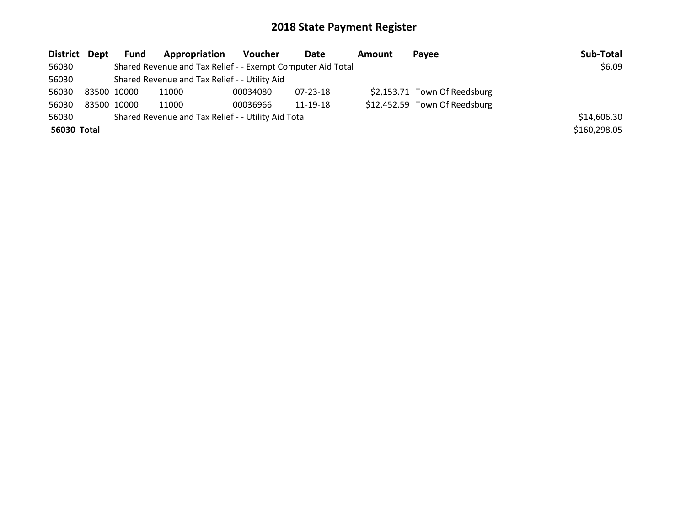| District Dept | Fund        | Appropriation                                               | <b>Voucher</b> | Date     | <b>Amount</b> | Pavee                         | Sub-Total    |
|---------------|-------------|-------------------------------------------------------------|----------------|----------|---------------|-------------------------------|--------------|
| 56030         |             | Shared Revenue and Tax Relief - - Exempt Computer Aid Total |                |          |               |                               | \$6.09       |
| 56030         |             | Shared Revenue and Tax Relief - - Utility Aid               |                |          |               |                               |              |
| 56030         | 83500 10000 | 11000                                                       | 00034080       | 07-23-18 |               | \$2,153.71 Town Of Reedsburg  |              |
| 56030         | 83500 10000 | 11000                                                       | 00036966       | 11-19-18 |               | \$12,452.59 Town Of Reedsburg |              |
| 56030         |             | Shared Revenue and Tax Relief - - Utility Aid Total         |                |          |               |                               | \$14,606.30  |
| 56030 Total   |             |                                                             |                |          |               |                               | \$160,298.05 |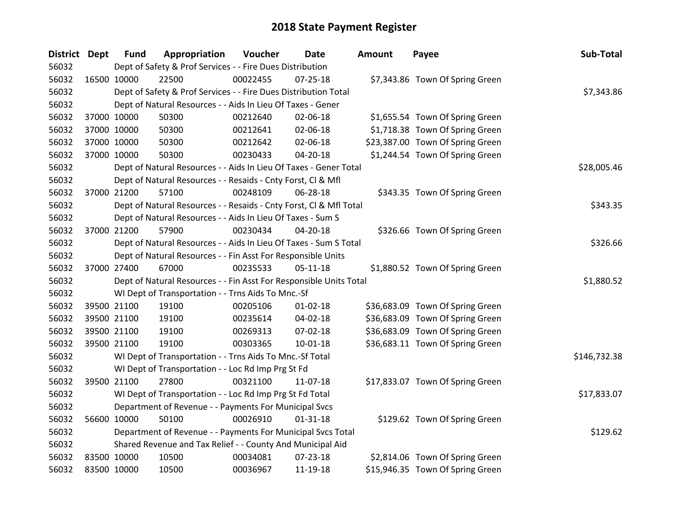| District Dept |             | <b>Fund</b> | Appropriation                                                      | Voucher     | <b>Date</b>    | Amount | Payee                            | Sub-Total    |  |  |
|---------------|-------------|-------------|--------------------------------------------------------------------|-------------|----------------|--------|----------------------------------|--------------|--|--|
| 56032         |             |             | Dept of Safety & Prof Services - - Fire Dues Distribution          |             |                |        |                                  |              |  |  |
| 56032         | 16500 10000 |             | 22500                                                              | 00022455    | $07 - 25 - 18$ |        | \$7,343.86 Town Of Spring Green  |              |  |  |
| 56032         |             |             | Dept of Safety & Prof Services - - Fire Dues Distribution Total    |             |                |        |                                  | \$7,343.86   |  |  |
| 56032         |             |             | Dept of Natural Resources - - Aids In Lieu Of Taxes - Gener        |             |                |        |                                  |              |  |  |
| 56032         |             | 37000 10000 | 50300                                                              | 00212640    | 02-06-18       |        | \$1,655.54 Town Of Spring Green  |              |  |  |
| 56032         |             | 37000 10000 | 50300                                                              | 00212641    | 02-06-18       |        | \$1,718.38 Town Of Spring Green  |              |  |  |
| 56032         |             | 37000 10000 | 50300                                                              | 00212642    | 02-06-18       |        | \$23,387.00 Town Of Spring Green |              |  |  |
| 56032         |             | 37000 10000 | 50300                                                              | 00230433    | 04-20-18       |        | \$1,244.54 Town Of Spring Green  |              |  |  |
| 56032         |             |             | Dept of Natural Resources - - Aids In Lieu Of Taxes - Gener Total  | \$28,005.46 |                |        |                                  |              |  |  |
| 56032         |             |             | Dept of Natural Resources - - Resaids - Cnty Forst, Cl & Mfl       |             |                |        |                                  |              |  |  |
| 56032         | 37000 21200 |             | 57100                                                              | 00248109    | 06-28-18       |        | \$343.35 Town Of Spring Green    |              |  |  |
| 56032         |             |             | Dept of Natural Resources - - Resaids - Cnty Forst, CI & Mfl Total |             |                |        |                                  | \$343.35     |  |  |
| 56032         |             |             | Dept of Natural Resources - - Aids In Lieu Of Taxes - Sum S        |             |                |        |                                  |              |  |  |
| 56032         | 37000 21200 |             | 57900                                                              | 00230434    | 04-20-18       |        | \$326.66 Town Of Spring Green    |              |  |  |
| 56032         |             |             | Dept of Natural Resources - - Aids In Lieu Of Taxes - Sum S Total  |             |                |        |                                  |              |  |  |
| 56032         |             |             | Dept of Natural Resources - - Fin Asst For Responsible Units       |             |                |        |                                  |              |  |  |
| 56032         |             | 37000 27400 | 67000                                                              | 00235533    | $05 - 11 - 18$ |        | \$1,880.52 Town Of Spring Green  |              |  |  |
| 56032         |             |             | Dept of Natural Resources - - Fin Asst For Responsible Units Total |             |                |        |                                  | \$1,880.52   |  |  |
| 56032         |             |             | WI Dept of Transportation - - Trns Aids To Mnc.-Sf                 |             |                |        |                                  |              |  |  |
| 56032         |             | 39500 21100 | 19100                                                              | 00205106    | $01 - 02 - 18$ |        | \$36,683.09 Town Of Spring Green |              |  |  |
| 56032         |             | 39500 21100 | 19100                                                              | 00235614    | 04-02-18       |        | \$36,683.09 Town Of Spring Green |              |  |  |
| 56032         |             | 39500 21100 | 19100                                                              | 00269313    | 07-02-18       |        | \$36,683.09 Town Of Spring Green |              |  |  |
| 56032         |             | 39500 21100 | 19100                                                              | 00303365    | $10 - 01 - 18$ |        | \$36,683.11 Town Of Spring Green |              |  |  |
| 56032         |             |             | WI Dept of Transportation - - Trns Aids To Mnc.-Sf Total           |             |                |        |                                  | \$146,732.38 |  |  |
| 56032         |             |             | WI Dept of Transportation - - Loc Rd Imp Prg St Fd                 |             |                |        |                                  |              |  |  |
| 56032         |             | 39500 21100 | 27800                                                              | 00321100    | 11-07-18       |        | \$17,833.07 Town Of Spring Green |              |  |  |
| 56032         |             |             | WI Dept of Transportation - - Loc Rd Imp Prg St Fd Total           |             |                |        |                                  | \$17,833.07  |  |  |
| 56032         |             |             | Department of Revenue - - Payments For Municipal Svcs              |             |                |        |                                  |              |  |  |
| 56032         | 56600 10000 |             | 50100                                                              | 00026910    | $01 - 31 - 18$ |        | \$129.62 Town Of Spring Green    |              |  |  |
| 56032         |             |             | Department of Revenue - - Payments For Municipal Svcs Total        |             |                |        |                                  | \$129.62     |  |  |
| 56032         |             |             | Shared Revenue and Tax Relief - - County And Municipal Aid         |             |                |        |                                  |              |  |  |
| 56032         | 83500 10000 |             | 10500                                                              | 00034081    | 07-23-18       |        | \$2,814.06 Town Of Spring Green  |              |  |  |
| 56032         | 83500 10000 |             | 10500                                                              | 00036967    | 11-19-18       |        | \$15,946.35 Town Of Spring Green |              |  |  |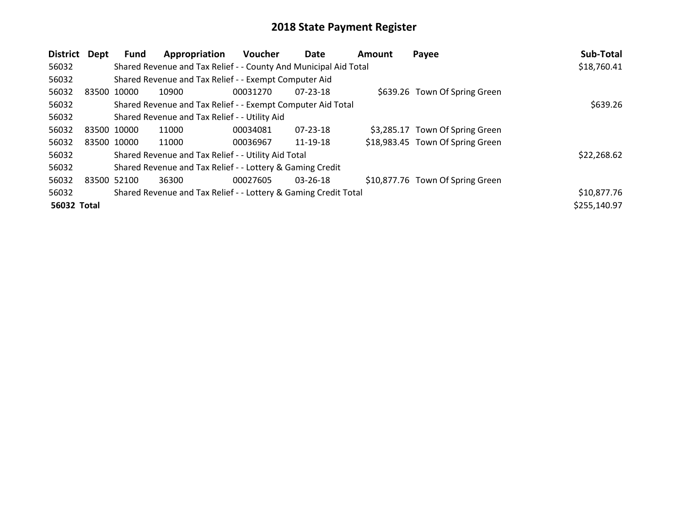| <b>District</b> | Dept        | <b>Fund</b> | Appropriation                                                    | <b>Voucher</b> | Date           | <b>Amount</b> | Payee                            | Sub-Total    |
|-----------------|-------------|-------------|------------------------------------------------------------------|----------------|----------------|---------------|----------------------------------|--------------|
| 56032           |             |             | Shared Revenue and Tax Relief - - County And Municipal Aid Total |                |                |               |                                  | \$18,760.41  |
| 56032           |             |             | Shared Revenue and Tax Relief - - Exempt Computer Aid            |                |                |               |                                  |              |
| 56032           | 83500 10000 |             | 10900                                                            | 00031270       | 07-23-18       |               | \$639.26 Town Of Spring Green    |              |
| 56032           |             |             | Shared Revenue and Tax Relief - - Exempt Computer Aid Total      |                |                |               |                                  | \$639.26     |
| 56032           |             |             | Shared Revenue and Tax Relief - - Utility Aid                    |                |                |               |                                  |              |
| 56032           | 83500 10000 |             | 11000                                                            | 00034081       | $07 - 23 - 18$ |               | \$3,285.17 Town Of Spring Green  |              |
| 56032           |             | 83500 10000 | 11000                                                            | 00036967       | 11-19-18       |               | \$18,983.45 Town Of Spring Green |              |
| 56032           |             |             | Shared Revenue and Tax Relief - - Utility Aid Total              |                |                |               |                                  | \$22,268.62  |
| 56032           |             |             | Shared Revenue and Tax Relief - - Lottery & Gaming Credit        |                |                |               |                                  |              |
| 56032           | 83500       | 52100       | 36300                                                            | 00027605       | $03 - 26 - 18$ |               | \$10,877.76 Town Of Spring Green |              |
| 56032           |             |             | Shared Revenue and Tax Relief - - Lottery & Gaming Credit Total  |                |                |               |                                  | \$10,877.76  |
| 56032 Total     |             |             |                                                                  |                |                |               |                                  | \$255,140.97 |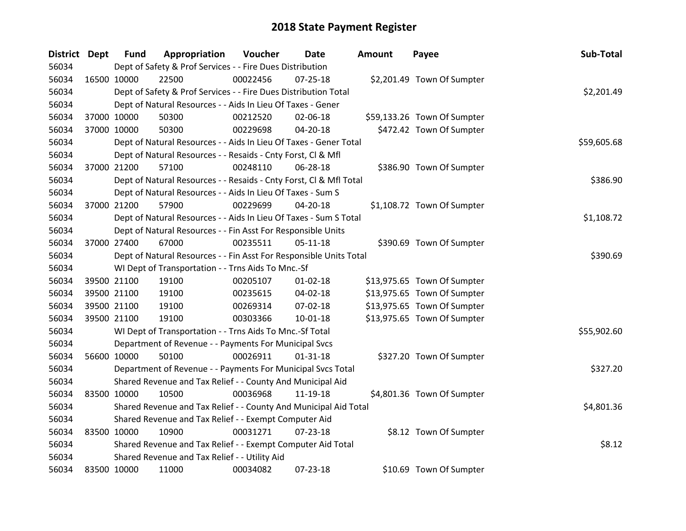| District Dept |             | <b>Fund</b> | Appropriation                                                      | Voucher  | Date           | Amount | Payee                       | Sub-Total   |
|---------------|-------------|-------------|--------------------------------------------------------------------|----------|----------------|--------|-----------------------------|-------------|
| 56034         |             |             | Dept of Safety & Prof Services - - Fire Dues Distribution          |          |                |        |                             |             |
| 56034         | 16500 10000 |             | 22500                                                              | 00022456 | $07 - 25 - 18$ |        | \$2,201.49 Town Of Sumpter  |             |
| 56034         |             |             | Dept of Safety & Prof Services - - Fire Dues Distribution Total    |          |                |        |                             | \$2,201.49  |
| 56034         |             |             | Dept of Natural Resources - - Aids In Lieu Of Taxes - Gener        |          |                |        |                             |             |
| 56034         |             | 37000 10000 | 50300                                                              | 00212520 | 02-06-18       |        | \$59,133.26 Town Of Sumpter |             |
| 56034         | 37000 10000 |             | 50300                                                              | 00229698 | 04-20-18       |        | \$472.42 Town Of Sumpter    |             |
| 56034         |             |             | Dept of Natural Resources - - Aids In Lieu Of Taxes - Gener Total  |          |                |        |                             | \$59,605.68 |
| 56034         |             |             | Dept of Natural Resources - - Resaids - Cnty Forst, Cl & Mfl       |          |                |        |                             |             |
| 56034         |             | 37000 21200 | 57100                                                              | 00248110 | 06-28-18       |        | \$386.90 Town Of Sumpter    |             |
| 56034         |             |             | Dept of Natural Resources - - Resaids - Cnty Forst, CI & Mfl Total |          |                |        |                             | \$386.90    |
| 56034         |             |             | Dept of Natural Resources - - Aids In Lieu Of Taxes - Sum S        |          |                |        |                             |             |
| 56034         |             | 37000 21200 | 57900                                                              | 00229699 | $04 - 20 - 18$ |        | \$1,108.72 Town Of Sumpter  |             |
| 56034         |             |             | Dept of Natural Resources - - Aids In Lieu Of Taxes - Sum S Total  |          |                |        |                             | \$1,108.72  |
| 56034         |             |             | Dept of Natural Resources - - Fin Asst For Responsible Units       |          |                |        |                             |             |
| 56034         |             | 37000 27400 | 67000                                                              | 00235511 | $05 - 11 - 18$ |        | \$390.69 Town Of Sumpter    |             |
| 56034         |             |             | Dept of Natural Resources - - Fin Asst For Responsible Units Total | \$390.69 |                |        |                             |             |
| 56034         |             |             | WI Dept of Transportation - - Trns Aids To Mnc.-Sf                 |          |                |        |                             |             |
| 56034         |             | 39500 21100 | 19100                                                              | 00205107 | $01 - 02 - 18$ |        | \$13,975.65 Town Of Sumpter |             |
| 56034         |             | 39500 21100 | 19100                                                              | 00235615 | 04-02-18       |        | \$13,975.65 Town Of Sumpter |             |
| 56034         |             | 39500 21100 | 19100                                                              | 00269314 | 07-02-18       |        | \$13,975.65 Town Of Sumpter |             |
| 56034         |             | 39500 21100 | 19100                                                              | 00303366 | $10 - 01 - 18$ |        | \$13,975.65 Town Of Sumpter |             |
| 56034         |             |             | WI Dept of Transportation - - Trns Aids To Mnc.-Sf Total           |          |                |        |                             | \$55,902.60 |
| 56034         |             |             | Department of Revenue - - Payments For Municipal Svcs              |          |                |        |                             |             |
| 56034         |             | 56600 10000 | 50100                                                              | 00026911 | $01 - 31 - 18$ |        | \$327.20 Town Of Sumpter    |             |
| 56034         |             |             | Department of Revenue - - Payments For Municipal Svcs Total        |          |                |        |                             | \$327.20    |
| 56034         |             |             | Shared Revenue and Tax Relief - - County And Municipal Aid         |          |                |        |                             |             |
| 56034         | 83500 10000 |             | 10500                                                              | 00036968 | 11-19-18       |        | \$4,801.36 Town Of Sumpter  |             |
| 56034         |             |             | Shared Revenue and Tax Relief - - County And Municipal Aid Total   |          |                |        |                             | \$4,801.36  |
| 56034         |             |             | Shared Revenue and Tax Relief - - Exempt Computer Aid              |          |                |        |                             |             |
| 56034         | 83500 10000 |             | 10900                                                              | 00031271 | $07 - 23 - 18$ |        | \$8.12 Town Of Sumpter      |             |
| 56034         |             |             | Shared Revenue and Tax Relief - - Exempt Computer Aid Total        |          |                |        |                             | \$8.12      |
| 56034         |             |             | Shared Revenue and Tax Relief - - Utility Aid                      |          |                |        |                             |             |
| 56034         | 83500 10000 |             | 11000                                                              | 00034082 | 07-23-18       |        | \$10.69 Town Of Sumpter     |             |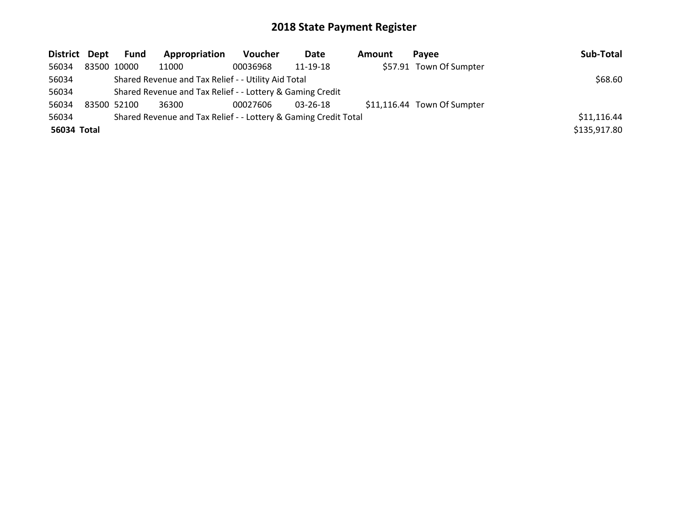| District Dept |  | Fund        | Appropriation                                                   | <b>Voucher</b> | Date           | <b>Amount</b> | Pavee                       | Sub-Total    |
|---------------|--|-------------|-----------------------------------------------------------------|----------------|----------------|---------------|-----------------------------|--------------|
| 56034         |  | 83500 10000 | 11000                                                           | 00036968       | 11-19-18       |               | \$57.91 Town Of Sumpter     |              |
| 56034         |  | \$68.60     |                                                                 |                |                |               |                             |              |
| 56034         |  |             | Shared Revenue and Tax Relief - - Lottery & Gaming Credit       |                |                |               |                             |              |
| 56034         |  | 83500 52100 | 36300                                                           | 00027606       | $03 - 26 - 18$ |               | \$11,116.44 Town Of Sumpter |              |
| 56034         |  |             | Shared Revenue and Tax Relief - - Lottery & Gaming Credit Total |                |                |               |                             | \$11,116.44  |
| 56034 Total   |  |             |                                                                 |                |                |               |                             | \$135,917.80 |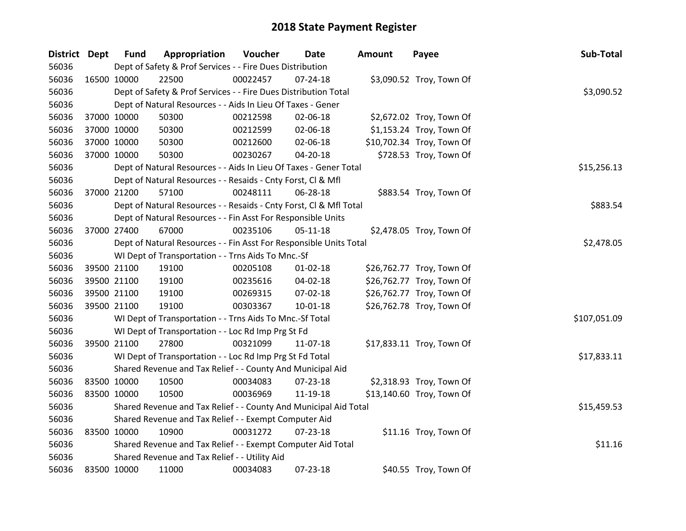| District Dept |             | <b>Fund</b>                                                        | Appropriation                                                      | Voucher     | <b>Date</b>    | <b>Amount</b> | Payee                     | Sub-Total    |
|---------------|-------------|--------------------------------------------------------------------|--------------------------------------------------------------------|-------------|----------------|---------------|---------------------------|--------------|
| 56036         |             |                                                                    | Dept of Safety & Prof Services - - Fire Dues Distribution          |             |                |               |                           |              |
| 56036         | 16500 10000 |                                                                    | 22500                                                              | 00022457    | $07 - 24 - 18$ |               | \$3,090.52 Troy, Town Of  |              |
| 56036         |             |                                                                    | Dept of Safety & Prof Services - - Fire Dues Distribution Total    |             |                |               |                           | \$3,090.52   |
| 56036         |             |                                                                    | Dept of Natural Resources - - Aids In Lieu Of Taxes - Gener        |             |                |               |                           |              |
| 56036         |             | 37000 10000                                                        | 50300                                                              | 00212598    | 02-06-18       |               | \$2,672.02 Troy, Town Of  |              |
| 56036         |             | 37000 10000                                                        | 50300                                                              | 00212599    | 02-06-18       |               | \$1,153.24 Troy, Town Of  |              |
| 56036         |             | 37000 10000                                                        | 50300                                                              | 00212600    | 02-06-18       |               | \$10,702.34 Troy, Town Of |              |
| 56036         |             | 37000 10000                                                        | 50300                                                              | 00230267    | 04-20-18       |               | \$728.53 Troy, Town Of    |              |
| 56036         |             |                                                                    | Dept of Natural Resources - - Aids In Lieu Of Taxes - Gener Total  | \$15,256.13 |                |               |                           |              |
| 56036         |             |                                                                    | Dept of Natural Resources - - Resaids - Cnty Forst, Cl & Mfl       |             |                |               |                           |              |
| 56036         |             | 37000 21200                                                        | 57100                                                              | 00248111    | 06-28-18       |               | \$883.54 Troy, Town Of    |              |
| 56036         |             |                                                                    | Dept of Natural Resources - - Resaids - Cnty Forst, Cl & Mfl Total |             |                |               |                           | \$883.54     |
| 56036         |             |                                                                    | Dept of Natural Resources - - Fin Asst For Responsible Units       |             |                |               |                           |              |
| 56036         |             | 37000 27400                                                        | 67000                                                              | 00235106    | $05 - 11 - 18$ |               | \$2,478.05 Troy, Town Of  |              |
| 56036         |             | Dept of Natural Resources - - Fin Asst For Responsible Units Total | \$2,478.05                                                         |             |                |               |                           |              |
| 56036         |             | WI Dept of Transportation - - Trns Aids To Mnc.-Sf                 |                                                                    |             |                |               |                           |              |
| 56036         |             | 39500 21100                                                        | 19100                                                              | 00205108    | $01 - 02 - 18$ |               | \$26,762.77 Troy, Town Of |              |
| 56036         |             | 39500 21100                                                        | 19100                                                              | 00235616    | 04-02-18       |               | \$26,762.77 Troy, Town Of |              |
| 56036         |             | 39500 21100                                                        | 19100                                                              | 00269315    | 07-02-18       |               | \$26,762.77 Troy, Town Of |              |
| 56036         |             | 39500 21100                                                        | 19100                                                              | 00303367    | $10 - 01 - 18$ |               | \$26,762.78 Troy, Town Of |              |
| 56036         |             |                                                                    | WI Dept of Transportation - - Trns Aids To Mnc.-Sf Total           |             |                |               |                           | \$107,051.09 |
| 56036         |             |                                                                    | WI Dept of Transportation - - Loc Rd Imp Prg St Fd                 |             |                |               |                           |              |
| 56036         |             | 39500 21100                                                        | 27800                                                              | 00321099    | 11-07-18       |               | \$17,833.11 Troy, Town Of |              |
| 56036         |             |                                                                    | WI Dept of Transportation - - Loc Rd Imp Prg St Fd Total           |             |                |               |                           | \$17,833.11  |
| 56036         |             |                                                                    | Shared Revenue and Tax Relief - - County And Municipal Aid         |             |                |               |                           |              |
| 56036         |             | 83500 10000                                                        | 10500                                                              | 00034083    | 07-23-18       |               | \$2,318.93 Troy, Town Of  |              |
| 56036         |             | 83500 10000                                                        | 10500                                                              | 00036969    | 11-19-18       |               | \$13,140.60 Troy, Town Of |              |
| 56036         |             |                                                                    | Shared Revenue and Tax Relief - - County And Municipal Aid Total   |             |                |               |                           | \$15,459.53  |
| 56036         |             | Shared Revenue and Tax Relief - - Exempt Computer Aid              |                                                                    |             |                |               |                           |              |
| 56036         |             | 83500 10000                                                        | 10900                                                              | 00031272    | 07-23-18       |               | \$11.16 Troy, Town Of     |              |
| 56036         |             |                                                                    | Shared Revenue and Tax Relief - - Exempt Computer Aid Total        |             |                |               |                           | \$11.16      |
| 56036         |             |                                                                    | Shared Revenue and Tax Relief - - Utility Aid                      |             |                |               |                           |              |
| 56036         | 83500 10000 |                                                                    | 11000                                                              | 00034083    | 07-23-18       |               | \$40.55 Troy, Town Of     |              |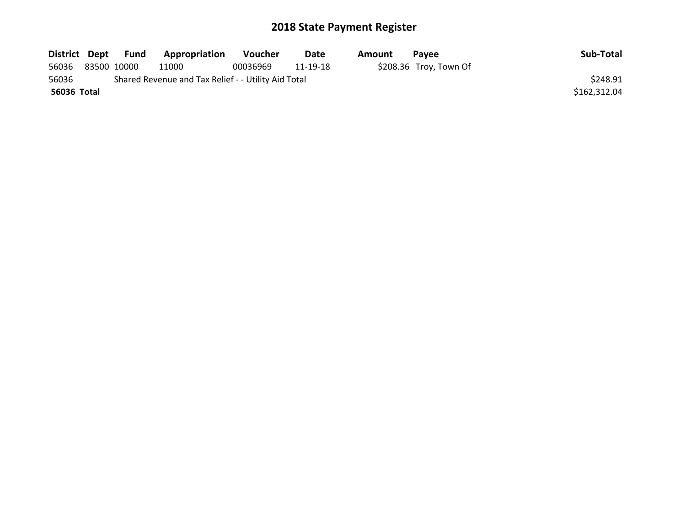|             | District Dept Fund | <b>Appropriation</b>                                | Voucher  | Date     | Amount | Pavee                   | Sub-Total    |
|-------------|--------------------|-----------------------------------------------------|----------|----------|--------|-------------------------|--------------|
| 56036       | 83500 10000        | 11000                                               | 00036969 | 11-19-18 |        | $$208.36$ Troy, Town Of |              |
| 56036       |                    | Shared Revenue and Tax Relief - - Utility Aid Total |          |          |        |                         | \$248.91     |
| 56036 Total |                    |                                                     |          |          |        |                         | \$162,312.04 |
|             |                    |                                                     |          |          |        |                         |              |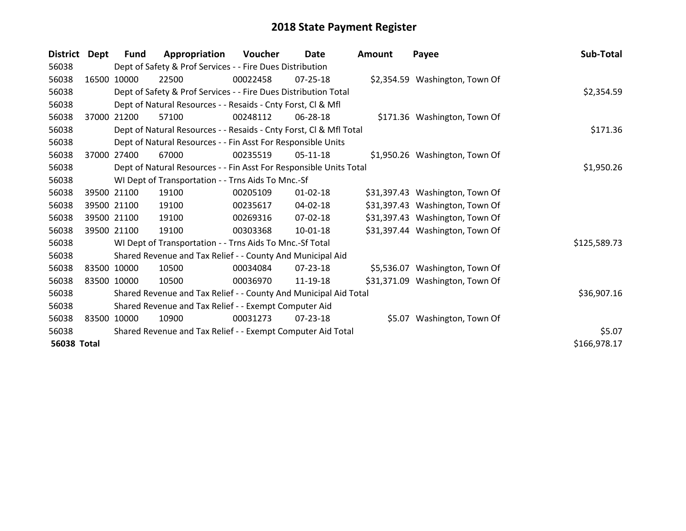| <b>District</b>    | Dept        | <b>Fund</b> | Appropriation                                                      | Voucher  | Date           | <b>Amount</b> | Payee                           | Sub-Total    |  |
|--------------------|-------------|-------------|--------------------------------------------------------------------|----------|----------------|---------------|---------------------------------|--------------|--|
| 56038              |             |             | Dept of Safety & Prof Services - - Fire Dues Distribution          |          |                |               |                                 |              |  |
| 56038              | 16500       | 10000       | 22500                                                              | 00022458 | 07-25-18       |               | \$2,354.59 Washington, Town Of  |              |  |
| 56038              |             |             | Dept of Safety & Prof Services - - Fire Dues Distribution Total    |          |                |               |                                 | \$2,354.59   |  |
| 56038              |             |             | Dept of Natural Resources - - Resaids - Cnty Forst, CI & Mfl       |          |                |               |                                 |              |  |
| 56038              | 37000       | 21200       | 57100                                                              | 00248112 | 06-28-18       |               | \$171.36 Washington, Town Of    |              |  |
| 56038              |             |             | Dept of Natural Resources - - Resaids - Cnty Forst, CI & Mfl Total |          |                |               |                                 |              |  |
| 56038              |             |             | Dept of Natural Resources - - Fin Asst For Responsible Units       |          |                |               |                                 |              |  |
| 56038              | 37000       | 27400       | 67000                                                              | 00235519 | 05-11-18       |               | \$1,950.26 Washington, Town Of  |              |  |
| 56038              |             |             | Dept of Natural Resources - - Fin Asst For Responsible Units Total |          |                |               |                                 | \$1,950.26   |  |
| 56038              |             |             | WI Dept of Transportation - - Trns Aids To Mnc.-Sf                 |          |                |               |                                 |              |  |
| 56038              | 39500 21100 |             | 19100                                                              | 00205109 | 01-02-18       |               | \$31,397.43 Washington, Town Of |              |  |
| 56038              | 39500 21100 |             | 19100                                                              | 00235617 | 04-02-18       |               | \$31,397.43 Washington, Town Of |              |  |
| 56038              | 39500 21100 |             | 19100                                                              | 00269316 | 07-02-18       |               | \$31,397.43 Washington, Town Of |              |  |
| 56038              | 39500 21100 |             | 19100                                                              | 00303368 | $10-01-18$     |               | \$31,397.44 Washington, Town Of |              |  |
| 56038              |             |             | WI Dept of Transportation - - Trns Aids To Mnc.-Sf Total           |          |                |               |                                 | \$125,589.73 |  |
| 56038              |             |             | Shared Revenue and Tax Relief - - County And Municipal Aid         |          |                |               |                                 |              |  |
| 56038              | 83500 10000 |             | 10500                                                              | 00034084 | 07-23-18       |               | \$5,536.07 Washington, Town Of  |              |  |
| 56038              | 83500 10000 |             | 10500                                                              | 00036970 | 11-19-18       |               | \$31,371.09 Washington, Town Of |              |  |
| 56038              |             |             | Shared Revenue and Tax Relief - - County And Municipal Aid Total   |          |                |               |                                 | \$36,907.16  |  |
| 56038              |             |             | Shared Revenue and Tax Relief - - Exempt Computer Aid              |          |                |               |                                 |              |  |
| 56038              | 83500 10000 |             | 10900                                                              | 00031273 | $07 - 23 - 18$ |               | \$5.07 Washington, Town Of      |              |  |
| 56038              |             |             | Shared Revenue and Tax Relief - - Exempt Computer Aid Total        |          |                |               |                                 | \$5.07       |  |
| <b>56038 Total</b> |             |             |                                                                    |          |                |               |                                 | \$166,978.17 |  |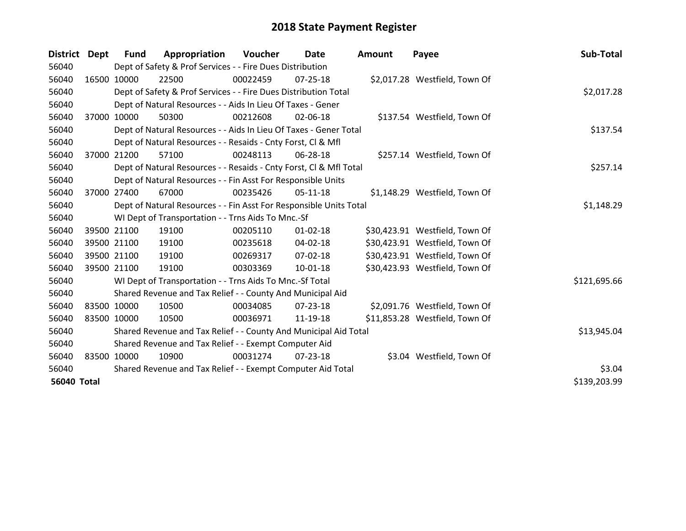| <b>District</b>    | <b>Dept</b> | <b>Fund</b> | Appropriation                                                      | Voucher     | Date           | Amount | Payee                          | Sub-Total    |
|--------------------|-------------|-------------|--------------------------------------------------------------------|-------------|----------------|--------|--------------------------------|--------------|
| 56040              |             |             | Dept of Safety & Prof Services - - Fire Dues Distribution          |             |                |        |                                |              |
| 56040              | 16500 10000 |             | 22500                                                              | 00022459    | $07 - 25 - 18$ |        | \$2,017.28 Westfield, Town Of  |              |
| 56040              |             |             | Dept of Safety & Prof Services - - Fire Dues Distribution Total    |             |                |        |                                | \$2,017.28   |
| 56040              |             |             | Dept of Natural Resources - - Aids In Lieu Of Taxes - Gener        |             |                |        |                                |              |
| 56040              | 37000       | 10000       | 50300                                                              | 00212608    | 02-06-18       |        | \$137.54 Westfield, Town Of    |              |
| 56040              |             |             | Dept of Natural Resources - - Aids In Lieu Of Taxes - Gener Total  |             |                |        |                                | \$137.54     |
| 56040              |             |             | Dept of Natural Resources - - Resaids - Cnty Forst, CI & Mfl       |             |                |        |                                |              |
| 56040              | 37000       | 21200       | 57100                                                              | 00248113    | 06-28-18       |        | \$257.14 Westfield, Town Of    |              |
| 56040              |             |             | Dept of Natural Resources - - Resaids - Cnty Forst, CI & Mfl Total |             |                |        |                                | \$257.14     |
| 56040              |             |             | Dept of Natural Resources - - Fin Asst For Responsible Units       |             |                |        |                                |              |
| 56040              |             | 37000 27400 | 67000                                                              | 00235426    | $05-11-18$     |        | \$1,148.29 Westfield, Town Of  |              |
| 56040              |             |             | Dept of Natural Resources - - Fin Asst For Responsible Units Total |             |                |        |                                | \$1,148.29   |
| 56040              |             |             | WI Dept of Transportation - - Trns Aids To Mnc.-Sf                 |             |                |        |                                |              |
| 56040              | 39500 21100 |             | 19100                                                              | 00205110    | $01 - 02 - 18$ |        | \$30,423.91 Westfield, Town Of |              |
| 56040              | 39500 21100 |             | 19100                                                              | 00235618    | $04 - 02 - 18$ |        | \$30,423.91 Westfield, Town Of |              |
| 56040              | 39500 21100 |             | 19100                                                              | 00269317    | 07-02-18       |        | \$30,423.91 Westfield, Town Of |              |
| 56040              | 39500 21100 |             | 19100                                                              | 00303369    | 10-01-18       |        | \$30,423.93 Westfield, Town Of |              |
| 56040              |             |             | WI Dept of Transportation - - Trns Aids To Mnc.-Sf Total           |             |                |        |                                | \$121,695.66 |
| 56040              |             |             | Shared Revenue and Tax Relief - - County And Municipal Aid         |             |                |        |                                |              |
| 56040              | 83500 10000 |             | 10500                                                              | 00034085    | $07 - 23 - 18$ |        | \$2,091.76 Westfield, Town Of  |              |
| 56040              | 83500 10000 |             | 10500                                                              | 00036971    | 11-19-18       |        | \$11,853.28 Westfield, Town Of |              |
| 56040              |             |             | Shared Revenue and Tax Relief - - County And Municipal Aid Total   | \$13,945.04 |                |        |                                |              |
| 56040              |             |             | Shared Revenue and Tax Relief - - Exempt Computer Aid              |             |                |        |                                |              |
| 56040              | 83500 10000 |             | 10900                                                              | 00031274    | 07-23-18       |        | \$3.04 Westfield, Town Of      |              |
| 56040              |             |             | Shared Revenue and Tax Relief - - Exempt Computer Aid Total        | \$3.04      |                |        |                                |              |
| <b>56040 Total</b> |             |             |                                                                    |             |                |        |                                | \$139,203.99 |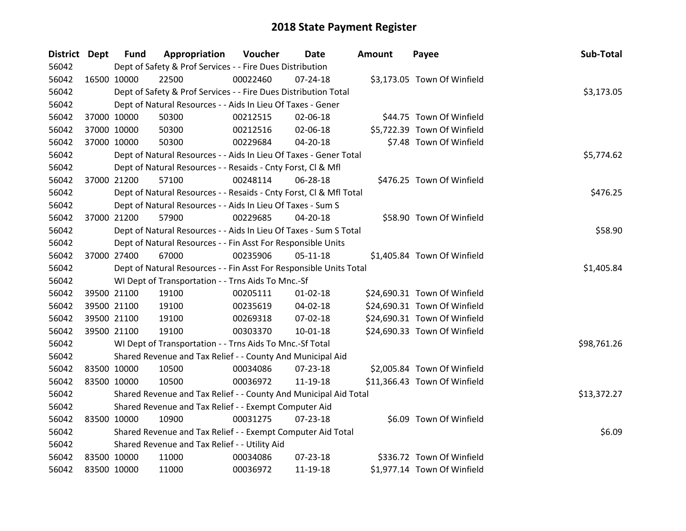| <b>District Dept</b> |             | <b>Fund</b> | Appropriation                                                      | Voucher  | Date           | Amount | Payee                        | Sub-Total   |
|----------------------|-------------|-------------|--------------------------------------------------------------------|----------|----------------|--------|------------------------------|-------------|
| 56042                |             |             | Dept of Safety & Prof Services - - Fire Dues Distribution          |          |                |        |                              |             |
| 56042                | 16500 10000 |             | 22500                                                              | 00022460 | $07 - 24 - 18$ |        | \$3,173.05 Town Of Winfield  |             |
| 56042                |             |             | Dept of Safety & Prof Services - - Fire Dues Distribution Total    |          |                |        |                              | \$3,173.05  |
| 56042                |             |             | Dept of Natural Resources - - Aids In Lieu Of Taxes - Gener        |          |                |        |                              |             |
| 56042                | 37000 10000 |             | 50300                                                              | 00212515 | 02-06-18       |        | \$44.75 Town Of Winfield     |             |
| 56042                | 37000 10000 |             | 50300                                                              | 00212516 | 02-06-18       |        | \$5,722.39 Town Of Winfield  |             |
| 56042                | 37000 10000 |             | 50300                                                              | 00229684 | 04-20-18       |        | \$7.48 Town Of Winfield      |             |
| 56042                |             |             | Dept of Natural Resources - - Aids In Lieu Of Taxes - Gener Total  |          |                |        |                              | \$5,774.62  |
| 56042                |             |             | Dept of Natural Resources - - Resaids - Cnty Forst, CI & Mfl       |          |                |        |                              |             |
| 56042                | 37000 21200 |             | 57100                                                              | 00248114 | 06-28-18       |        | \$476.25 Town Of Winfield    |             |
| 56042                |             |             | Dept of Natural Resources - - Resaids - Cnty Forst, CI & Mfl Total |          |                |        |                              | \$476.25    |
| 56042                |             |             | Dept of Natural Resources - - Aids In Lieu Of Taxes - Sum S        |          |                |        |                              |             |
| 56042                |             | 37000 21200 | 57900                                                              | 00229685 | 04-20-18       |        | \$58.90 Town Of Winfield     |             |
| 56042                |             |             | Dept of Natural Resources - - Aids In Lieu Of Taxes - Sum S Total  |          |                |        |                              | \$58.90     |
| 56042                |             |             | Dept of Natural Resources - - Fin Asst For Responsible Units       |          |                |        |                              |             |
| 56042                | 37000 27400 |             | 67000                                                              | 00235906 | $05-11-18$     |        | \$1,405.84 Town Of Winfield  |             |
| 56042                |             |             | Dept of Natural Resources - - Fin Asst For Responsible Units Total |          |                |        |                              | \$1,405.84  |
| 56042                |             |             | WI Dept of Transportation - - Trns Aids To Mnc.-Sf                 |          |                |        |                              |             |
| 56042                |             | 39500 21100 | 19100                                                              | 00205111 | $01 - 02 - 18$ |        | \$24,690.31 Town Of Winfield |             |
| 56042                |             | 39500 21100 | 19100                                                              | 00235619 | 04-02-18       |        | \$24,690.31 Town Of Winfield |             |
| 56042                |             | 39500 21100 | 19100                                                              | 00269318 | 07-02-18       |        | \$24,690.31 Town Of Winfield |             |
| 56042                | 39500 21100 |             | 19100                                                              | 00303370 | $10 - 01 - 18$ |        | \$24,690.33 Town Of Winfield |             |
| 56042                |             |             | WI Dept of Transportation - - Trns Aids To Mnc.-Sf Total           |          |                |        |                              | \$98,761.26 |
| 56042                |             |             | Shared Revenue and Tax Relief - - County And Municipal Aid         |          |                |        |                              |             |
| 56042                | 83500 10000 |             | 10500                                                              | 00034086 | 07-23-18       |        | \$2,005.84 Town Of Winfield  |             |
| 56042                | 83500 10000 |             | 10500                                                              | 00036972 | 11-19-18       |        | \$11,366.43 Town Of Winfield |             |
| 56042                |             |             | Shared Revenue and Tax Relief - - County And Municipal Aid Total   |          |                |        |                              | \$13,372.27 |
| 56042                |             |             | Shared Revenue and Tax Relief - - Exempt Computer Aid              |          |                |        |                              |             |
| 56042                |             | 83500 10000 | 10900                                                              | 00031275 | $07 - 23 - 18$ |        | \$6.09 Town Of Winfield      |             |
| 56042                |             |             | Shared Revenue and Tax Relief - - Exempt Computer Aid Total        |          |                |        |                              | \$6.09      |
| 56042                |             |             | Shared Revenue and Tax Relief - - Utility Aid                      |          |                |        |                              |             |
| 56042                | 83500 10000 |             | 11000                                                              | 00034086 | 07-23-18       |        | \$336.72 Town Of Winfield    |             |
| 56042                | 83500 10000 |             | 11000                                                              | 00036972 | 11-19-18       |        | \$1,977.14 Town Of Winfield  |             |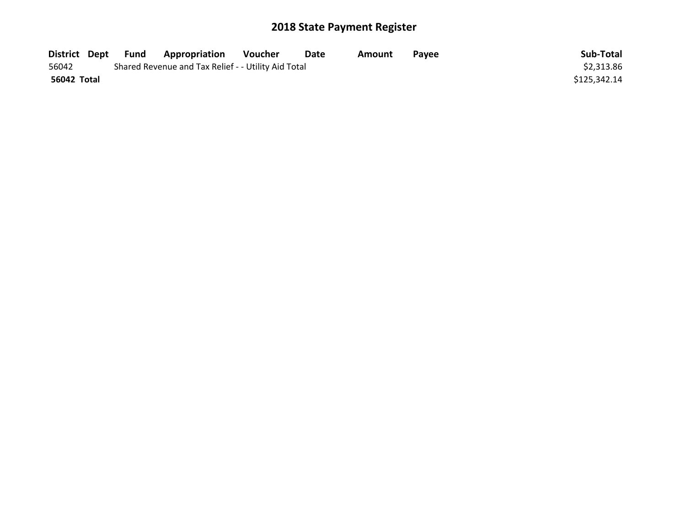|             | District Dept Fund | <b>Appropriation</b>                                | Voucher | Date | Amount | <b>Pavee</b> | Sub-Total    |
|-------------|--------------------|-----------------------------------------------------|---------|------|--------|--------------|--------------|
| 56042       |                    | Shared Revenue and Tax Relief - - Utility Aid Total |         |      |        |              | \$2,313.86   |
| 56042 Total |                    |                                                     |         |      |        |              | \$125.342.14 |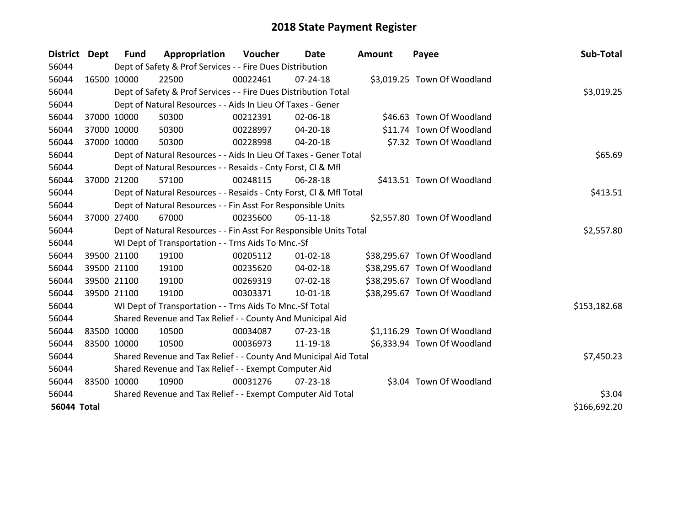| <b>District</b>    | Dept        | <b>Fund</b> | Appropriation                                                      | Voucher  | Date           | <b>Amount</b> | Payee                        | Sub-Total    |
|--------------------|-------------|-------------|--------------------------------------------------------------------|----------|----------------|---------------|------------------------------|--------------|
| 56044              |             |             | Dept of Safety & Prof Services - - Fire Dues Distribution          |          |                |               |                              |              |
| 56044              | 16500 10000 |             | 22500                                                              | 00022461 | 07-24-18       |               | \$3,019.25 Town Of Woodland  |              |
| 56044              |             |             | Dept of Safety & Prof Services - - Fire Dues Distribution Total    |          |                |               |                              | \$3,019.25   |
| 56044              |             |             | Dept of Natural Resources - - Aids In Lieu Of Taxes - Gener        |          |                |               |                              |              |
| 56044              | 37000 10000 |             | 50300                                                              | 00212391 | 02-06-18       |               | \$46.63 Town Of Woodland     |              |
| 56044              | 37000 10000 |             | 50300                                                              | 00228997 | 04-20-18       |               | \$11.74 Town Of Woodland     |              |
| 56044              | 37000 10000 |             | 50300                                                              | 00228998 | 04-20-18       |               | \$7.32 Town Of Woodland      |              |
| 56044              |             |             | Dept of Natural Resources - - Aids In Lieu Of Taxes - Gener Total  |          | \$65.69        |               |                              |              |
| 56044              |             |             | Dept of Natural Resources - - Resaids - Cnty Forst, CI & Mfl       |          |                |               |                              |              |
| 56044              | 37000 21200 |             | 57100                                                              | 00248115 | 06-28-18       |               | \$413.51 Town Of Woodland    |              |
| 56044              |             |             | Dept of Natural Resources - - Resaids - Cnty Forst, Cl & Mfl Total |          |                |               |                              | \$413.51     |
| 56044              |             |             | Dept of Natural Resources - - Fin Asst For Responsible Units       |          |                |               |                              |              |
| 56044              | 37000 27400 |             | 67000                                                              | 00235600 | $05-11-18$     |               | \$2,557.80 Town Of Woodland  |              |
| 56044              |             |             | Dept of Natural Resources - - Fin Asst For Responsible Units Total |          |                |               |                              | \$2,557.80   |
| 56044              |             |             | WI Dept of Transportation - - Trns Aids To Mnc.-Sf                 |          |                |               |                              |              |
| 56044              |             | 39500 21100 | 19100                                                              | 00205112 | $01 - 02 - 18$ |               | \$38,295.67 Town Of Woodland |              |
| 56044              |             | 39500 21100 | 19100                                                              | 00235620 | 04-02-18       |               | \$38,295.67 Town Of Woodland |              |
| 56044              |             | 39500 21100 | 19100                                                              | 00269319 | 07-02-18       |               | \$38,295.67 Town Of Woodland |              |
| 56044              | 39500 21100 |             | 19100                                                              | 00303371 | $10 - 01 - 18$ |               | \$38,295.67 Town Of Woodland |              |
| 56044              |             |             | WI Dept of Transportation - - Trns Aids To Mnc.-Sf Total           |          |                |               |                              | \$153,182.68 |
| 56044              |             |             | Shared Revenue and Tax Relief - - County And Municipal Aid         |          |                |               |                              |              |
| 56044              | 83500 10000 |             | 10500                                                              | 00034087 | 07-23-18       |               | \$1,116.29 Town Of Woodland  |              |
| 56044              | 83500 10000 |             | 10500                                                              | 00036973 | 11-19-18       |               | \$6,333.94 Town Of Woodland  |              |
| 56044              |             |             | Shared Revenue and Tax Relief - - County And Municipal Aid Total   |          |                |               |                              | \$7,450.23   |
| 56044              |             |             | Shared Revenue and Tax Relief - - Exempt Computer Aid              |          |                |               |                              |              |
| 56044              | 83500 10000 |             | 10900                                                              | 00031276 | $07 - 23 - 18$ |               | \$3.04 Town Of Woodland      |              |
| 56044              |             |             | Shared Revenue and Tax Relief - - Exempt Computer Aid Total        |          |                |               |                              | \$3.04       |
| <b>56044 Total</b> |             |             |                                                                    |          |                |               |                              | \$166,692.20 |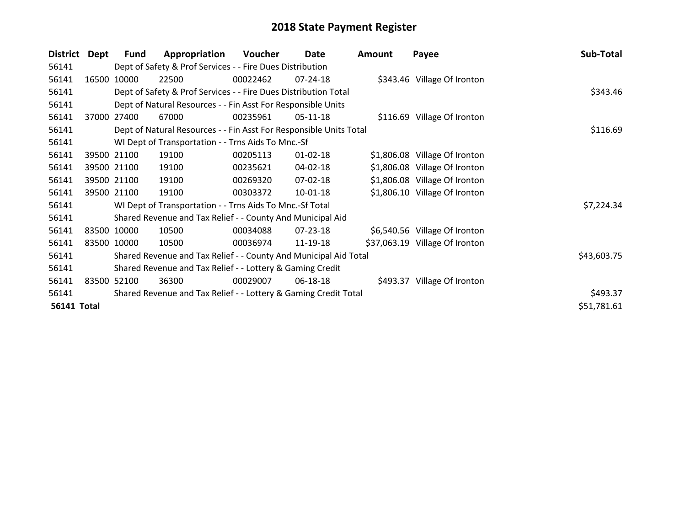| <b>District</b>    | Dept  | <b>Fund</b> | Appropriation                                                      | Voucher  | Date           | Amount | Payee                          | Sub-Total   |
|--------------------|-------|-------------|--------------------------------------------------------------------|----------|----------------|--------|--------------------------------|-------------|
| 56141              |       |             | Dept of Safety & Prof Services - - Fire Dues Distribution          |          |                |        |                                |             |
| 56141              | 16500 | 10000       | 22500                                                              | 00022462 | 07-24-18       |        | \$343.46 Village Of Ironton    |             |
| 56141              |       |             | Dept of Safety & Prof Services - - Fire Dues Distribution Total    |          | \$343.46       |        |                                |             |
| 56141              |       |             | Dept of Natural Resources - - Fin Asst For Responsible Units       |          |                |        |                                |             |
| 56141              | 37000 | 27400       | 67000                                                              | 00235961 | 05-11-18       |        | \$116.69 Village Of Ironton    |             |
| 56141              |       |             | Dept of Natural Resources - - Fin Asst For Responsible Units Total |          | \$116.69       |        |                                |             |
| 56141              |       |             | WI Dept of Transportation - - Trns Aids To Mnc.-Sf                 |          |                |        |                                |             |
| 56141              |       | 39500 21100 | 19100                                                              | 00205113 | $01 - 02 - 18$ |        | \$1,806.08 Village Of Ironton  |             |
| 56141              |       | 39500 21100 | 19100                                                              | 00235621 | 04-02-18       |        | \$1,806.08 Village Of Ironton  |             |
| 56141              |       | 39500 21100 | 19100                                                              | 00269320 | 07-02-18       |        | \$1,806.08 Village Of Ironton  |             |
| 56141              |       | 39500 21100 | 19100                                                              | 00303372 | 10-01-18       |        | \$1,806.10 Village Of Ironton  |             |
| 56141              |       |             | WI Dept of Transportation - - Trns Aids To Mnc.-Sf Total           |          |                |        |                                | \$7,224.34  |
| 56141              |       |             | Shared Revenue and Tax Relief - - County And Municipal Aid         |          |                |        |                                |             |
| 56141              |       | 83500 10000 | 10500                                                              | 00034088 | $07 - 23 - 18$ |        | \$6,540.56 Village Of Ironton  |             |
| 56141              |       | 83500 10000 | 10500                                                              | 00036974 | 11-19-18       |        | \$37,063.19 Village Of Ironton |             |
| 56141              |       |             | Shared Revenue and Tax Relief - - County And Municipal Aid Total   |          |                |        |                                | \$43,603.75 |
| 56141              |       |             | Shared Revenue and Tax Relief - - Lottery & Gaming Credit          |          |                |        |                                |             |
| 56141              |       | 83500 52100 | 36300                                                              | 00029007 | 06-18-18       |        | \$493.37 Village Of Ironton    |             |
| 56141              |       |             | Shared Revenue and Tax Relief - - Lottery & Gaming Credit Total    | \$493.37 |                |        |                                |             |
| <b>56141 Total</b> |       |             |                                                                    |          |                |        |                                | \$51,781.61 |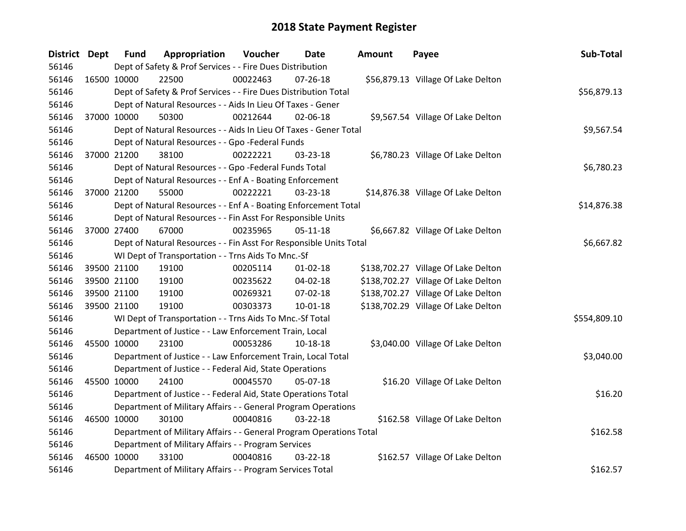| <b>District</b> | <b>Dept</b> | <b>Fund</b> | Appropriation                                                       | <b>Voucher</b> | Date           | Amount | Payee                               | Sub-Total    |
|-----------------|-------------|-------------|---------------------------------------------------------------------|----------------|----------------|--------|-------------------------------------|--------------|
| 56146           |             |             | Dept of Safety & Prof Services - - Fire Dues Distribution           |                |                |        |                                     |              |
| 56146           | 16500 10000 |             | 22500                                                               | 00022463       | 07-26-18       |        | \$56,879.13 Village Of Lake Delton  |              |
| 56146           |             |             | Dept of Safety & Prof Services - - Fire Dues Distribution Total     |                |                |        |                                     | \$56,879.13  |
| 56146           |             |             | Dept of Natural Resources - - Aids In Lieu Of Taxes - Gener         |                |                |        |                                     |              |
| 56146           | 37000 10000 |             | 50300                                                               | 00212644       | 02-06-18       |        | \$9,567.54 Village Of Lake Delton   |              |
| 56146           |             |             | Dept of Natural Resources - - Aids In Lieu Of Taxes - Gener Total   |                |                |        |                                     | \$9,567.54   |
| 56146           |             |             | Dept of Natural Resources - - Gpo -Federal Funds                    |                |                |        |                                     |              |
| 56146           | 37000 21200 |             | 38100                                                               | 00222221       | 03-23-18       |        | \$6,780.23 Village Of Lake Delton   |              |
| 56146           |             |             | Dept of Natural Resources - - Gpo -Federal Funds Total              |                |                |        |                                     | \$6,780.23   |
| 56146           |             |             | Dept of Natural Resources - - Enf A - Boating Enforcement           |                |                |        |                                     |              |
| 56146           | 37000 21200 |             | 55000                                                               | 00222221       | 03-23-18       |        | \$14,876.38 Village Of Lake Delton  |              |
| 56146           |             |             | Dept of Natural Resources - - Enf A - Boating Enforcement Total     |                |                |        |                                     | \$14,876.38  |
| 56146           |             |             | Dept of Natural Resources - - Fin Asst For Responsible Units        |                |                |        |                                     |              |
| 56146           | 37000 27400 |             | 67000                                                               | 00235965       | $05 - 11 - 18$ |        | \$6,667.82 Village Of Lake Delton   |              |
| 56146           |             |             | Dept of Natural Resources - - Fin Asst For Responsible Units Total  | \$6,667.82     |                |        |                                     |              |
| 56146           |             |             | WI Dept of Transportation - - Trns Aids To Mnc.-Sf                  |                |                |        |                                     |              |
| 56146           | 39500 21100 |             | 19100                                                               | 00205114       | $01 - 02 - 18$ |        | \$138,702.27 Village Of Lake Delton |              |
| 56146           |             | 39500 21100 | 19100                                                               | 00235622       | 04-02-18       |        | \$138,702.27 Village Of Lake Delton |              |
| 56146           |             | 39500 21100 | 19100                                                               | 00269321       | 07-02-18       |        | \$138,702.27 Village Of Lake Delton |              |
| 56146           | 39500 21100 |             | 19100                                                               | 00303373       | $10 - 01 - 18$ |        | \$138,702.29 Village Of Lake Delton |              |
| 56146           |             |             | WI Dept of Transportation - - Trns Aids To Mnc.-Sf Total            |                |                |        |                                     | \$554,809.10 |
| 56146           |             |             | Department of Justice - - Law Enforcement Train, Local              |                |                |        |                                     |              |
| 56146           | 45500 10000 |             | 23100                                                               | 00053286       | 10-18-18       |        | \$3,040.00 Village Of Lake Delton   |              |
| 56146           |             |             | Department of Justice - - Law Enforcement Train, Local Total        |                |                |        |                                     | \$3,040.00   |
| 56146           |             |             | Department of Justice - - Federal Aid, State Operations             |                |                |        |                                     |              |
| 56146           | 45500 10000 |             | 24100                                                               | 00045570       | 05-07-18       |        | \$16.20 Village Of Lake Delton      |              |
| 56146           |             |             | Department of Justice - - Federal Aid, State Operations Total       |                |                |        |                                     | \$16.20      |
| 56146           |             |             | Department of Military Affairs - - General Program Operations       |                |                |        |                                     |              |
| 56146           | 46500 10000 |             | 30100                                                               | 00040816       | $03 - 22 - 18$ |        | \$162.58 Village Of Lake Delton     |              |
| 56146           |             |             | Department of Military Affairs - - General Program Operations Total |                |                |        |                                     | \$162.58     |
| 56146           |             |             | Department of Military Affairs - - Program Services                 |                |                |        |                                     |              |
| 56146           | 46500 10000 |             | 33100                                                               | 00040816       | 03-22-18       |        | \$162.57 Village Of Lake Delton     |              |
| 56146           |             |             | Department of Military Affairs - - Program Services Total           |                |                |        |                                     | \$162.57     |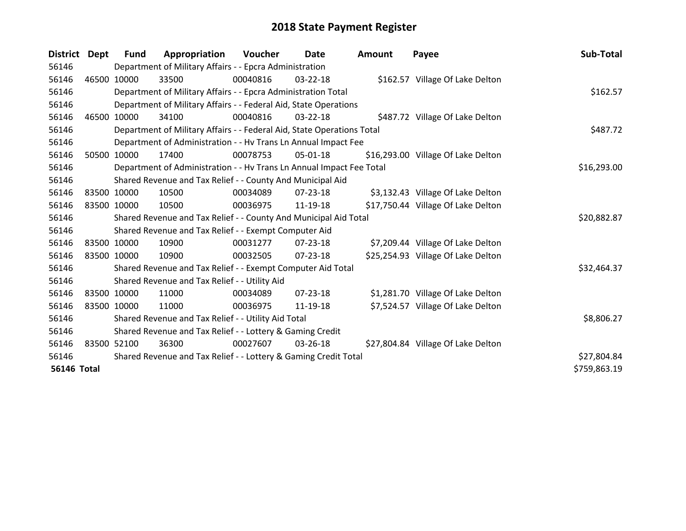| <b>District</b>    | <b>Dept</b> | Fund        | Appropriation                                                          | <b>Voucher</b> | Date           | Amount | Payee                              | Sub-Total    |
|--------------------|-------------|-------------|------------------------------------------------------------------------|----------------|----------------|--------|------------------------------------|--------------|
| 56146              |             |             | Department of Military Affairs - - Epcra Administration                |                |                |        |                                    |              |
| 56146              |             | 46500 10000 | 33500                                                                  | 00040816       | 03-22-18       |        | \$162.57 Village Of Lake Delton    |              |
| 56146              |             |             | Department of Military Affairs - - Epcra Administration Total          |                |                |        |                                    | \$162.57     |
| 56146              |             |             | Department of Military Affairs - - Federal Aid, State Operations       |                |                |        |                                    |              |
| 56146              | 46500       | 10000       | 34100                                                                  | 00040816       | 03-22-18       |        | \$487.72 Village Of Lake Delton    |              |
| 56146              |             |             | Department of Military Affairs - - Federal Aid, State Operations Total |                |                |        |                                    | \$487.72     |
| 56146              |             |             | Department of Administration - - Hv Trans Ln Annual Impact Fee         |                |                |        |                                    |              |
| 56146              | 50500       | 10000       | 17400                                                                  | 00078753       | 05-01-18       |        | \$16,293.00 Village Of Lake Delton |              |
| 56146              |             |             | Department of Administration - - Hv Trans Ln Annual Impact Fee Total   |                |                |        |                                    | \$16,293.00  |
| 56146              |             |             | Shared Revenue and Tax Relief - - County And Municipal Aid             |                |                |        |                                    |              |
| 56146              | 83500 10000 |             | 10500                                                                  | 00034089       | $07 - 23 - 18$ |        | \$3,132.43 Village Of Lake Delton  |              |
| 56146              |             | 83500 10000 | 10500                                                                  | 00036975       | 11-19-18       |        | \$17,750.44 Village Of Lake Delton |              |
| 56146              |             |             | Shared Revenue and Tax Relief - - County And Municipal Aid Total       |                |                |        |                                    | \$20,882.87  |
| 56146              |             |             | Shared Revenue and Tax Relief - - Exempt Computer Aid                  |                |                |        |                                    |              |
| 56146              |             | 83500 10000 | 10900                                                                  | 00031277       | $07 - 23 - 18$ |        | \$7,209.44 Village Of Lake Delton  |              |
| 56146              |             | 83500 10000 | 10900                                                                  | 00032505       | $07 - 23 - 18$ |        | \$25,254.93 Village Of Lake Delton |              |
| 56146              |             |             | Shared Revenue and Tax Relief - - Exempt Computer Aid Total            |                |                |        |                                    | \$32,464.37  |
| 56146              |             |             | Shared Revenue and Tax Relief - - Utility Aid                          |                |                |        |                                    |              |
| 56146              |             | 83500 10000 | 11000                                                                  | 00034089       | $07 - 23 - 18$ |        | \$1,281.70 Village Of Lake Delton  |              |
| 56146              |             | 83500 10000 | 11000                                                                  | 00036975       | 11-19-18       |        | \$7,524.57 Village Of Lake Delton  |              |
| 56146              |             |             | Shared Revenue and Tax Relief - - Utility Aid Total                    |                |                |        |                                    | \$8,806.27   |
| 56146              |             |             | Shared Revenue and Tax Relief - - Lottery & Gaming Credit              |                |                |        |                                    |              |
| 56146              |             | 83500 52100 | 36300                                                                  | 00027607       | $03 - 26 - 18$ |        | \$27,804.84 Village Of Lake Delton |              |
| 56146              |             |             | Shared Revenue and Tax Relief - - Lottery & Gaming Credit Total        |                |                |        |                                    | \$27,804.84  |
| <b>56146 Total</b> |             |             |                                                                        |                |                |        |                                    | \$759,863.19 |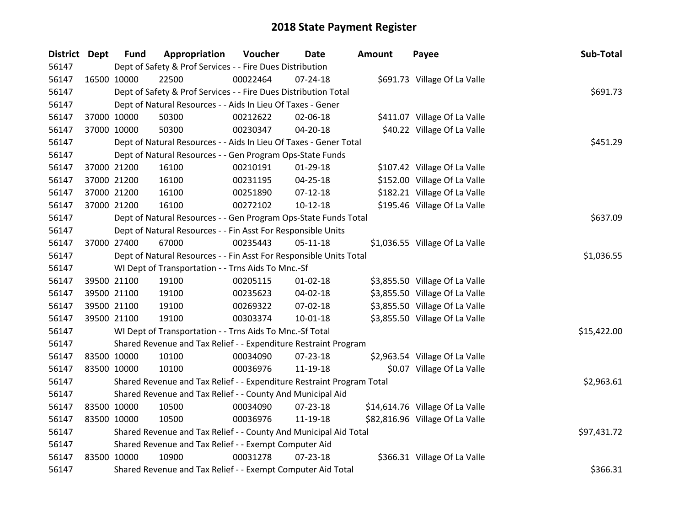| District Dept |             | <b>Fund</b> | Appropriation                                                         | Voucher  | <b>Date</b>    | <b>Amount</b> | Payee                           | Sub-Total   |
|---------------|-------------|-------------|-----------------------------------------------------------------------|----------|----------------|---------------|---------------------------------|-------------|
| 56147         |             |             | Dept of Safety & Prof Services - - Fire Dues Distribution             |          |                |               |                                 |             |
| 56147         | 16500 10000 |             | 22500                                                                 | 00022464 | $07 - 24 - 18$ |               | \$691.73 Village Of La Valle    |             |
| 56147         |             |             | Dept of Safety & Prof Services - - Fire Dues Distribution Total       |          |                |               |                                 | \$691.73    |
| 56147         |             |             | Dept of Natural Resources - - Aids In Lieu Of Taxes - Gener           |          |                |               |                                 |             |
| 56147         |             | 37000 10000 | 50300                                                                 | 00212622 | 02-06-18       |               | \$411.07 Village Of La Valle    |             |
| 56147         |             | 37000 10000 | 50300                                                                 | 00230347 | 04-20-18       |               | \$40.22 Village Of La Valle     |             |
| 56147         |             |             | Dept of Natural Resources - - Aids In Lieu Of Taxes - Gener Total     |          | \$451.29       |               |                                 |             |
| 56147         |             |             | Dept of Natural Resources - - Gen Program Ops-State Funds             |          |                |               |                                 |             |
| 56147         |             | 37000 21200 | 16100                                                                 | 00210191 | $01-29-18$     |               | \$107.42 Village Of La Valle    |             |
| 56147         |             | 37000 21200 | 16100                                                                 | 00231195 | 04-25-18       |               | \$152.00 Village Of La Valle    |             |
| 56147         |             | 37000 21200 | 16100                                                                 | 00251890 | $07-12-18$     |               | \$182.21 Village Of La Valle    |             |
| 56147         |             | 37000 21200 | 16100                                                                 | 00272102 | $10-12-18$     |               | \$195.46 Village Of La Valle    |             |
| 56147         |             |             | Dept of Natural Resources - - Gen Program Ops-State Funds Total       |          |                |               |                                 | \$637.09    |
| 56147         |             |             | Dept of Natural Resources - - Fin Asst For Responsible Units          |          |                |               |                                 |             |
| 56147         |             | 37000 27400 | 67000                                                                 | 00235443 | 05-11-18       |               | \$1,036.55 Village Of La Valle  |             |
| 56147         |             |             | Dept of Natural Resources - - Fin Asst For Responsible Units Total    |          |                |               |                                 | \$1,036.55  |
| 56147         |             |             | WI Dept of Transportation - - Trns Aids To Mnc.-Sf                    |          |                |               |                                 |             |
| 56147         | 39500 21100 |             | 19100                                                                 | 00205115 | $01 - 02 - 18$ |               | \$3,855.50 Village Of La Valle  |             |
| 56147         | 39500 21100 |             | 19100                                                                 | 00235623 | 04-02-18       |               | \$3,855.50 Village Of La Valle  |             |
| 56147         |             | 39500 21100 | 19100                                                                 | 00269322 | 07-02-18       |               | \$3,855.50 Village Of La Valle  |             |
| 56147         |             | 39500 21100 | 19100                                                                 | 00303374 | 10-01-18       |               | \$3,855.50 Village Of La Valle  |             |
| 56147         |             |             | WI Dept of Transportation - - Trns Aids To Mnc.-Sf Total              |          |                |               |                                 | \$15,422.00 |
| 56147         |             |             | Shared Revenue and Tax Relief - - Expenditure Restraint Program       |          |                |               |                                 |             |
| 56147         | 83500 10000 |             | 10100                                                                 | 00034090 | 07-23-18       |               | \$2,963.54 Village Of La Valle  |             |
| 56147         |             | 83500 10000 | 10100                                                                 | 00036976 | 11-19-18       |               | \$0.07 Village Of La Valle      |             |
| 56147         |             |             | Shared Revenue and Tax Relief - - Expenditure Restraint Program Total |          |                |               |                                 | \$2,963.61  |
| 56147         |             |             | Shared Revenue and Tax Relief - - County And Municipal Aid            |          |                |               |                                 |             |
| 56147         | 83500 10000 |             | 10500                                                                 | 00034090 | 07-23-18       |               | \$14,614.76 Village Of La Valle |             |
| 56147         | 83500 10000 |             | 10500                                                                 | 00036976 | 11-19-18       |               | \$82,816.96 Village Of La Valle |             |
| 56147         |             |             | Shared Revenue and Tax Relief - - County And Municipal Aid Total      |          |                |               |                                 | \$97,431.72 |
| 56147         |             |             | Shared Revenue and Tax Relief - - Exempt Computer Aid                 |          |                |               |                                 |             |
| 56147         | 83500 10000 |             | 10900                                                                 | 00031278 | 07-23-18       |               | \$366.31 Village Of La Valle    |             |
| 56147         |             |             | Shared Revenue and Tax Relief - - Exempt Computer Aid Total           |          |                |               |                                 | \$366.31    |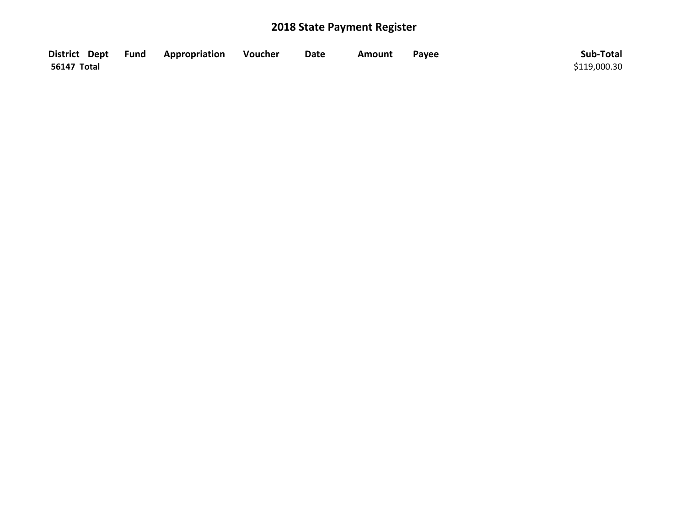|                    | District Dept Fund Appropriation | Voucher | <b>Date</b> | Amount | Payee | Sub-Total    |
|--------------------|----------------------------------|---------|-------------|--------|-------|--------------|
| <b>56147 Total</b> |                                  |         |             |        |       | \$119,000.30 |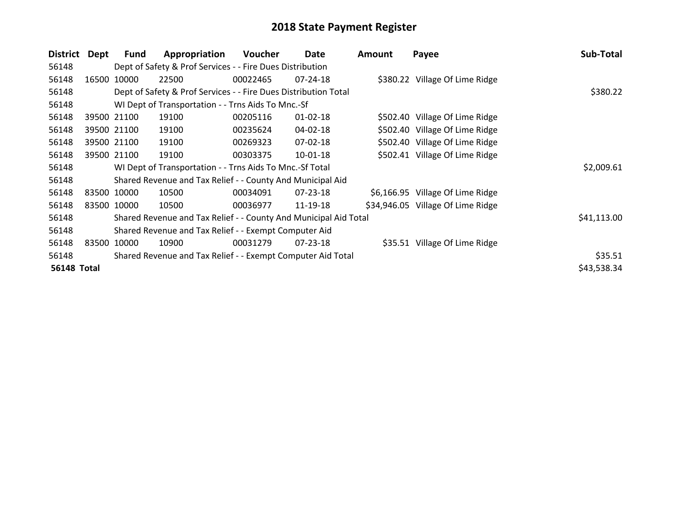| <b>District</b>    | <b>Dept</b> | Fund        | Appropriation                                                    | Voucher  | Date           | Amount | Payee                             | Sub-Total   |
|--------------------|-------------|-------------|------------------------------------------------------------------|----------|----------------|--------|-----------------------------------|-------------|
| 56148              |             |             | Dept of Safety & Prof Services - - Fire Dues Distribution        |          |                |        |                                   |             |
| 56148              |             | 16500 10000 | 22500                                                            | 00022465 | 07-24-18       |        | \$380.22 Village Of Lime Ridge    |             |
| 56148              |             |             | Dept of Safety & Prof Services - - Fire Dues Distribution Total  |          |                |        |                                   | \$380.22    |
| 56148              |             |             | WI Dept of Transportation - - Trns Aids To Mnc.-Sf               |          |                |        |                                   |             |
| 56148              |             | 39500 21100 | 19100                                                            | 00205116 | $01 - 02 - 18$ |        | \$502.40 Village Of Lime Ridge    |             |
| 56148              |             | 39500 21100 | 19100                                                            | 00235624 | 04-02-18       |        | \$502.40 Village Of Lime Ridge    |             |
| 56148              |             | 39500 21100 | 19100                                                            | 00269323 | 07-02-18       |        | \$502.40 Village Of Lime Ridge    |             |
| 56148              |             | 39500 21100 | 19100                                                            | 00303375 | 10-01-18       |        | \$502.41 Village Of Lime Ridge    |             |
| 56148              |             |             | WI Dept of Transportation - - Trns Aids To Mnc.-Sf Total         |          |                |        |                                   | \$2,009.61  |
| 56148              |             |             | Shared Revenue and Tax Relief - - County And Municipal Aid       |          |                |        |                                   |             |
| 56148              |             | 83500 10000 | 10500                                                            | 00034091 | $07 - 23 - 18$ |        | \$6,166.95 Village Of Lime Ridge  |             |
| 56148              |             | 83500 10000 | 10500                                                            | 00036977 | 11-19-18       |        | \$34,946.05 Village Of Lime Ridge |             |
| 56148              |             |             | Shared Revenue and Tax Relief - - County And Municipal Aid Total |          |                |        |                                   | \$41,113.00 |
| 56148              |             |             | Shared Revenue and Tax Relief - - Exempt Computer Aid            |          |                |        |                                   |             |
| 56148              | 83500       | 10000       | 10900                                                            | 00031279 | 07-23-18       |        | \$35.51 Village Of Lime Ridge     |             |
| 56148              |             |             | Shared Revenue and Tax Relief - - Exempt Computer Aid Total      |          |                |        |                                   | \$35.51     |
| <b>56148 Total</b> |             |             |                                                                  |          |                |        |                                   | \$43,538.34 |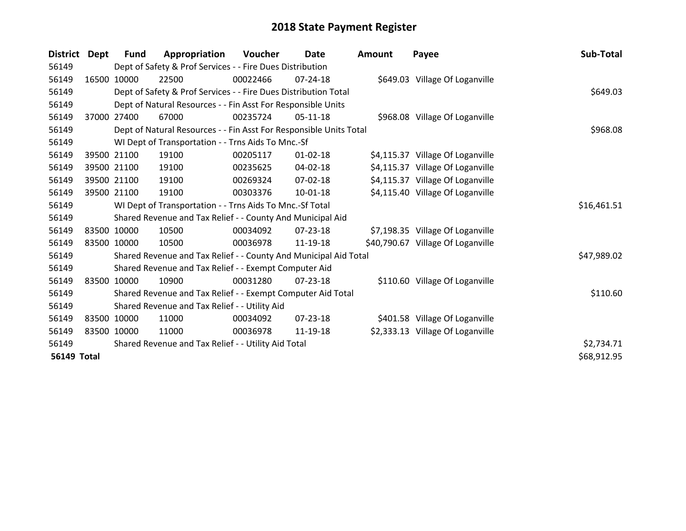| <b>District</b>    | Dept        | <b>Fund</b> | Appropriation                                                      | Voucher  | <b>Date</b>    | <b>Amount</b> | Payee                             | Sub-Total   |
|--------------------|-------------|-------------|--------------------------------------------------------------------|----------|----------------|---------------|-----------------------------------|-------------|
| 56149              |             |             | Dept of Safety & Prof Services - - Fire Dues Distribution          |          |                |               |                                   |             |
| 56149              | 16500       | 10000       | 22500                                                              | 00022466 | $07 - 24 - 18$ |               | \$649.03 Village Of Loganville    |             |
| 56149              |             |             | Dept of Safety & Prof Services - - Fire Dues Distribution Total    |          |                |               |                                   | \$649.03    |
| 56149              |             |             | Dept of Natural Resources - - Fin Asst For Responsible Units       |          |                |               |                                   |             |
| 56149              | 37000       | 27400       | 67000                                                              | 00235724 | $05-11-18$     |               | \$968.08 Village Of Loganville    |             |
| 56149              |             |             | Dept of Natural Resources - - Fin Asst For Responsible Units Total |          |                |               |                                   | \$968.08    |
| 56149              |             |             | WI Dept of Transportation - - Trns Aids To Mnc.-Sf                 |          |                |               |                                   |             |
| 56149              |             | 39500 21100 | 19100                                                              | 00205117 | $01 - 02 - 18$ |               | \$4,115.37 Village Of Loganville  |             |
| 56149              |             | 39500 21100 | 19100                                                              | 00235625 | 04-02-18       |               | \$4,115.37 Village Of Loganville  |             |
| 56149              |             | 39500 21100 | 19100                                                              | 00269324 | $07 - 02 - 18$ |               | \$4,115.37 Village Of Loganville  |             |
| 56149              |             | 39500 21100 | 19100                                                              | 00303376 | 10-01-18       |               | \$4,115.40 Village Of Loganville  |             |
| 56149              |             |             | WI Dept of Transportation - - Trns Aids To Mnc.-Sf Total           |          |                |               |                                   | \$16,461.51 |
| 56149              |             |             | Shared Revenue and Tax Relief - - County And Municipal Aid         |          |                |               |                                   |             |
| 56149              |             | 83500 10000 | 10500                                                              | 00034092 | $07 - 23 - 18$ |               | \$7,198.35 Village Of Loganville  |             |
| 56149              |             | 83500 10000 | 10500                                                              | 00036978 | 11-19-18       |               | \$40,790.67 Village Of Loganville |             |
| 56149              |             |             | Shared Revenue and Tax Relief - - County And Municipal Aid Total   |          |                |               |                                   | \$47,989.02 |
| 56149              |             |             | Shared Revenue and Tax Relief - - Exempt Computer Aid              |          |                |               |                                   |             |
| 56149              | 83500 10000 |             | 10900                                                              | 00031280 | $07 - 23 - 18$ |               | \$110.60 Village Of Loganville    |             |
| 56149              |             |             | Shared Revenue and Tax Relief - - Exempt Computer Aid Total        |          |                |               |                                   | \$110.60    |
| 56149              |             |             | Shared Revenue and Tax Relief - - Utility Aid                      |          |                |               |                                   |             |
| 56149              |             | 83500 10000 | 11000                                                              | 00034092 | 07-23-18       |               | \$401.58 Village Of Loganville    |             |
| 56149              |             | 83500 10000 | 11000                                                              | 00036978 | 11-19-18       |               | \$2,333.13 Village Of Loganville  |             |
| 56149              |             |             | Shared Revenue and Tax Relief - - Utility Aid Total                |          |                |               |                                   | \$2,734.71  |
| <b>56149 Total</b> |             |             |                                                                    |          |                |               |                                   | \$68,912.95 |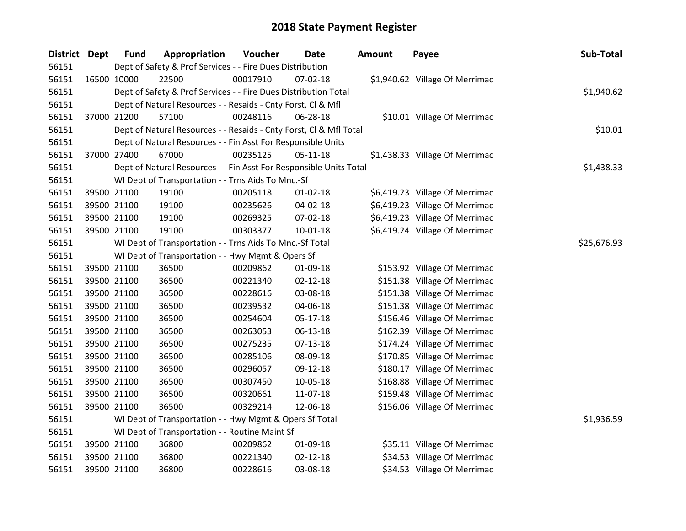| <b>District Dept</b> |             | <b>Fund</b> | Appropriation                                                      | Voucher     | <b>Date</b>    | <b>Amount</b> | Payee                          | Sub-Total  |
|----------------------|-------------|-------------|--------------------------------------------------------------------|-------------|----------------|---------------|--------------------------------|------------|
| 56151                |             |             | Dept of Safety & Prof Services - - Fire Dues Distribution          |             |                |               |                                |            |
| 56151                | 16500 10000 |             | 22500                                                              | 00017910    | 07-02-18       |               | \$1,940.62 Village Of Merrimac |            |
| 56151                |             |             | Dept of Safety & Prof Services - - Fire Dues Distribution Total    |             |                |               |                                | \$1,940.62 |
| 56151                |             |             | Dept of Natural Resources - - Resaids - Cnty Forst, Cl & Mfl       |             |                |               |                                |            |
| 56151                |             | 37000 21200 | 57100                                                              | 00248116    | 06-28-18       |               | \$10.01 Village Of Merrimac    |            |
| 56151                |             |             | Dept of Natural Resources - - Resaids - Cnty Forst, Cl & Mfl Total |             |                |               |                                | \$10.01    |
| 56151                |             |             | Dept of Natural Resources - - Fin Asst For Responsible Units       |             |                |               |                                |            |
| 56151                |             | 37000 27400 | 67000                                                              | 00235125    | $05 - 11 - 18$ |               | \$1,438.33 Village Of Merrimac |            |
| 56151                |             |             | Dept of Natural Resources - - Fin Asst For Responsible Units Total |             |                |               |                                | \$1,438.33 |
| 56151                |             |             | WI Dept of Transportation - - Trns Aids To Mnc.-Sf                 |             |                |               |                                |            |
| 56151                |             | 39500 21100 | 19100                                                              | 00205118    | 01-02-18       |               | \$6,419.23 Village Of Merrimac |            |
| 56151                |             | 39500 21100 | 19100                                                              | 00235626    | 04-02-18       |               | \$6,419.23 Village Of Merrimac |            |
| 56151                |             | 39500 21100 | 19100                                                              | 00269325    | 07-02-18       |               | \$6,419.23 Village Of Merrimac |            |
| 56151                |             | 39500 21100 | 19100                                                              | 00303377    | $10-01-18$     |               | \$6,419.24 Village Of Merrimac |            |
| 56151                |             |             | WI Dept of Transportation - - Trns Aids To Mnc.-Sf Total           | \$25,676.93 |                |               |                                |            |
| 56151                |             |             | WI Dept of Transportation - - Hwy Mgmt & Opers Sf                  |             |                |               |                                |            |
| 56151                |             | 39500 21100 | 36500                                                              | 00209862    | 01-09-18       |               | \$153.92 Village Of Merrimac   |            |
| 56151                |             | 39500 21100 | 36500                                                              | 00221340    | $02 - 12 - 18$ |               | \$151.38 Village Of Merrimac   |            |
| 56151                |             | 39500 21100 | 36500                                                              | 00228616    | 03-08-18       |               | \$151.38 Village Of Merrimac   |            |
| 56151                |             | 39500 21100 | 36500                                                              | 00239532    | 04-06-18       |               | \$151.38 Village Of Merrimac   |            |
| 56151                |             | 39500 21100 | 36500                                                              | 00254604    | $05-17-18$     |               | \$156.46 Village Of Merrimac   |            |
| 56151                |             | 39500 21100 | 36500                                                              | 00263053    | 06-13-18       |               | \$162.39 Village Of Merrimac   |            |
| 56151                |             | 39500 21100 | 36500                                                              | 00275235    | $07 - 13 - 18$ |               | \$174.24 Village Of Merrimac   |            |
| 56151                |             | 39500 21100 | 36500                                                              | 00285106    | 08-09-18       |               | \$170.85 Village Of Merrimac   |            |
| 56151                |             | 39500 21100 | 36500                                                              | 00296057    | 09-12-18       |               | \$180.17 Village Of Merrimac   |            |
| 56151                |             | 39500 21100 | 36500                                                              | 00307450    | 10-05-18       |               | \$168.88 Village Of Merrimac   |            |
| 56151                |             | 39500 21100 | 36500                                                              | 00320661    | 11-07-18       |               | \$159.48 Village Of Merrimac   |            |
| 56151                |             | 39500 21100 | 36500                                                              | 00329214    | 12-06-18       |               | \$156.06 Village Of Merrimac   |            |
| 56151                |             |             | WI Dept of Transportation - - Hwy Mgmt & Opers Sf Total            |             |                |               |                                | \$1,936.59 |
| 56151                |             |             | WI Dept of Transportation - - Routine Maint Sf                     |             |                |               |                                |            |
| 56151                |             | 39500 21100 | 36800                                                              | 00209862    | 01-09-18       |               | \$35.11 Village Of Merrimac    |            |
| 56151                |             | 39500 21100 | 36800                                                              | 00221340    | $02 - 12 - 18$ |               | \$34.53 Village Of Merrimac    |            |
| 56151                |             | 39500 21100 | 36800                                                              | 00228616    | 03-08-18       |               | \$34.53 Village Of Merrimac    |            |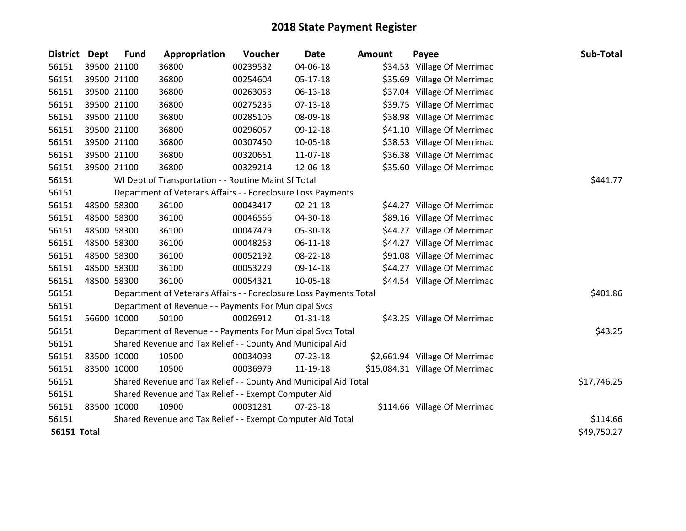| <b>District</b>    | Dept | <b>Fund</b> | Appropriation                                                      | Voucher  | Date           | Amount | Payee                           | Sub-Total   |
|--------------------|------|-------------|--------------------------------------------------------------------|----------|----------------|--------|---------------------------------|-------------|
| 56151              |      | 39500 21100 | 36800                                                              | 00239532 | 04-06-18       |        | \$34.53 Village Of Merrimac     |             |
| 56151              |      | 39500 21100 | 36800                                                              | 00254604 | 05-17-18       |        | \$35.69 Village Of Merrimac     |             |
| 56151              |      | 39500 21100 | 36800                                                              | 00263053 | 06-13-18       |        | \$37.04 Village Of Merrimac     |             |
| 56151              |      | 39500 21100 | 36800                                                              | 00275235 | $07 - 13 - 18$ |        | \$39.75 Village Of Merrimac     |             |
| 56151              |      | 39500 21100 | 36800                                                              | 00285106 | 08-09-18       |        | \$38.98 Village Of Merrimac     |             |
| 56151              |      | 39500 21100 | 36800                                                              | 00296057 | 09-12-18       |        | \$41.10 Village Of Merrimac     |             |
| 56151              |      | 39500 21100 | 36800                                                              | 00307450 | 10-05-18       |        | \$38.53 Village Of Merrimac     |             |
| 56151              |      | 39500 21100 | 36800                                                              | 00320661 | 11-07-18       |        | \$36.38 Village Of Merrimac     |             |
| 56151              |      | 39500 21100 | 36800                                                              | 00329214 | 12-06-18       |        | \$35.60 Village Of Merrimac     |             |
| 56151              |      |             | WI Dept of Transportation - - Routine Maint Sf Total               |          |                |        |                                 | \$441.77    |
| 56151              |      |             | Department of Veterans Affairs - - Foreclosure Loss Payments       |          |                |        |                                 |             |
| 56151              |      | 48500 58300 | 36100                                                              | 00043417 | $02 - 21 - 18$ |        | \$44.27 Village Of Merrimac     |             |
| 56151              |      | 48500 58300 | 36100                                                              | 00046566 | 04-30-18       |        | \$89.16 Village Of Merrimac     |             |
| 56151              |      | 48500 58300 | 36100                                                              | 00047479 | 05-30-18       |        | \$44.27 Village Of Merrimac     |             |
| 56151              |      | 48500 58300 | 36100                                                              | 00048263 | $06 - 11 - 18$ |        | \$44.27 Village Of Merrimac     |             |
| 56151              |      | 48500 58300 | 36100                                                              | 00052192 | 08-22-18       |        | \$91.08 Village Of Merrimac     |             |
| 56151              |      | 48500 58300 | 36100                                                              | 00053229 | 09-14-18       |        | \$44.27 Village Of Merrimac     |             |
| 56151              |      | 48500 58300 | 36100                                                              | 00054321 | 10-05-18       |        | \$44.54 Village Of Merrimac     |             |
| 56151              |      |             | Department of Veterans Affairs - - Foreclosure Loss Payments Total |          |                |        |                                 | \$401.86    |
| 56151              |      |             | Department of Revenue - - Payments For Municipal Svcs              |          |                |        |                                 |             |
| 56151              |      | 56600 10000 | 50100                                                              | 00026912 | $01 - 31 - 18$ |        | \$43.25 Village Of Merrimac     |             |
| 56151              |      |             | Department of Revenue - - Payments For Municipal Svcs Total        |          |                |        |                                 | \$43.25     |
| 56151              |      |             | Shared Revenue and Tax Relief - - County And Municipal Aid         |          |                |        |                                 |             |
| 56151              |      | 83500 10000 | 10500                                                              | 00034093 | 07-23-18       |        | \$2,661.94 Village Of Merrimac  |             |
| 56151              |      | 83500 10000 | 10500                                                              | 00036979 | 11-19-18       |        | \$15,084.31 Village Of Merrimac |             |
| 56151              |      |             | Shared Revenue and Tax Relief - - County And Municipal Aid Total   |          |                |        |                                 | \$17,746.25 |
| 56151              |      |             | Shared Revenue and Tax Relief - - Exempt Computer Aid              |          |                |        |                                 |             |
| 56151              |      | 83500 10000 | 10900                                                              | 00031281 | $07 - 23 - 18$ |        | \$114.66 Village Of Merrimac    |             |
| 56151              |      |             | Shared Revenue and Tax Relief - - Exempt Computer Aid Total        |          |                |        |                                 | \$114.66    |
| <b>56151 Total</b> |      |             |                                                                    |          |                |        |                                 | \$49,750.27 |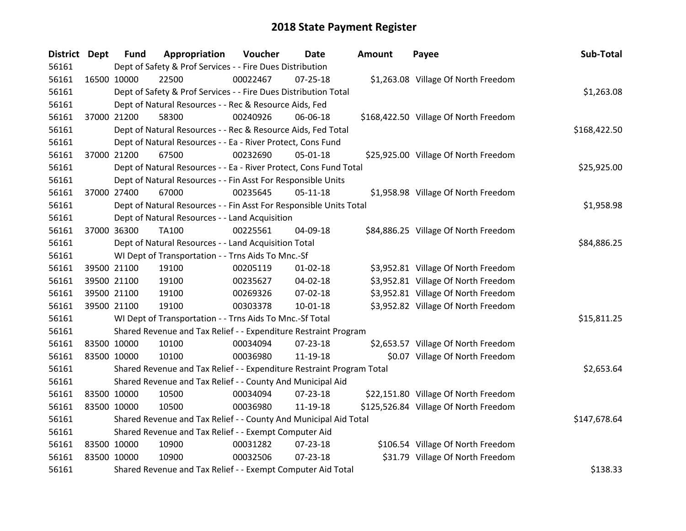| <b>District Dept</b> |             | <b>Fund</b>                                           | Appropriation                                                         | Voucher  | Date           | Amount | Payee                                 | Sub-Total    |
|----------------------|-------------|-------------------------------------------------------|-----------------------------------------------------------------------|----------|----------------|--------|---------------------------------------|--------------|
| 56161                |             |                                                       | Dept of Safety & Prof Services - - Fire Dues Distribution             |          |                |        |                                       |              |
| 56161                | 16500 10000 |                                                       | 22500                                                                 | 00022467 | $07 - 25 - 18$ |        | \$1,263.08 Village Of North Freedom   |              |
| 56161                |             |                                                       | Dept of Safety & Prof Services - - Fire Dues Distribution Total       |          |                |        |                                       | \$1,263.08   |
| 56161                |             |                                                       | Dept of Natural Resources - - Rec & Resource Aids, Fed                |          |                |        |                                       |              |
| 56161                | 37000 21200 |                                                       | 58300                                                                 | 00240926 | 06-06-18       |        | \$168,422.50 Village Of North Freedom |              |
| 56161                |             |                                                       | Dept of Natural Resources - - Rec & Resource Aids, Fed Total          |          |                |        |                                       | \$168,422.50 |
| 56161                |             |                                                       | Dept of Natural Resources - - Ea - River Protect, Cons Fund           |          |                |        |                                       |              |
| 56161                | 37000 21200 |                                                       | 67500                                                                 | 00232690 | 05-01-18       |        | \$25,925.00 Village Of North Freedom  |              |
| 56161                |             |                                                       | Dept of Natural Resources - - Ea - River Protect, Cons Fund Total     |          |                |        |                                       | \$25,925.00  |
| 56161                |             |                                                       | Dept of Natural Resources - - Fin Asst For Responsible Units          |          |                |        |                                       |              |
| 56161                |             | 37000 27400                                           | 67000                                                                 | 00235645 | $05-11-18$     |        | \$1,958.98 Village Of North Freedom   |              |
| 56161                |             |                                                       | Dept of Natural Resources - - Fin Asst For Responsible Units Total    |          |                |        |                                       | \$1,958.98   |
| 56161                |             |                                                       | Dept of Natural Resources - - Land Acquisition                        |          |                |        |                                       |              |
| 56161                | 37000 36300 |                                                       | TA100                                                                 | 00225561 | 04-09-18       |        | \$84,886.25 Village Of North Freedom  |              |
| 56161                |             |                                                       | Dept of Natural Resources - - Land Acquisition Total                  |          |                |        |                                       | \$84,886.25  |
| 56161                |             |                                                       | WI Dept of Transportation - - Trns Aids To Mnc.-Sf                    |          |                |        |                                       |              |
| 56161                | 39500 21100 |                                                       | 19100                                                                 | 00205119 | $01 - 02 - 18$ |        | \$3,952.81 Village Of North Freedom   |              |
| 56161                | 39500 21100 |                                                       | 19100                                                                 | 00235627 | 04-02-18       |        | \$3,952.81 Village Of North Freedom   |              |
| 56161                | 39500 21100 |                                                       | 19100                                                                 | 00269326 | 07-02-18       |        | \$3,952.81 Village Of North Freedom   |              |
| 56161                | 39500 21100 |                                                       | 19100                                                                 | 00303378 | 10-01-18       |        | \$3,952.82 Village Of North Freedom   |              |
| 56161                |             |                                                       | WI Dept of Transportation - - Trns Aids To Mnc.-Sf Total              |          |                |        |                                       | \$15,811.25  |
| 56161                |             |                                                       | Shared Revenue and Tax Relief - - Expenditure Restraint Program       |          |                |        |                                       |              |
| 56161                | 83500 10000 |                                                       | 10100                                                                 | 00034094 | 07-23-18       |        | \$2,653.57 Village Of North Freedom   |              |
| 56161                | 83500 10000 |                                                       | 10100                                                                 | 00036980 | 11-19-18       |        | \$0.07 Village Of North Freedom       |              |
| 56161                |             |                                                       | Shared Revenue and Tax Relief - - Expenditure Restraint Program Total |          |                |        |                                       | \$2,653.64   |
| 56161                |             |                                                       | Shared Revenue and Tax Relief - - County And Municipal Aid            |          |                |        |                                       |              |
| 56161                | 83500 10000 |                                                       | 10500                                                                 | 00034094 | 07-23-18       |        | \$22,151.80 Village Of North Freedom  |              |
| 56161                | 83500 10000 |                                                       | 10500                                                                 | 00036980 | 11-19-18       |        | \$125,526.84 Village Of North Freedom |              |
| 56161                |             |                                                       | Shared Revenue and Tax Relief - - County And Municipal Aid Total      |          |                |        |                                       | \$147,678.64 |
| 56161                |             | Shared Revenue and Tax Relief - - Exempt Computer Aid |                                                                       |          |                |        |                                       |              |
| 56161                | 83500 10000 |                                                       | 10900                                                                 | 00031282 | 07-23-18       |        | \$106.54 Village Of North Freedom     |              |
| 56161                | 83500 10000 |                                                       | 10900                                                                 | 00032506 | 07-23-18       |        | \$31.79 Village Of North Freedom      |              |
| 56161                |             |                                                       | Shared Revenue and Tax Relief - - Exempt Computer Aid Total           |          |                |        |                                       | \$138.33     |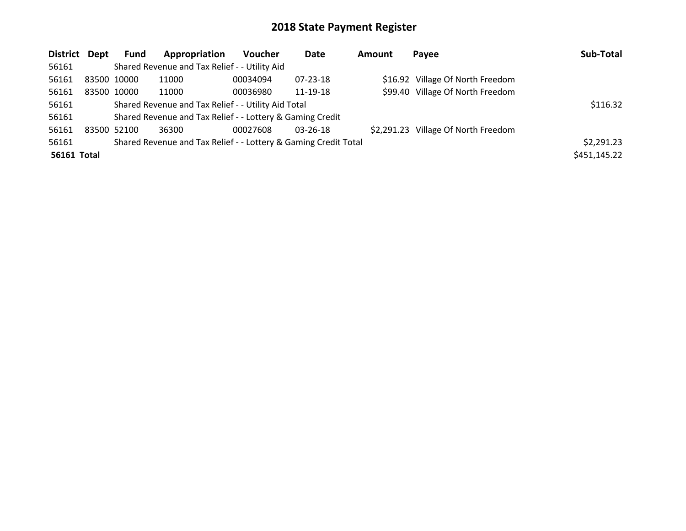| District Dept |             | <b>Fund</b>                                         | Appropriation                                                   | <b>Voucher</b> | Date           | <b>Amount</b> | Payee                               | Sub-Total    |
|---------------|-------------|-----------------------------------------------------|-----------------------------------------------------------------|----------------|----------------|---------------|-------------------------------------|--------------|
| 56161         |             |                                                     | Shared Revenue and Tax Relief - - Utility Aid                   |                |                |               |                                     |              |
| 56161         | 83500 10000 |                                                     | 11000                                                           | 00034094       | 07-23-18       |               | \$16.92 Village Of North Freedom    |              |
| 56161         | 83500 10000 |                                                     | 11000                                                           | 00036980       | 11-19-18       |               | \$99.40 Village Of North Freedom    |              |
| 56161         |             | Shared Revenue and Tax Relief - - Utility Aid Total | \$116.32                                                        |                |                |               |                                     |              |
| 56161         |             |                                                     | Shared Revenue and Tax Relief - - Lottery & Gaming Credit       |                |                |               |                                     |              |
| 56161         | 83500 52100 |                                                     | 36300                                                           | 00027608       | $03 - 26 - 18$ |               | \$2,291.23 Village Of North Freedom |              |
| 56161         |             |                                                     | Shared Revenue and Tax Relief - - Lottery & Gaming Credit Total |                |                |               |                                     |              |
| 56161 Total   |             |                                                     |                                                                 |                |                |               |                                     | \$451,145.22 |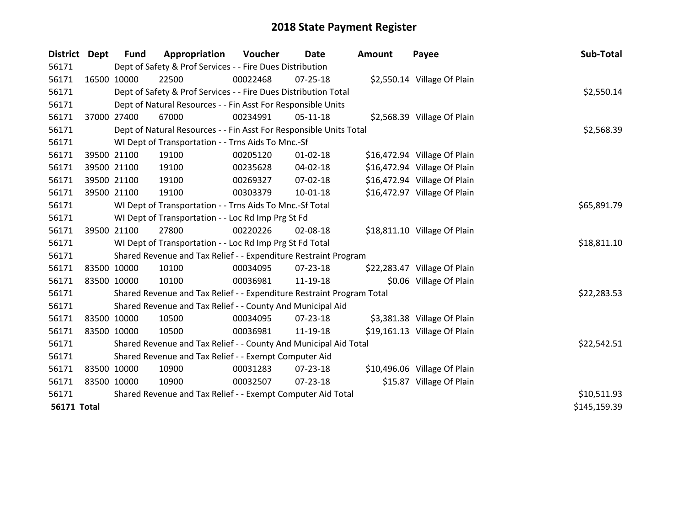| District Dept      |             | <b>Fund</b> | Appropriation                                                         | <b>Voucher</b> | <b>Date</b>    | Amount | Payee                        | Sub-Total    |
|--------------------|-------------|-------------|-----------------------------------------------------------------------|----------------|----------------|--------|------------------------------|--------------|
| 56171              |             |             | Dept of Safety & Prof Services - - Fire Dues Distribution             |                |                |        |                              |              |
| 56171              |             | 16500 10000 | 22500                                                                 | 00022468       | 07-25-18       |        | \$2,550.14 Village Of Plain  |              |
| 56171              |             |             | Dept of Safety & Prof Services - - Fire Dues Distribution Total       |                |                |        |                              | \$2,550.14   |
| 56171              |             |             | Dept of Natural Resources - - Fin Asst For Responsible Units          |                |                |        |                              |              |
| 56171              | 37000 27400 |             | 67000                                                                 | 00234991       | $05-11-18$     |        | \$2,568.39 Village Of Plain  |              |
| 56171              |             |             | Dept of Natural Resources - - Fin Asst For Responsible Units Total    |                |                |        |                              | \$2,568.39   |
| 56171              |             |             | WI Dept of Transportation - - Trns Aids To Mnc.-Sf                    |                |                |        |                              |              |
| 56171              |             | 39500 21100 | 19100                                                                 | 00205120       | $01 - 02 - 18$ |        | \$16,472.94 Village Of Plain |              |
| 56171              |             | 39500 21100 | 19100                                                                 | 00235628       | 04-02-18       |        | \$16,472.94 Village Of Plain |              |
| 56171              |             | 39500 21100 | 19100                                                                 | 00269327       | $07 - 02 - 18$ |        | \$16,472.94 Village Of Plain |              |
| 56171              | 39500 21100 |             | 19100                                                                 | 00303379       | $10-01-18$     |        | \$16,472.97 Village Of Plain |              |
| 56171              |             |             | WI Dept of Transportation - - Trns Aids To Mnc.-Sf Total              |                |                |        |                              | \$65,891.79  |
| 56171              |             |             | WI Dept of Transportation - - Loc Rd Imp Prg St Fd                    |                |                |        |                              |              |
| 56171              | 39500 21100 |             | 27800                                                                 | 00220226       | 02-08-18       |        | \$18,811.10 Village Of Plain |              |
| 56171              |             |             | WI Dept of Transportation - - Loc Rd Imp Prg St Fd Total              |                |                |        |                              | \$18,811.10  |
| 56171              |             |             | Shared Revenue and Tax Relief - - Expenditure Restraint Program       |                |                |        |                              |              |
| 56171              |             | 83500 10000 | 10100                                                                 | 00034095       | $07 - 23 - 18$ |        | \$22,283.47 Village Of Plain |              |
| 56171              | 83500 10000 |             | 10100                                                                 | 00036981       | 11-19-18       |        | \$0.06 Village Of Plain      |              |
| 56171              |             |             | Shared Revenue and Tax Relief - - Expenditure Restraint Program Total |                |                |        |                              | \$22,283.53  |
| 56171              |             |             | Shared Revenue and Tax Relief - - County And Municipal Aid            |                |                |        |                              |              |
| 56171              | 83500 10000 |             | 10500                                                                 | 00034095       | 07-23-18       |        | \$3,381.38 Village Of Plain  |              |
| 56171              | 83500 10000 |             | 10500                                                                 | 00036981       | 11-19-18       |        | \$19,161.13 Village Of Plain |              |
| 56171              |             |             | Shared Revenue and Tax Relief - - County And Municipal Aid Total      |                | \$22,542.51    |        |                              |              |
| 56171              |             |             | Shared Revenue and Tax Relief - - Exempt Computer Aid                 |                |                |        |                              |              |
| 56171              | 83500 10000 |             | 10900                                                                 | 00031283       | 07-23-18       |        | \$10,496.06 Village Of Plain |              |
| 56171              | 83500 10000 |             | 10900                                                                 | 00032507       | 07-23-18       |        | \$15.87 Village Of Plain     |              |
| 56171              |             |             | Shared Revenue and Tax Relief - - Exempt Computer Aid Total           |                | \$10,511.93    |        |                              |              |
| <b>56171 Total</b> |             |             |                                                                       |                |                |        |                              | \$145,159.39 |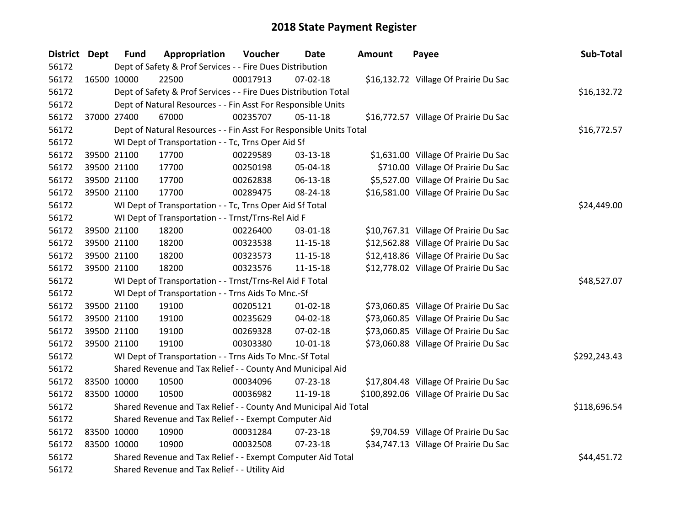| District Dept |             | <b>Fund</b>                                                 | Appropriation                                                      | Voucher  | <b>Date</b>    | Amount | Payee                                  | Sub-Total    |
|---------------|-------------|-------------------------------------------------------------|--------------------------------------------------------------------|----------|----------------|--------|----------------------------------------|--------------|
| 56172         |             |                                                             | Dept of Safety & Prof Services - - Fire Dues Distribution          |          |                |        |                                        |              |
| 56172         |             | 16500 10000                                                 | 22500                                                              | 00017913 | 07-02-18       |        | \$16,132.72 Village Of Prairie Du Sac  |              |
| 56172         |             |                                                             | Dept of Safety & Prof Services - - Fire Dues Distribution Total    |          |                |        |                                        | \$16,132.72  |
| 56172         |             |                                                             | Dept of Natural Resources - - Fin Asst For Responsible Units       |          |                |        |                                        |              |
| 56172         |             | 37000 27400                                                 | 67000                                                              | 00235707 | $05-11-18$     |        | \$16,772.57 Village Of Prairie Du Sac  |              |
| 56172         |             |                                                             | Dept of Natural Resources - - Fin Asst For Responsible Units Total |          |                |        |                                        | \$16,772.57  |
| 56172         |             |                                                             | WI Dept of Transportation - - Tc, Trns Oper Aid Sf                 |          |                |        |                                        |              |
| 56172         |             | 39500 21100                                                 | 17700                                                              | 00229589 | 03-13-18       |        | \$1,631.00 Village Of Prairie Du Sac   |              |
| 56172         |             | 39500 21100                                                 | 17700                                                              | 00250198 | 05-04-18       |        | \$710.00 Village Of Prairie Du Sac     |              |
| 56172         |             | 39500 21100                                                 | 17700                                                              | 00262838 | 06-13-18       |        | \$5,527.00 Village Of Prairie Du Sac   |              |
| 56172         |             | 39500 21100                                                 | 17700                                                              | 00289475 | 08-24-18       |        | \$16,581.00 Village Of Prairie Du Sac  |              |
| 56172         |             |                                                             | WI Dept of Transportation - - Tc, Trns Oper Aid Sf Total           |          |                |        |                                        | \$24,449.00  |
| 56172         |             |                                                             | WI Dept of Transportation - - Trnst/Trns-Rel Aid F                 |          |                |        |                                        |              |
| 56172         |             | 39500 21100                                                 | 18200                                                              | 00226400 | 03-01-18       |        | \$10,767.31 Village Of Prairie Du Sac  |              |
| 56172         |             | 39500 21100                                                 | 18200                                                              | 00323538 | 11-15-18       |        | \$12,562.88 Village Of Prairie Du Sac  |              |
| 56172         |             | 39500 21100                                                 | 18200                                                              | 00323573 | 11-15-18       |        | \$12,418.86 Village Of Prairie Du Sac  |              |
| 56172         |             | 39500 21100                                                 | 18200                                                              | 00323576 | $11 - 15 - 18$ |        | \$12,778.02 Village Of Prairie Du Sac  |              |
| 56172         |             |                                                             | WI Dept of Transportation - - Trnst/Trns-Rel Aid F Total           |          |                |        |                                        | \$48,527.07  |
| 56172         |             |                                                             | WI Dept of Transportation - - Trns Aids To Mnc.-Sf                 |          |                |        |                                        |              |
| 56172         |             | 39500 21100                                                 | 19100                                                              | 00205121 | $01 - 02 - 18$ |        | \$73,060.85 Village Of Prairie Du Sac  |              |
| 56172         |             | 39500 21100                                                 | 19100                                                              | 00235629 | 04-02-18       |        | \$73,060.85 Village Of Prairie Du Sac  |              |
| 56172         |             | 39500 21100                                                 | 19100                                                              | 00269328 | 07-02-18       |        | \$73,060.85 Village Of Prairie Du Sac  |              |
| 56172         |             | 39500 21100                                                 | 19100                                                              | 00303380 | $10-01-18$     |        | \$73,060.88 Village Of Prairie Du Sac  |              |
| 56172         |             |                                                             | WI Dept of Transportation - - Trns Aids To Mnc.-Sf Total           |          |                |        |                                        | \$292,243.43 |
| 56172         |             |                                                             | Shared Revenue and Tax Relief - - County And Municipal Aid         |          |                |        |                                        |              |
| 56172         | 83500 10000 |                                                             | 10500                                                              | 00034096 | 07-23-18       |        | \$17,804.48 Village Of Prairie Du Sac  |              |
| 56172         |             | 83500 10000                                                 | 10500                                                              | 00036982 | 11-19-18       |        | \$100,892.06 Village Of Prairie Du Sac |              |
| 56172         |             |                                                             | Shared Revenue and Tax Relief - - County And Municipal Aid Total   |          |                |        |                                        | \$118,696.54 |
| 56172         |             | Shared Revenue and Tax Relief - - Exempt Computer Aid       |                                                                    |          |                |        |                                        |              |
| 56172         | 83500 10000 |                                                             | 10900                                                              | 00031284 | 07-23-18       |        | \$9,704.59 Village Of Prairie Du Sac   |              |
| 56172         |             | 83500 10000                                                 | 10900                                                              | 00032508 | 07-23-18       |        | \$34,747.13 Village Of Prairie Du Sac  |              |
| 56172         |             | Shared Revenue and Tax Relief - - Exempt Computer Aid Total | \$44,451.72                                                        |          |                |        |                                        |              |
| 56172         |             |                                                             | Shared Revenue and Tax Relief - - Utility Aid                      |          |                |        |                                        |              |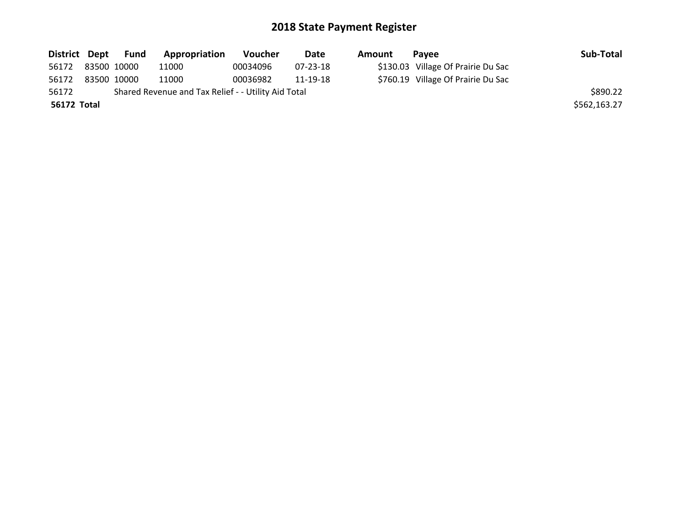|             |  | District Dept Fund | Appropriation                                       | <b>Voucher</b> | Date     | Amount | Pavee                              | Sub-Total |
|-------------|--|--------------------|-----------------------------------------------------|----------------|----------|--------|------------------------------------|-----------|
| 56172       |  | 83500 10000        | 11000                                               | 00034096       | 07-23-18 |        | \$130.03 Village Of Prairie Du Sac |           |
| 56172       |  | 83500 10000        | 11000                                               | 00036982       | 11-19-18 |        | \$760.19 Village Of Prairie Du Sac |           |
| 56172       |  |                    | Shared Revenue and Tax Relief - - Utility Aid Total |                |          |        |                                    | \$890.22  |
| 56172 Total |  |                    |                                                     |                |          |        | \$562,163.27                       |           |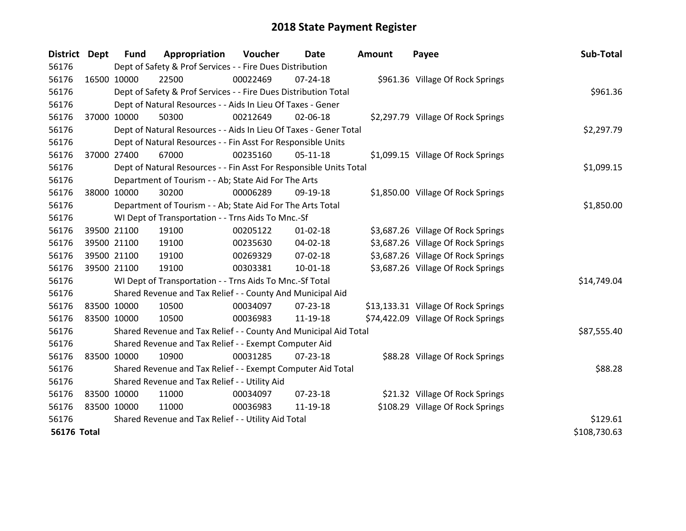| <b>District</b>    | <b>Dept</b> | <b>Fund</b>                                         | Appropriation                                                      | Voucher  | Date           | <b>Amount</b> | Payee                               | Sub-Total    |
|--------------------|-------------|-----------------------------------------------------|--------------------------------------------------------------------|----------|----------------|---------------|-------------------------------------|--------------|
| 56176              |             |                                                     | Dept of Safety & Prof Services - - Fire Dues Distribution          |          |                |               |                                     |              |
| 56176              | 16500 10000 |                                                     | 22500                                                              | 00022469 | $07 - 24 - 18$ |               | \$961.36 Village Of Rock Springs    |              |
| 56176              |             |                                                     | Dept of Safety & Prof Services - - Fire Dues Distribution Total    |          | \$961.36       |               |                                     |              |
| 56176              |             |                                                     | Dept of Natural Resources - - Aids In Lieu Of Taxes - Gener        |          |                |               |                                     |              |
| 56176              | 37000 10000 |                                                     | 50300                                                              | 00212649 | 02-06-18       |               | \$2,297.79 Village Of Rock Springs  |              |
| 56176              |             |                                                     | Dept of Natural Resources - - Aids In Lieu Of Taxes - Gener Total  |          |                |               |                                     | \$2,297.79   |
| 56176              |             |                                                     | Dept of Natural Resources - - Fin Asst For Responsible Units       |          |                |               |                                     |              |
| 56176              | 37000 27400 |                                                     | 67000                                                              | 00235160 | $05 - 11 - 18$ |               | \$1,099.15 Village Of Rock Springs  |              |
| 56176              |             |                                                     | Dept of Natural Resources - - Fin Asst For Responsible Units Total |          |                |               |                                     | \$1,099.15   |
| 56176              |             |                                                     | Department of Tourism - - Ab; State Aid For The Arts               |          |                |               |                                     |              |
| 56176              | 38000 10000 |                                                     | 30200                                                              | 00006289 | 09-19-18       |               | \$1,850.00 Village Of Rock Springs  |              |
| 56176              |             |                                                     | Department of Tourism - - Ab; State Aid For The Arts Total         |          |                |               |                                     | \$1,850.00   |
| 56176              |             |                                                     | WI Dept of Transportation - - Trns Aids To Mnc.-Sf                 |          |                |               |                                     |              |
| 56176              | 39500 21100 |                                                     | 19100                                                              | 00205122 | $01 - 02 - 18$ |               | \$3,687.26 Village Of Rock Springs  |              |
| 56176              |             | 39500 21100                                         | 19100                                                              | 00235630 | 04-02-18       |               | \$3,687.26 Village Of Rock Springs  |              |
| 56176              |             | 39500 21100                                         | 19100                                                              | 00269329 | 07-02-18       |               | \$3,687.26 Village Of Rock Springs  |              |
| 56176              | 39500 21100 |                                                     | 19100                                                              | 00303381 | $10 - 01 - 18$ |               | \$3,687.26 Village Of Rock Springs  |              |
| 56176              |             |                                                     | WI Dept of Transportation - - Trns Aids To Mnc.-Sf Total           |          |                |               |                                     | \$14,749.04  |
| 56176              |             |                                                     | Shared Revenue and Tax Relief - - County And Municipal Aid         |          |                |               |                                     |              |
| 56176              | 83500 10000 |                                                     | 10500                                                              | 00034097 | $07 - 23 - 18$ |               | \$13,133.31 Village Of Rock Springs |              |
| 56176              | 83500 10000 |                                                     | 10500                                                              | 00036983 | 11-19-18       |               | \$74,422.09 Village Of Rock Springs |              |
| 56176              |             |                                                     | Shared Revenue and Tax Relief - - County And Municipal Aid Total   |          |                |               |                                     | \$87,555.40  |
| 56176              |             |                                                     | Shared Revenue and Tax Relief - - Exempt Computer Aid              |          |                |               |                                     |              |
| 56176              | 83500 10000 |                                                     | 10900                                                              | 00031285 | $07 - 23 - 18$ |               | \$88.28 Village Of Rock Springs     |              |
| 56176              |             |                                                     | Shared Revenue and Tax Relief - - Exempt Computer Aid Total        |          |                |               |                                     | \$88.28      |
| 56176              |             | Shared Revenue and Tax Relief - - Utility Aid       |                                                                    |          |                |               |                                     |              |
| 56176              | 83500 10000 |                                                     | 11000                                                              | 00034097 | 07-23-18       |               | \$21.32 Village Of Rock Springs     |              |
| 56176              | 83500 10000 |                                                     | 11000                                                              | 00036983 | 11-19-18       |               | \$108.29 Village Of Rock Springs    |              |
| 56176              |             | Shared Revenue and Tax Relief - - Utility Aid Total | \$129.61                                                           |          |                |               |                                     |              |
| <b>56176 Total</b> |             |                                                     |                                                                    |          |                |               |                                     | \$108,730.63 |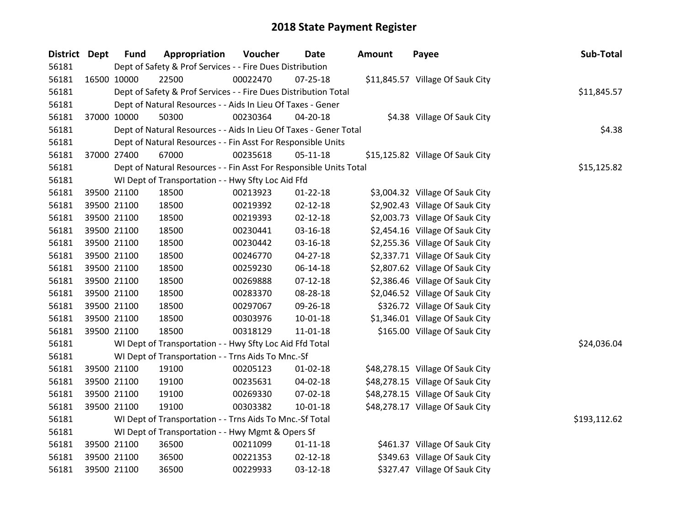| District Dept | <b>Fund</b> | Appropriation                                                      | Voucher  | <b>Date</b>    | Amount | Payee                            | Sub-Total    |
|---------------|-------------|--------------------------------------------------------------------|----------|----------------|--------|----------------------------------|--------------|
| 56181         |             | Dept of Safety & Prof Services - - Fire Dues Distribution          |          |                |        |                                  |              |
| 56181         | 16500 10000 | 22500                                                              | 00022470 | $07 - 25 - 18$ |        | \$11,845.57 Village Of Sauk City |              |
| 56181         |             | Dept of Safety & Prof Services - - Fire Dues Distribution Total    |          |                |        |                                  | \$11,845.57  |
| 56181         |             | Dept of Natural Resources - - Aids In Lieu Of Taxes - Gener        |          |                |        |                                  |              |
| 56181         | 37000 10000 | 50300                                                              | 00230364 | 04-20-18       |        | \$4.38 Village Of Sauk City      |              |
| 56181         |             | Dept of Natural Resources - - Aids In Lieu Of Taxes - Gener Total  |          |                |        |                                  | \$4.38       |
| 56181         |             | Dept of Natural Resources - - Fin Asst For Responsible Units       |          |                |        |                                  |              |
| 56181         | 37000 27400 | 67000                                                              | 00235618 | $05 - 11 - 18$ |        | \$15,125.82 Village Of Sauk City |              |
| 56181         |             | Dept of Natural Resources - - Fin Asst For Responsible Units Total |          |                |        |                                  | \$15,125.82  |
| 56181         |             | WI Dept of Transportation - - Hwy Sfty Loc Aid Ffd                 |          |                |        |                                  |              |
| 56181         | 39500 21100 | 18500                                                              | 00213923 | $01 - 22 - 18$ |        | \$3,004.32 Village Of Sauk City  |              |
| 56181         | 39500 21100 | 18500                                                              | 00219392 | $02 - 12 - 18$ |        | \$2,902.43 Village Of Sauk City  |              |
| 56181         | 39500 21100 | 18500                                                              | 00219393 | $02 - 12 - 18$ |        | \$2,003.73 Village Of Sauk City  |              |
| 56181         | 39500 21100 | 18500                                                              | 00230441 | 03-16-18       |        | \$2,454.16 Village Of Sauk City  |              |
| 56181         | 39500 21100 | 18500                                                              | 00230442 | 03-16-18       |        | \$2,255.36 Village Of Sauk City  |              |
| 56181         | 39500 21100 | 18500                                                              | 00246770 | $04 - 27 - 18$ |        | \$2,337.71 Village Of Sauk City  |              |
| 56181         | 39500 21100 | 18500                                                              | 00259230 | $06 - 14 - 18$ |        | \$2,807.62 Village Of Sauk City  |              |
| 56181         | 39500 21100 | 18500                                                              | 00269888 | $07 - 12 - 18$ |        | \$2,386.46 Village Of Sauk City  |              |
| 56181         | 39500 21100 | 18500                                                              | 00283370 | 08-28-18       |        | \$2,046.52 Village Of Sauk City  |              |
| 56181         | 39500 21100 | 18500                                                              | 00297067 | 09-26-18       |        | \$326.72 Village Of Sauk City    |              |
| 56181         | 39500 21100 | 18500                                                              | 00303976 | $10 - 01 - 18$ |        | \$1,346.01 Village Of Sauk City  |              |
| 56181         | 39500 21100 | 18500                                                              | 00318129 | 11-01-18       |        | \$165.00 Village Of Sauk City    |              |
| 56181         |             | WI Dept of Transportation - - Hwy Sfty Loc Aid Ffd Total           |          |                |        |                                  | \$24,036.04  |
| 56181         |             | WI Dept of Transportation - - Trns Aids To Mnc.-Sf                 |          |                |        |                                  |              |
| 56181         | 39500 21100 | 19100                                                              | 00205123 | $01 - 02 - 18$ |        | \$48,278.15 Village Of Sauk City |              |
| 56181         | 39500 21100 | 19100                                                              | 00235631 | 04-02-18       |        | \$48,278.15 Village Of Sauk City |              |
| 56181         | 39500 21100 | 19100                                                              | 00269330 | 07-02-18       |        | \$48,278.15 Village Of Sauk City |              |
| 56181         | 39500 21100 | 19100                                                              | 00303382 | 10-01-18       |        | \$48,278.17 Village Of Sauk City |              |
| 56181         |             | WI Dept of Transportation - - Trns Aids To Mnc.-Sf Total           |          |                |        |                                  | \$193,112.62 |
| 56181         |             | WI Dept of Transportation - - Hwy Mgmt & Opers Sf                  |          |                |        |                                  |              |
| 56181         | 39500 21100 | 36500                                                              | 00211099 | $01 - 11 - 18$ |        | \$461.37 Village Of Sauk City    |              |
| 56181         | 39500 21100 | 36500                                                              | 00221353 | $02 - 12 - 18$ |        | \$349.63 Village Of Sauk City    |              |
| 56181         | 39500 21100 | 36500                                                              | 00229933 | 03-12-18       |        | \$327.47 Village Of Sauk City    |              |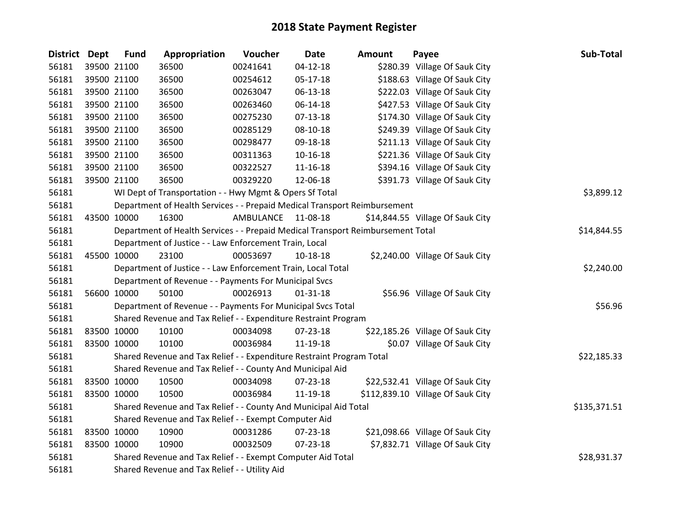| District Dept | <b>Fund</b> | Appropriation                                                                   | Voucher   | <b>Date</b>    | <b>Amount</b> | Payee                             | Sub-Total    |
|---------------|-------------|---------------------------------------------------------------------------------|-----------|----------------|---------------|-----------------------------------|--------------|
| 56181         | 39500 21100 | 36500                                                                           | 00241641  | $04 - 12 - 18$ |               | \$280.39 Village Of Sauk City     |              |
| 56181         | 39500 21100 | 36500                                                                           | 00254612  | 05-17-18       |               | \$188.63 Village Of Sauk City     |              |
| 56181         | 39500 21100 | 36500                                                                           | 00263047  | 06-13-18       |               | \$222.03 Village Of Sauk City     |              |
| 56181         | 39500 21100 | 36500                                                                           | 00263460  | 06-14-18       |               | \$427.53 Village Of Sauk City     |              |
| 56181         | 39500 21100 | 36500                                                                           | 00275230  | $07-13-18$     |               | \$174.30 Village Of Sauk City     |              |
| 56181         | 39500 21100 | 36500                                                                           | 00285129  | 08-10-18       |               | \$249.39 Village Of Sauk City     |              |
| 56181         | 39500 21100 | 36500                                                                           | 00298477  | 09-18-18       |               | \$211.13 Village Of Sauk City     |              |
| 56181         | 39500 21100 | 36500                                                                           | 00311363  | $10 - 16 - 18$ |               | \$221.36 Village Of Sauk City     |              |
| 56181         | 39500 21100 | 36500                                                                           | 00322527  | $11 - 16 - 18$ |               | \$394.16 Village Of Sauk City     |              |
| 56181         | 39500 21100 | 36500                                                                           | 00329220  | 12-06-18       |               | \$391.73 Village Of Sauk City     |              |
| 56181         |             | WI Dept of Transportation - - Hwy Mgmt & Opers Sf Total                         |           |                |               |                                   | \$3,899.12   |
| 56181         |             | Department of Health Services - - Prepaid Medical Transport Reimbursement       |           |                |               |                                   |              |
| 56181         | 43500 10000 | 16300                                                                           | AMBULANCE | 11-08-18       |               | \$14,844.55 Village Of Sauk City  |              |
| 56181         |             | Department of Health Services - - Prepaid Medical Transport Reimbursement Total |           |                |               |                                   | \$14,844.55  |
| 56181         |             | Department of Justice - - Law Enforcement Train, Local                          |           |                |               |                                   |              |
| 56181         | 45500 10000 | 23100                                                                           | 00053697  | 10-18-18       |               | \$2,240.00 Village Of Sauk City   |              |
| 56181         |             | Department of Justice - - Law Enforcement Train, Local Total                    |           |                |               |                                   | \$2,240.00   |
| 56181         |             | Department of Revenue - - Payments For Municipal Svcs                           |           |                |               |                                   |              |
| 56181         | 56600 10000 | 50100                                                                           | 00026913  | $01 - 31 - 18$ |               | \$56.96 Village Of Sauk City      |              |
| 56181         |             | Department of Revenue - - Payments For Municipal Svcs Total                     |           |                |               |                                   | \$56.96      |
| 56181         |             | Shared Revenue and Tax Relief - - Expenditure Restraint Program                 |           |                |               |                                   |              |
| 56181         | 83500 10000 | 10100                                                                           | 00034098  | 07-23-18       |               | \$22,185.26 Village Of Sauk City  |              |
| 56181         | 83500 10000 | 10100                                                                           | 00036984  | 11-19-18       |               | \$0.07 Village Of Sauk City       |              |
| 56181         |             | Shared Revenue and Tax Relief - - Expenditure Restraint Program Total           |           |                |               |                                   | \$22,185.33  |
| 56181         |             | Shared Revenue and Tax Relief - - County And Municipal Aid                      |           |                |               |                                   |              |
| 56181         | 83500 10000 | 10500                                                                           | 00034098  | 07-23-18       |               | \$22,532.41 Village Of Sauk City  |              |
| 56181         | 83500 10000 | 10500                                                                           | 00036984  | 11-19-18       |               | \$112,839.10 Village Of Sauk City |              |
| 56181         |             | Shared Revenue and Tax Relief - - County And Municipal Aid Total                |           |                |               |                                   | \$135,371.51 |
| 56181         |             | Shared Revenue and Tax Relief - - Exempt Computer Aid                           |           |                |               |                                   |              |
| 56181         | 83500 10000 | 10900                                                                           | 00031286  | 07-23-18       |               | \$21,098.66 Village Of Sauk City  |              |
| 56181         | 83500 10000 | 10900                                                                           | 00032509  | $07 - 23 - 18$ |               | \$7,832.71 Village Of Sauk City   |              |
| 56181         |             | Shared Revenue and Tax Relief - - Exempt Computer Aid Total                     |           |                |               |                                   | \$28,931.37  |
| 56181         |             | Shared Revenue and Tax Relief - - Utility Aid                                   |           |                |               |                                   |              |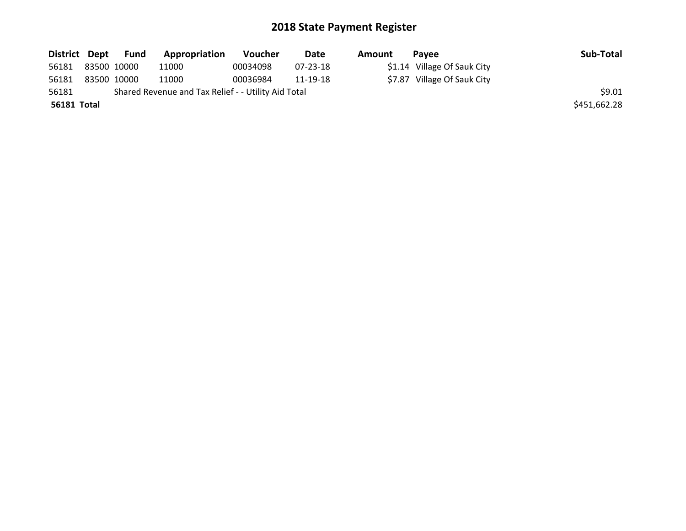|             |             | District Dept Fund | Appropriation                                       | Voucher  | Date     | Amount | <b>Pavee</b>                | Sub-Total    |
|-------------|-------------|--------------------|-----------------------------------------------------|----------|----------|--------|-----------------------------|--------------|
| 56181       | 83500 10000 |                    | 11000                                               | 00034098 | 07-23-18 |        | \$1.14 Village Of Sauk City |              |
| 56181       | 83500 10000 |                    | 11000                                               | 00036984 | 11-19-18 |        | \$7.87 Village Of Sauk City |              |
| 56181       |             |                    | Shared Revenue and Tax Relief - - Utility Aid Total |          |          |        |                             | \$9.01       |
| 56181 Total |             |                    |                                                     |          |          |        |                             | \$451,662.28 |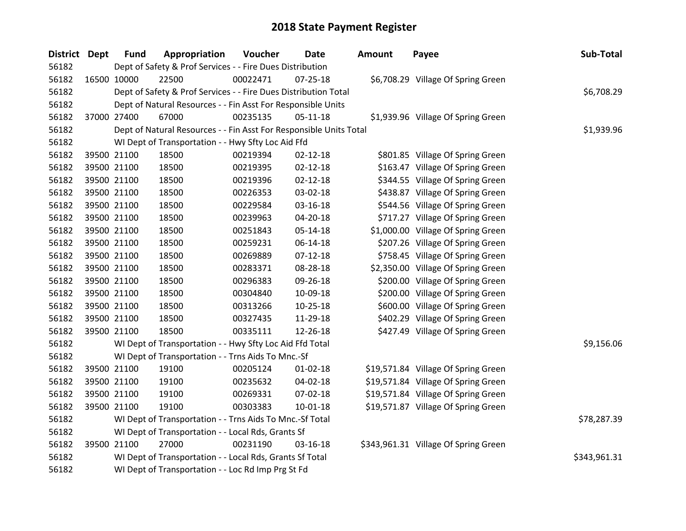| <b>District Dept</b> | <b>Fund</b>                                                              | Appropriation                                                      | Voucher  | Date           | Amount | Payee                                | Sub-Total   |  |
|----------------------|--------------------------------------------------------------------------|--------------------------------------------------------------------|----------|----------------|--------|--------------------------------------|-------------|--|
| 56182                |                                                                          | Dept of Safety & Prof Services - - Fire Dues Distribution          |          |                |        |                                      |             |  |
| 56182                | 16500 10000                                                              | 22500                                                              | 00022471 | $07 - 25 - 18$ |        | \$6,708.29 Village Of Spring Green   |             |  |
| 56182                |                                                                          | Dept of Safety & Prof Services - - Fire Dues Distribution Total    |          |                |        |                                      | \$6,708.29  |  |
| 56182                |                                                                          | Dept of Natural Resources - - Fin Asst For Responsible Units       |          |                |        |                                      |             |  |
| 56182                | 37000 27400                                                              | 67000                                                              | 00235135 | $05-11-18$     |        | \$1,939.96 Village Of Spring Green   |             |  |
| 56182                |                                                                          | Dept of Natural Resources - - Fin Asst For Responsible Units Total |          |                |        |                                      | \$1,939.96  |  |
| 56182                |                                                                          | WI Dept of Transportation - - Hwy Sfty Loc Aid Ffd                 |          |                |        |                                      |             |  |
| 56182                | 39500 21100                                                              | 18500                                                              | 00219394 | $02 - 12 - 18$ |        | \$801.85 Village Of Spring Green     |             |  |
| 56182                | 39500 21100                                                              | 18500                                                              | 00219395 | $02 - 12 - 18$ |        | \$163.47 Village Of Spring Green     |             |  |
| 56182                | 39500 21100                                                              | 18500                                                              | 00219396 | $02 - 12 - 18$ |        | \$344.55 Village Of Spring Green     |             |  |
| 56182                | 39500 21100                                                              | 18500                                                              | 00226353 | 03-02-18       |        | \$438.87 Village Of Spring Green     |             |  |
| 56182                | 39500 21100                                                              | 18500                                                              | 00229584 | 03-16-18       |        | \$544.56 Village Of Spring Green     |             |  |
| 56182                | 39500 21100                                                              | 18500                                                              | 00239963 | 04-20-18       |        | \$717.27 Village Of Spring Green     |             |  |
| 56182                | 39500 21100                                                              | 18500                                                              | 00251843 | $05 - 14 - 18$ |        | \$1,000.00 Village Of Spring Green   |             |  |
| 56182                | 39500 21100                                                              | 18500                                                              | 00259231 | 06-14-18       |        | \$207.26 Village Of Spring Green     |             |  |
| 56182                | 39500 21100                                                              | 18500                                                              | 00269889 | $07 - 12 - 18$ |        | \$758.45 Village Of Spring Green     |             |  |
| 56182                | 39500 21100                                                              | 18500                                                              | 00283371 | 08-28-18       |        | \$2,350.00 Village Of Spring Green   |             |  |
| 56182                | 39500 21100                                                              | 18500                                                              | 00296383 | 09-26-18       |        | \$200.00 Village Of Spring Green     |             |  |
| 56182                | 39500 21100                                                              | 18500                                                              | 00304840 | 10-09-18       |        | \$200.00 Village Of Spring Green     |             |  |
| 56182                | 39500 21100                                                              | 18500                                                              | 00313266 | $10 - 25 - 18$ |        | \$600.00 Village Of Spring Green     |             |  |
| 56182                | 39500 21100                                                              | 18500                                                              | 00327435 | 11-29-18       |        | \$402.29 Village Of Spring Green     |             |  |
| 56182                | 39500 21100                                                              | 18500                                                              | 00335111 | 12-26-18       |        | \$427.49 Village Of Spring Green     |             |  |
| 56182                |                                                                          | WI Dept of Transportation - - Hwy Sfty Loc Aid Ffd Total           |          |                |        |                                      | \$9,156.06  |  |
| 56182                |                                                                          | WI Dept of Transportation - - Trns Aids To Mnc.-Sf                 |          |                |        |                                      |             |  |
| 56182                | 39500 21100                                                              | 19100                                                              | 00205124 | $01 - 02 - 18$ |        | \$19,571.84 Village Of Spring Green  |             |  |
| 56182                | 39500 21100                                                              | 19100                                                              | 00235632 | 04-02-18       |        | \$19,571.84 Village Of Spring Green  |             |  |
| 56182                | 39500 21100                                                              | 19100                                                              | 00269331 | 07-02-18       |        | \$19,571.84 Village Of Spring Green  |             |  |
| 56182                | 39500 21100                                                              | 19100                                                              | 00303383 | $10 - 01 - 18$ |        | \$19,571.87 Village Of Spring Green  |             |  |
| 56182                |                                                                          | WI Dept of Transportation - - Trns Aids To Mnc.-Sf Total           |          |                |        |                                      | \$78,287.39 |  |
| 56182                | WI Dept of Transportation - - Local Rds, Grants Sf                       |                                                                    |          |                |        |                                      |             |  |
| 56182                | 39500 21100                                                              | 27000                                                              | 00231190 | 03-16-18       |        | \$343,961.31 Village Of Spring Green |             |  |
| 56182                | WI Dept of Transportation - - Local Rds, Grants Sf Total<br>\$343,961.31 |                                                                    |          |                |        |                                      |             |  |
| 56182                |                                                                          | WI Dept of Transportation - - Loc Rd Imp Prg St Fd                 |          |                |        |                                      |             |  |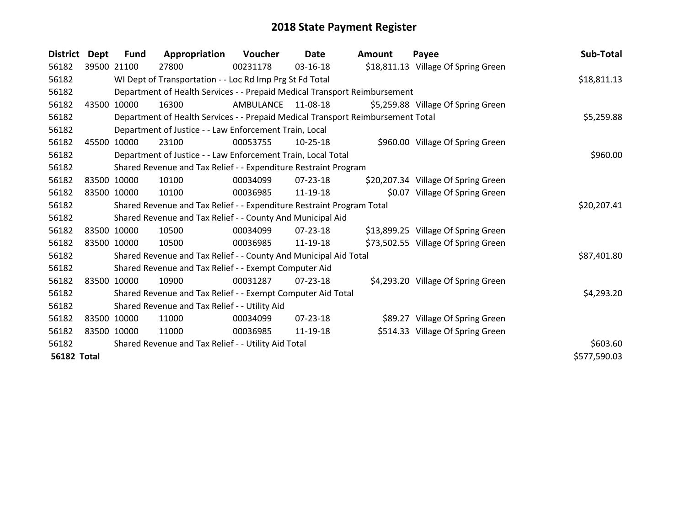| <b>District</b>    | Dept        | <b>Fund</b> | Appropriation                                                         | Voucher   | Date           | Amount                                                                          | Payee                               | Sub-Total    |  |  |
|--------------------|-------------|-------------|-----------------------------------------------------------------------|-----------|----------------|---------------------------------------------------------------------------------|-------------------------------------|--------------|--|--|
| 56182              |             | 39500 21100 | 27800                                                                 | 00231178  | 03-16-18       |                                                                                 | \$18,811.13 Village Of Spring Green |              |  |  |
| 56182              |             |             | WI Dept of Transportation - - Loc Rd Imp Prg St Fd Total              |           |                |                                                                                 |                                     | \$18,811.13  |  |  |
| 56182              |             |             |                                                                       |           |                | Department of Health Services - - Prepaid Medical Transport Reimbursement       |                                     |              |  |  |
| 56182              | 43500       | 10000       | 16300                                                                 | AMBULANCE | 11-08-18       |                                                                                 | \$5,259.88 Village Of Spring Green  |              |  |  |
| 56182              |             |             |                                                                       |           |                | Department of Health Services - - Prepaid Medical Transport Reimbursement Total |                                     | \$5,259.88   |  |  |
| 56182              |             |             | Department of Justice - - Law Enforcement Train, Local                |           |                |                                                                                 |                                     |              |  |  |
| 56182              | 45500       | 10000       | 23100                                                                 | 00053755  | 10-25-18       |                                                                                 | \$960.00 Village Of Spring Green    |              |  |  |
| 56182              |             |             | Department of Justice - - Law Enforcement Train, Local Total          |           |                |                                                                                 |                                     | \$960.00     |  |  |
| 56182              |             |             | Shared Revenue and Tax Relief - - Expenditure Restraint Program       |           |                |                                                                                 |                                     |              |  |  |
| 56182              |             | 83500 10000 | 10100                                                                 | 00034099  | 07-23-18       |                                                                                 | \$20,207.34 Village Of Spring Green |              |  |  |
| 56182              |             | 83500 10000 | 10100                                                                 | 00036985  | 11-19-18       |                                                                                 | \$0.07 Village Of Spring Green      |              |  |  |
| 56182              |             |             | Shared Revenue and Tax Relief - - Expenditure Restraint Program Total |           |                |                                                                                 |                                     |              |  |  |
| 56182              |             |             | Shared Revenue and Tax Relief - - County And Municipal Aid            |           |                |                                                                                 |                                     |              |  |  |
| 56182              | 83500 10000 |             | 10500                                                                 | 00034099  | $07 - 23 - 18$ |                                                                                 | \$13,899.25 Village Of Spring Green |              |  |  |
| 56182              |             | 83500 10000 | 10500                                                                 | 00036985  | 11-19-18       |                                                                                 | \$73,502.55 Village Of Spring Green |              |  |  |
| 56182              |             |             | Shared Revenue and Tax Relief - - County And Municipal Aid Total      |           |                |                                                                                 |                                     | \$87,401.80  |  |  |
| 56182              |             |             | Shared Revenue and Tax Relief - - Exempt Computer Aid                 |           |                |                                                                                 |                                     |              |  |  |
| 56182              | 83500 10000 |             | 10900                                                                 | 00031287  | $07 - 23 - 18$ |                                                                                 | \$4,293.20 Village Of Spring Green  |              |  |  |
| 56182              |             |             | Shared Revenue and Tax Relief - - Exempt Computer Aid Total           |           |                |                                                                                 |                                     | \$4,293.20   |  |  |
| 56182              |             |             | Shared Revenue and Tax Relief - - Utility Aid                         |           |                |                                                                                 |                                     |              |  |  |
| 56182              |             | 83500 10000 | 11000                                                                 | 00034099  | $07 - 23 - 18$ |                                                                                 | \$89.27 Village Of Spring Green     |              |  |  |
| 56182              | 83500 10000 |             | 11000                                                                 | 00036985  | 11-19-18       |                                                                                 | \$514.33 Village Of Spring Green    |              |  |  |
| 56182              |             |             | Shared Revenue and Tax Relief - - Utility Aid Total                   |           |                |                                                                                 |                                     | \$603.60     |  |  |
| <b>56182 Total</b> |             |             |                                                                       |           |                |                                                                                 |                                     | \$577,590.03 |  |  |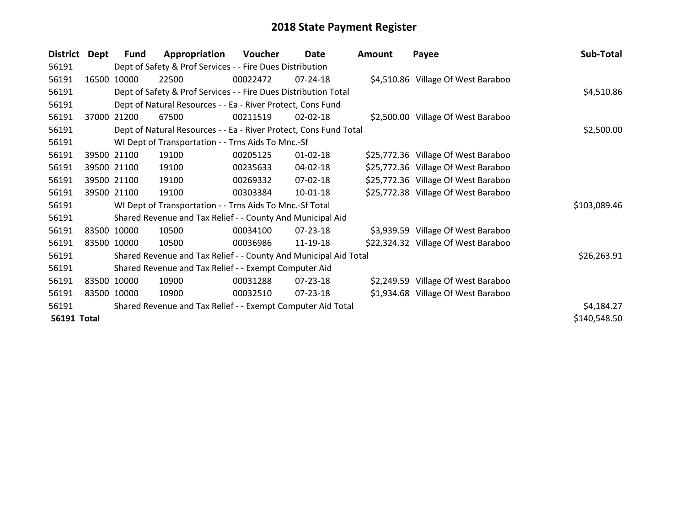| <b>District</b>    | <b>Dept</b> | Fund        | Appropriation                                                     | Voucher  | Date           | <b>Amount</b> | Payee                               | Sub-Total    |
|--------------------|-------------|-------------|-------------------------------------------------------------------|----------|----------------|---------------|-------------------------------------|--------------|
| 56191              |             |             | Dept of Safety & Prof Services - - Fire Dues Distribution         |          |                |               |                                     |              |
| 56191              | 16500       | 10000       | 22500                                                             | 00022472 | $07 - 24 - 18$ |               | \$4,510.86 Village Of West Baraboo  |              |
| 56191              |             |             | Dept of Safety & Prof Services - - Fire Dues Distribution Total   |          |                |               |                                     | \$4,510.86   |
| 56191              |             |             | Dept of Natural Resources - - Ea - River Protect, Cons Fund       |          |                |               |                                     |              |
| 56191              | 37000       | 21200       | 67500                                                             | 00211519 | $02 - 02 - 18$ |               | \$2,500.00 Village Of West Baraboo  |              |
| 56191              |             |             | Dept of Natural Resources - - Ea - River Protect, Cons Fund Total |          |                |               |                                     | \$2,500.00   |
| 56191              |             |             | WI Dept of Transportation - - Trns Aids To Mnc.-Sf                |          |                |               |                                     |              |
| 56191              |             | 39500 21100 | 19100                                                             | 00205125 | $01 - 02 - 18$ |               | \$25,772.36 Village Of West Baraboo |              |
| 56191              |             | 39500 21100 | 19100                                                             | 00235633 | 04-02-18       |               | \$25,772.36 Village Of West Baraboo |              |
| 56191              |             | 39500 21100 | 19100                                                             | 00269332 | 07-02-18       |               | \$25,772.36 Village Of West Baraboo |              |
| 56191              |             | 39500 21100 | 19100                                                             | 00303384 | 10-01-18       |               | \$25,772.38 Village Of West Baraboo |              |
| 56191              |             |             | WI Dept of Transportation - - Trns Aids To Mnc.-Sf Total          |          |                |               |                                     | \$103,089.46 |
| 56191              |             |             | Shared Revenue and Tax Relief - - County And Municipal Aid        |          |                |               |                                     |              |
| 56191              |             | 83500 10000 | 10500                                                             | 00034100 | $07 - 23 - 18$ |               | \$3,939.59 Village Of West Baraboo  |              |
| 56191              |             | 83500 10000 | 10500                                                             | 00036986 | 11-19-18       |               | \$22,324.32 Village Of West Baraboo |              |
| 56191              |             |             | Shared Revenue and Tax Relief - - County And Municipal Aid Total  |          |                |               |                                     | \$26,263.91  |
| 56191              |             |             | Shared Revenue and Tax Relief - - Exempt Computer Aid             |          |                |               |                                     |              |
| 56191              |             | 83500 10000 | 10900                                                             | 00031288 | $07 - 23 - 18$ |               | \$2,249.59 Village Of West Baraboo  |              |
| 56191              |             | 83500 10000 | 10900                                                             | 00032510 | 07-23-18       |               | \$1,934.68 Village Of West Baraboo  |              |
| 56191              |             |             | Shared Revenue and Tax Relief - - Exempt Computer Aid Total       |          |                |               |                                     | \$4,184.27   |
| <b>56191 Total</b> |             |             |                                                                   |          |                |               |                                     | \$140,548.50 |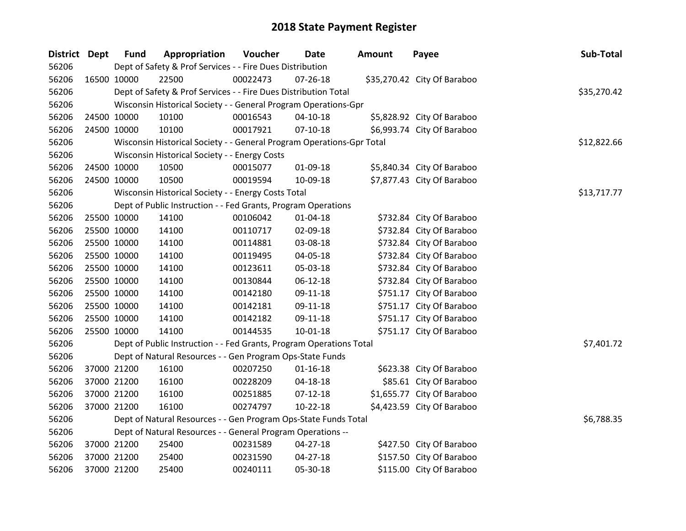| District Dept |             | <b>Fund</b> | Appropriation                                                         | Voucher  | Date           | <b>Amount</b> | Payee                       | Sub-Total   |
|---------------|-------------|-------------|-----------------------------------------------------------------------|----------|----------------|---------------|-----------------------------|-------------|
| 56206         |             |             | Dept of Safety & Prof Services - - Fire Dues Distribution             |          |                |               |                             |             |
| 56206         | 16500 10000 |             | 22500                                                                 | 00022473 | $07 - 26 - 18$ |               | \$35,270.42 City Of Baraboo |             |
| 56206         |             |             | Dept of Safety & Prof Services - - Fire Dues Distribution Total       |          |                |               |                             | \$35,270.42 |
| 56206         |             |             | Wisconsin Historical Society - - General Program Operations-Gpr       |          |                |               |                             |             |
| 56206         | 24500 10000 |             | 10100                                                                 | 00016543 | $04 - 10 - 18$ |               | \$5,828.92 City Of Baraboo  |             |
| 56206         | 24500 10000 |             | 10100                                                                 | 00017921 | $07 - 10 - 18$ |               | \$6,993.74 City Of Baraboo  |             |
| 56206         |             |             | Wisconsin Historical Society - - General Program Operations-Gpr Total |          |                |               |                             | \$12,822.66 |
| 56206         |             |             | Wisconsin Historical Society - - Energy Costs                         |          |                |               |                             |             |
| 56206         | 24500 10000 |             | 10500                                                                 | 00015077 | 01-09-18       |               | \$5,840.34 City Of Baraboo  |             |
| 56206         | 24500 10000 |             | 10500                                                                 | 00019594 | 10-09-18       |               | \$7,877.43 City Of Baraboo  |             |
| 56206         |             |             | Wisconsin Historical Society - - Energy Costs Total                   |          |                |               |                             | \$13,717.77 |
| 56206         |             |             | Dept of Public Instruction - - Fed Grants, Program Operations         |          |                |               |                             |             |
| 56206         | 25500 10000 |             | 14100                                                                 | 00106042 | 01-04-18       |               | \$732.84 City Of Baraboo    |             |
| 56206         | 25500 10000 |             | 14100                                                                 | 00110717 | 02-09-18       |               | \$732.84 City Of Baraboo    |             |
| 56206         | 25500 10000 |             | 14100                                                                 | 00114881 | 03-08-18       |               | \$732.84 City Of Baraboo    |             |
| 56206         | 25500 10000 |             | 14100                                                                 | 00119495 | 04-05-18       |               | \$732.84 City Of Baraboo    |             |
| 56206         | 25500 10000 |             | 14100                                                                 | 00123611 | 05-03-18       |               | \$732.84 City Of Baraboo    |             |
| 56206         | 25500 10000 |             | 14100                                                                 | 00130844 | 06-12-18       |               | \$732.84 City Of Baraboo    |             |
| 56206         | 25500 10000 |             | 14100                                                                 | 00142180 | 09-11-18       |               | \$751.17 City Of Baraboo    |             |
| 56206         | 25500 10000 |             | 14100                                                                 | 00142181 | 09-11-18       |               | \$751.17 City Of Baraboo    |             |
| 56206         | 25500 10000 |             | 14100                                                                 | 00142182 | 09-11-18       |               | \$751.17 City Of Baraboo    |             |
| 56206         | 25500 10000 |             | 14100                                                                 | 00144535 | $10 - 01 - 18$ |               | \$751.17 City Of Baraboo    |             |
| 56206         |             |             | Dept of Public Instruction - - Fed Grants, Program Operations Total   |          |                |               |                             | \$7,401.72  |
| 56206         |             |             | Dept of Natural Resources - - Gen Program Ops-State Funds             |          |                |               |                             |             |
| 56206         | 37000 21200 |             | 16100                                                                 | 00207250 | $01 - 16 - 18$ |               | \$623.38 City Of Baraboo    |             |
| 56206         | 37000 21200 |             | 16100                                                                 | 00228209 | 04-18-18       |               | \$85.61 City Of Baraboo     |             |
| 56206         | 37000 21200 |             | 16100                                                                 | 00251885 | $07-12-18$     |               | \$1,655.77 City Of Baraboo  |             |
| 56206         | 37000 21200 |             | 16100                                                                 | 00274797 | $10-22-18$     |               | \$4,423.59 City Of Baraboo  |             |
| 56206         |             |             | Dept of Natural Resources - - Gen Program Ops-State Funds Total       |          |                |               |                             | \$6,788.35  |
| 56206         |             |             | Dept of Natural Resources - - General Program Operations --           |          |                |               |                             |             |
| 56206         | 37000 21200 |             | 25400                                                                 | 00231589 | 04-27-18       |               | \$427.50 City Of Baraboo    |             |
| 56206         | 37000 21200 |             | 25400                                                                 | 00231590 | $04 - 27 - 18$ |               | \$157.50 City Of Baraboo    |             |
| 56206         | 37000 21200 |             | 25400                                                                 | 00240111 | 05-30-18       |               | \$115.00 City Of Baraboo    |             |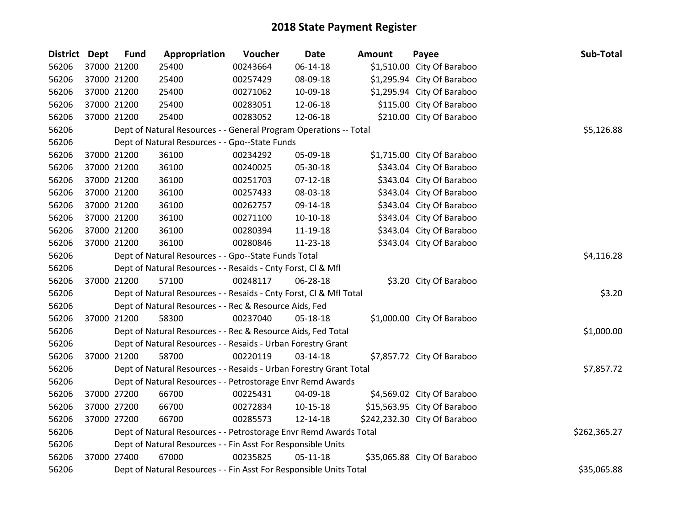| <b>District</b> | <b>Dept</b> | <b>Fund</b> | Appropriation                                                      | Voucher  | <b>Date</b>    | <b>Amount</b> | Payee                        | Sub-Total    |
|-----------------|-------------|-------------|--------------------------------------------------------------------|----------|----------------|---------------|------------------------------|--------------|
| 56206           |             | 37000 21200 | 25400                                                              | 00243664 | $06 - 14 - 18$ |               | \$1,510.00 City Of Baraboo   |              |
| 56206           |             | 37000 21200 | 25400                                                              | 00257429 | 08-09-18       |               | \$1,295.94 City Of Baraboo   |              |
| 56206           |             | 37000 21200 | 25400                                                              | 00271062 | 10-09-18       |               | \$1,295.94 City Of Baraboo   |              |
| 56206           |             | 37000 21200 | 25400                                                              | 00283051 | 12-06-18       |               | \$115.00 City Of Baraboo     |              |
| 56206           | 37000 21200 |             | 25400                                                              | 00283052 | 12-06-18       |               | \$210.00 City Of Baraboo     |              |
| 56206           |             |             | Dept of Natural Resources - - General Program Operations -- Total  |          |                |               |                              | \$5,126.88   |
| 56206           |             |             | Dept of Natural Resources - - Gpo--State Funds                     |          |                |               |                              |              |
| 56206           |             | 37000 21200 | 36100                                                              | 00234292 | 05-09-18       |               | \$1,715.00 City Of Baraboo   |              |
| 56206           |             | 37000 21200 | 36100                                                              | 00240025 | 05-30-18       |               | \$343.04 City Of Baraboo     |              |
| 56206           |             | 37000 21200 | 36100                                                              | 00251703 | $07 - 12 - 18$ |               | \$343.04 City Of Baraboo     |              |
| 56206           |             | 37000 21200 | 36100                                                              | 00257433 | 08-03-18       |               | \$343.04 City Of Baraboo     |              |
| 56206           |             | 37000 21200 | 36100                                                              | 00262757 | 09-14-18       |               | \$343.04 City Of Baraboo     |              |
| 56206           |             | 37000 21200 | 36100                                                              | 00271100 | $10-10-18$     |               | \$343.04 City Of Baraboo     |              |
| 56206           |             | 37000 21200 | 36100                                                              | 00280394 | 11-19-18       |               | \$343.04 City Of Baraboo     |              |
| 56206           |             | 37000 21200 | 36100                                                              | 00280846 | 11-23-18       |               | \$343.04 City Of Baraboo     |              |
| 56206           |             |             | Dept of Natural Resources - - Gpo--State Funds Total               |          | \$4,116.28     |               |                              |              |
| 56206           |             |             | Dept of Natural Resources - - Resaids - Cnty Forst, Cl & Mfl       |          |                |               |                              |              |
| 56206           |             | 37000 21200 | 57100                                                              | 00248117 | 06-28-18       |               | \$3.20 City Of Baraboo       |              |
| 56206           |             |             | Dept of Natural Resources - - Resaids - Cnty Forst, Cl & Mfl Total |          |                |               |                              | \$3.20       |
| 56206           |             |             | Dept of Natural Resources - - Rec & Resource Aids, Fed             |          |                |               |                              |              |
| 56206           |             | 37000 21200 | 58300                                                              | 00237040 | 05-18-18       |               | \$1,000.00 City Of Baraboo   |              |
| 56206           |             |             | Dept of Natural Resources - - Rec & Resource Aids, Fed Total       |          |                |               |                              | \$1,000.00   |
| 56206           |             |             | Dept of Natural Resources - - Resaids - Urban Forestry Grant       |          |                |               |                              |              |
| 56206           | 37000 21200 |             | 58700                                                              | 00220119 | 03-14-18       |               | \$7,857.72 City Of Baraboo   |              |
| 56206           |             |             | Dept of Natural Resources - - Resaids - Urban Forestry Grant Total |          |                |               |                              | \$7,857.72   |
| 56206           |             |             | Dept of Natural Resources - - Petrostorage Envr Remd Awards        |          |                |               |                              |              |
| 56206           |             | 37000 27200 | 66700                                                              | 00225431 | 04-09-18       |               | \$4,569.02 City Of Baraboo   |              |
| 56206           |             | 37000 27200 | 66700                                                              | 00272834 | $10-15-18$     |               | \$15,563.95 City Of Baraboo  |              |
| 56206           |             | 37000 27200 | 66700                                                              | 00285573 | 12-14-18       |               | \$242,232.30 City Of Baraboo |              |
| 56206           |             |             | Dept of Natural Resources - - Petrostorage Envr Remd Awards Total  |          |                |               |                              | \$262,365.27 |
| 56206           |             |             | Dept of Natural Resources - - Fin Asst For Responsible Units       |          |                |               |                              |              |
| 56206           | 37000 27400 |             | 67000                                                              | 00235825 | $05-11-18$     |               | \$35,065.88 City Of Baraboo  |              |
| 56206           |             |             | Dept of Natural Resources - - Fin Asst For Responsible Units Total |          |                |               |                              | \$35,065.88  |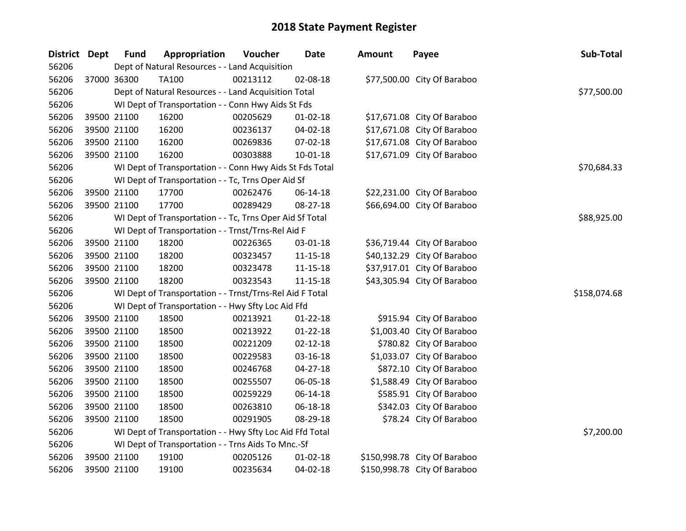| <b>District</b> | <b>Dept</b> | <b>Fund</b> | Appropriation                                            | Voucher  | <b>Date</b>    | <b>Amount</b> | Payee                        | Sub-Total    |
|-----------------|-------------|-------------|----------------------------------------------------------|----------|----------------|---------------|------------------------------|--------------|
| 56206           |             |             | Dept of Natural Resources - - Land Acquisition           |          |                |               |                              |              |
| 56206           |             | 37000 36300 | <b>TA100</b>                                             | 00213112 | 02-08-18       |               | \$77,500.00 City Of Baraboo  |              |
| 56206           |             |             | Dept of Natural Resources - - Land Acquisition Total     |          |                |               |                              | \$77,500.00  |
| 56206           |             |             | WI Dept of Transportation - - Conn Hwy Aids St Fds       |          |                |               |                              |              |
| 56206           |             | 39500 21100 | 16200                                                    | 00205629 | $01 - 02 - 18$ |               | \$17,671.08 City Of Baraboo  |              |
| 56206           |             | 39500 21100 | 16200                                                    | 00236137 | 04-02-18       |               | \$17,671.08 City Of Baraboo  |              |
| 56206           |             | 39500 21100 | 16200                                                    | 00269836 | 07-02-18       |               | \$17,671.08 City Of Baraboo  |              |
| 56206           |             | 39500 21100 | 16200                                                    | 00303888 | $10 - 01 - 18$ |               | \$17,671.09 City Of Baraboo  |              |
| 56206           |             |             | WI Dept of Transportation - - Conn Hwy Aids St Fds Total |          |                |               |                              | \$70,684.33  |
| 56206           |             |             | WI Dept of Transportation - - Tc, Trns Oper Aid Sf       |          |                |               |                              |              |
| 56206           |             | 39500 21100 | 17700                                                    | 00262476 | 06-14-18       |               | \$22,231.00 City Of Baraboo  |              |
| 56206           |             | 39500 21100 | 17700                                                    | 00289429 | 08-27-18       |               | \$66,694.00 City Of Baraboo  |              |
| 56206           |             |             | WI Dept of Transportation - - Tc, Trns Oper Aid Sf Total |          |                |               |                              | \$88,925.00  |
| 56206           |             |             | WI Dept of Transportation - - Trnst/Trns-Rel Aid F       |          |                |               |                              |              |
| 56206           |             | 39500 21100 | 18200                                                    | 00226365 | 03-01-18       |               | \$36,719.44 City Of Baraboo  |              |
| 56206           |             | 39500 21100 | 18200                                                    | 00323457 | $11 - 15 - 18$ |               | \$40,132.29 City Of Baraboo  |              |
| 56206           |             | 39500 21100 | 18200                                                    | 00323478 | 11-15-18       |               | \$37,917.01 City Of Baraboo  |              |
| 56206           |             | 39500 21100 | 18200                                                    | 00323543 | $11 - 15 - 18$ |               | \$43,305.94 City Of Baraboo  |              |
| 56206           |             |             | WI Dept of Transportation - - Trnst/Trns-Rel Aid F Total |          |                |               |                              | \$158,074.68 |
| 56206           |             |             | WI Dept of Transportation - - Hwy Sfty Loc Aid Ffd       |          |                |               |                              |              |
| 56206           |             | 39500 21100 | 18500                                                    | 00213921 | $01 - 22 - 18$ |               | \$915.94 City Of Baraboo     |              |
| 56206           |             | 39500 21100 | 18500                                                    | 00213922 | $01 - 22 - 18$ |               | \$1,003.40 City Of Baraboo   |              |
| 56206           |             | 39500 21100 | 18500                                                    | 00221209 | $02 - 12 - 18$ |               | \$780.82 City Of Baraboo     |              |
| 56206           |             | 39500 21100 | 18500                                                    | 00229583 | 03-16-18       |               | \$1,033.07 City Of Baraboo   |              |
| 56206           |             | 39500 21100 | 18500                                                    | 00246768 | $04 - 27 - 18$ |               | \$872.10 City Of Baraboo     |              |
| 56206           |             | 39500 21100 | 18500                                                    | 00255507 | 06-05-18       |               | \$1,588.49 City Of Baraboo   |              |
| 56206           |             | 39500 21100 | 18500                                                    | 00259229 | 06-14-18       |               | \$585.91 City Of Baraboo     |              |
| 56206           |             | 39500 21100 | 18500                                                    | 00263810 | 06-18-18       |               | \$342.03 City Of Baraboo     |              |
| 56206           |             | 39500 21100 | 18500                                                    | 00291905 | 08-29-18       |               | \$78.24 City Of Baraboo      |              |
| 56206           |             |             | WI Dept of Transportation - - Hwy Sfty Loc Aid Ffd Total |          |                |               |                              | \$7,200.00   |
| 56206           |             |             | WI Dept of Transportation - - Trns Aids To Mnc.-Sf       |          |                |               |                              |              |
| 56206           |             | 39500 21100 | 19100                                                    | 00205126 | $01 - 02 - 18$ |               | \$150,998.78 City Of Baraboo |              |
| 56206           |             | 39500 21100 | 19100                                                    | 00235634 | 04-02-18       |               | \$150,998.78 City Of Baraboo |              |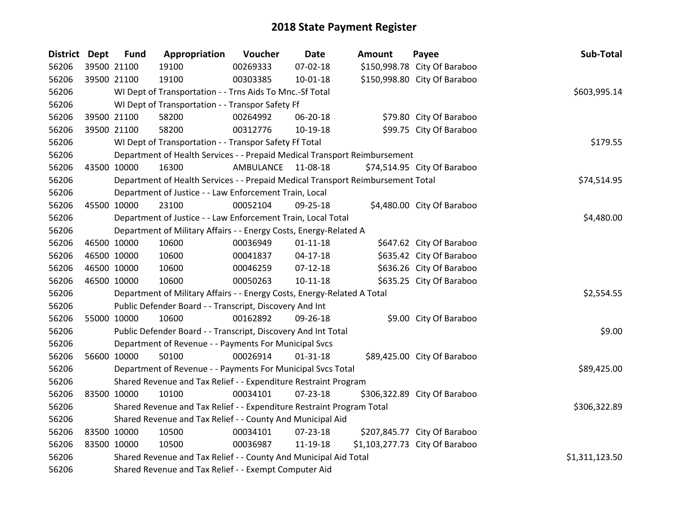| District Dept |             | <b>Fund</b> | Appropriation                                                                   | Voucher            | <b>Date</b>    | <b>Amount</b> | Payee                          | Sub-Total      |
|---------------|-------------|-------------|---------------------------------------------------------------------------------|--------------------|----------------|---------------|--------------------------------|----------------|
| 56206         |             | 39500 21100 | 19100                                                                           | 00269333           | 07-02-18       |               | \$150,998.78 City Of Baraboo   |                |
| 56206         | 39500 21100 |             | 19100                                                                           | 00303385           | $10 - 01 - 18$ |               | \$150,998.80 City Of Baraboo   |                |
| 56206         |             |             | WI Dept of Transportation - - Trns Aids To Mnc.-Sf Total                        |                    |                |               |                                | \$603,995.14   |
| 56206         |             |             | WI Dept of Transportation - - Transpor Safety Ff                                |                    |                |               |                                |                |
| 56206         |             | 39500 21100 | 58200                                                                           | 00264992           | 06-20-18       |               | \$79.80 City Of Baraboo        |                |
| 56206         | 39500 21100 |             | 58200                                                                           | 00312776           | 10-19-18       |               | \$99.75 City Of Baraboo        |                |
| 56206         |             |             | WI Dept of Transportation - - Transpor Safety Ff Total                          |                    |                |               |                                | \$179.55       |
| 56206         |             |             | Department of Health Services - - Prepaid Medical Transport Reimbursement       |                    |                |               |                                |                |
| 56206         | 43500 10000 |             | 16300                                                                           | AMBULANCE 11-08-18 |                |               | \$74,514.95 City Of Baraboo    |                |
| 56206         |             |             | Department of Health Services - - Prepaid Medical Transport Reimbursement Total |                    |                |               |                                | \$74,514.95    |
| 56206         |             |             | Department of Justice - - Law Enforcement Train, Local                          |                    |                |               |                                |                |
| 56206         | 45500 10000 |             | 23100                                                                           | 00052104           | $09 - 25 - 18$ |               | \$4,480.00 City Of Baraboo     |                |
| 56206         |             |             | Department of Justice - - Law Enforcement Train, Local Total                    |                    |                |               |                                | \$4,480.00     |
| 56206         |             |             | Department of Military Affairs - - Energy Costs, Energy-Related A               |                    |                |               |                                |                |
| 56206         | 46500 10000 |             | 10600                                                                           | 00036949           | $01 - 11 - 18$ |               | \$647.62 City Of Baraboo       |                |
| 56206         | 46500 10000 |             | 10600                                                                           | 00041837           | $04-17-18$     |               | \$635.42 City Of Baraboo       |                |
| 56206         | 46500 10000 |             | 10600                                                                           | 00046259           | $07-12-18$     |               | \$636.26 City Of Baraboo       |                |
| 56206         |             | 46500 10000 | 10600                                                                           | 00050263           | $10 - 11 - 18$ |               | \$635.25 City Of Baraboo       |                |
| 56206         |             |             | Department of Military Affairs - - Energy Costs, Energy-Related A Total         |                    |                |               |                                | \$2,554.55     |
| 56206         |             |             | Public Defender Board - - Transcript, Discovery And Int                         |                    |                |               |                                |                |
| 56206         | 55000 10000 |             | 10600                                                                           | 00162892           | 09-26-18       |               | \$9.00 City Of Baraboo         |                |
| 56206         |             |             | Public Defender Board - - Transcript, Discovery And Int Total                   |                    |                |               |                                | \$9.00         |
| 56206         |             |             | Department of Revenue - - Payments For Municipal Svcs                           |                    |                |               |                                |                |
| 56206         |             | 56600 10000 | 50100                                                                           | 00026914           | $01 - 31 - 18$ |               | \$89,425.00 City Of Baraboo    |                |
| 56206         |             |             | Department of Revenue - - Payments For Municipal Svcs Total                     |                    |                |               |                                | \$89,425.00    |
| 56206         |             |             | Shared Revenue and Tax Relief - - Expenditure Restraint Program                 |                    |                |               |                                |                |
| 56206         | 83500 10000 |             | 10100                                                                           | 00034101           | 07-23-18       |               | \$306,322.89 City Of Baraboo   |                |
| 56206         |             |             | Shared Revenue and Tax Relief - - Expenditure Restraint Program Total           |                    |                |               |                                | \$306,322.89   |
| 56206         |             |             | Shared Revenue and Tax Relief - - County And Municipal Aid                      |                    |                |               |                                |                |
| 56206         | 83500 10000 |             | 10500                                                                           | 00034101           | 07-23-18       |               | \$207,845.77 City Of Baraboo   |                |
| 56206         |             | 83500 10000 | 10500                                                                           | 00036987           | 11-19-18       |               | \$1,103,277.73 City Of Baraboo |                |
| 56206         |             |             | Shared Revenue and Tax Relief - - County And Municipal Aid Total                |                    |                |               |                                | \$1,311,123.50 |
| 56206         |             |             | Shared Revenue and Tax Relief - - Exempt Computer Aid                           |                    |                |               |                                |                |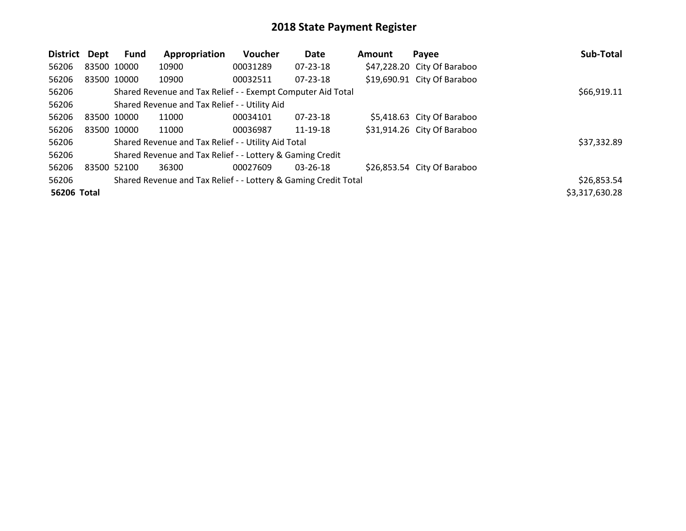| District    | Dept        | <b>Fund</b> | Appropriation                                                   | Voucher  | Date           | <b>Amount</b> | Payee                       | Sub-Total      |
|-------------|-------------|-------------|-----------------------------------------------------------------|----------|----------------|---------------|-----------------------------|----------------|
| 56206       | 83500 10000 |             | 10900                                                           | 00031289 | 07-23-18       |               | \$47,228.20 City Of Baraboo |                |
| 56206       | 83500 10000 |             | 10900                                                           | 00032511 | $07 - 23 - 18$ |               | \$19,690.91 City Of Baraboo |                |
| 56206       |             |             | Shared Revenue and Tax Relief - - Exempt Computer Aid Total     |          |                |               |                             | \$66,919.11    |
| 56206       |             |             | Shared Revenue and Tax Relief - - Utility Aid                   |          |                |               |                             |                |
| 56206       | 83500 10000 |             | 11000                                                           | 00034101 | $07 - 23 - 18$ |               | \$5,418.63 City Of Baraboo  |                |
| 56206       | 83500 10000 |             | 11000                                                           | 00036987 | 11-19-18       |               | \$31,914.26 City Of Baraboo |                |
| 56206       |             |             | Shared Revenue and Tax Relief - - Utility Aid Total             |          |                |               |                             | \$37,332.89    |
| 56206       |             |             | Shared Revenue and Tax Relief - - Lottery & Gaming Credit       |          |                |               |                             |                |
| 56206       | 83500 52100 |             | 36300                                                           | 00027609 | 03-26-18       |               | \$26,853.54 City Of Baraboo |                |
| 56206       |             |             | Shared Revenue and Tax Relief - - Lottery & Gaming Credit Total |          |                |               |                             | \$26,853.54    |
| 56206 Total |             |             |                                                                 |          |                |               |                             | \$3,317,630.28 |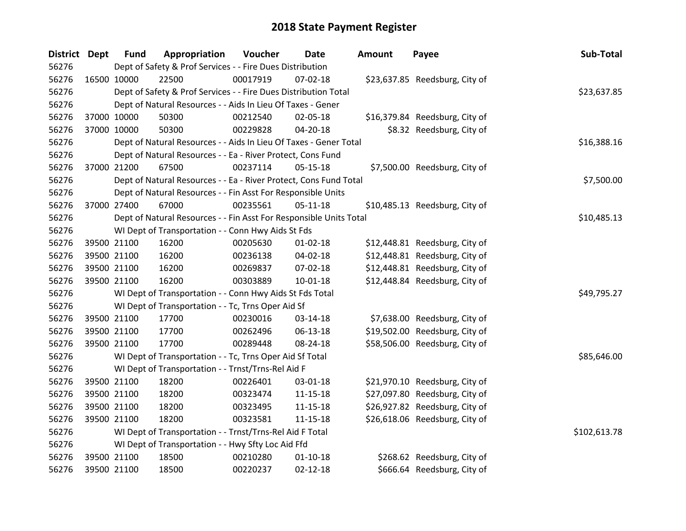| <b>District Dept</b> |             | <b>Fund</b> | Appropriation                                                      | Voucher  | Date           | Amount | Payee                          | Sub-Total    |
|----------------------|-------------|-------------|--------------------------------------------------------------------|----------|----------------|--------|--------------------------------|--------------|
| 56276                |             |             | Dept of Safety & Prof Services - - Fire Dues Distribution          |          |                |        |                                |              |
| 56276                | 16500 10000 |             | 22500                                                              | 00017919 | $07 - 02 - 18$ |        | \$23,637.85 Reedsburg, City of |              |
| 56276                |             |             | Dept of Safety & Prof Services - - Fire Dues Distribution Total    |          |                |        |                                | \$23,637.85  |
| 56276                |             |             | Dept of Natural Resources - - Aids In Lieu Of Taxes - Gener        |          |                |        |                                |              |
| 56276                |             | 37000 10000 | 50300                                                              | 00212540 | 02-05-18       |        | \$16,379.84 Reedsburg, City of |              |
| 56276                |             | 37000 10000 | 50300                                                              | 00229828 | 04-20-18       |        | \$8.32 Reedsburg, City of      |              |
| 56276                |             |             | Dept of Natural Resources - - Aids In Lieu Of Taxes - Gener Total  |          |                |        |                                | \$16,388.16  |
| 56276                |             |             | Dept of Natural Resources - - Ea - River Protect, Cons Fund        |          |                |        |                                |              |
| 56276                |             | 37000 21200 | 67500                                                              | 00237114 | $05-15-18$     |        | \$7,500.00 Reedsburg, City of  |              |
| 56276                |             |             | Dept of Natural Resources - - Ea - River Protect, Cons Fund Total  |          |                |        |                                | \$7,500.00   |
| 56276                |             |             | Dept of Natural Resources - - Fin Asst For Responsible Units       |          |                |        |                                |              |
| 56276                |             | 37000 27400 | 67000                                                              | 00235561 | $05-11-18$     |        | \$10,485.13 Reedsburg, City of |              |
| 56276                |             |             | Dept of Natural Resources - - Fin Asst For Responsible Units Total |          |                |        |                                | \$10,485.13  |
| 56276                |             |             | WI Dept of Transportation - - Conn Hwy Aids St Fds                 |          |                |        |                                |              |
| 56276                |             | 39500 21100 | 16200                                                              | 00205630 | $01 - 02 - 18$ |        | \$12,448.81 Reedsburg, City of |              |
| 56276                |             | 39500 21100 | 16200                                                              | 00236138 | 04-02-18       |        | \$12,448.81 Reedsburg, City of |              |
| 56276                |             | 39500 21100 | 16200                                                              | 00269837 | 07-02-18       |        | \$12,448.81 Reedsburg, City of |              |
| 56276                |             | 39500 21100 | 16200                                                              | 00303889 | $10 - 01 - 18$ |        | \$12,448.84 Reedsburg, City of |              |
| 56276                |             |             | WI Dept of Transportation - - Conn Hwy Aids St Fds Total           |          |                |        |                                | \$49,795.27  |
| 56276                |             |             | WI Dept of Transportation - - Tc, Trns Oper Aid Sf                 |          |                |        |                                |              |
| 56276                |             | 39500 21100 | 17700                                                              | 00230016 | 03-14-18       |        | \$7,638.00 Reedsburg, City of  |              |
| 56276                |             | 39500 21100 | 17700                                                              | 00262496 | 06-13-18       |        | \$19,502.00 Reedsburg, City of |              |
| 56276                |             | 39500 21100 | 17700                                                              | 00289448 | 08-24-18       |        | \$58,506.00 Reedsburg, City of |              |
| 56276                |             |             | WI Dept of Transportation - - Tc, Trns Oper Aid Sf Total           |          |                |        |                                | \$85,646.00  |
| 56276                |             |             | WI Dept of Transportation - - Trnst/Trns-Rel Aid F                 |          |                |        |                                |              |
| 56276                |             | 39500 21100 | 18200                                                              | 00226401 | 03-01-18       |        | \$21,970.10 Reedsburg, City of |              |
| 56276                |             | 39500 21100 | 18200                                                              | 00323474 | $11 - 15 - 18$ |        | \$27,097.80 Reedsburg, City of |              |
| 56276                |             | 39500 21100 | 18200                                                              | 00323495 | $11 - 15 - 18$ |        | \$26,927.82 Reedsburg, City of |              |
| 56276                |             | 39500 21100 | 18200                                                              | 00323581 | $11 - 15 - 18$ |        | \$26,618.06 Reedsburg, City of |              |
| 56276                |             |             | WI Dept of Transportation - - Trnst/Trns-Rel Aid F Total           |          |                |        |                                | \$102,613.78 |
| 56276                |             |             | WI Dept of Transportation - - Hwy Sfty Loc Aid Ffd                 |          |                |        |                                |              |
| 56276                |             | 39500 21100 | 18500                                                              | 00210280 | $01 - 10 - 18$ |        | \$268.62 Reedsburg, City of    |              |
| 56276                |             | 39500 21100 | 18500                                                              | 00220237 | $02 - 12 - 18$ |        | \$666.64 Reedsburg, City of    |              |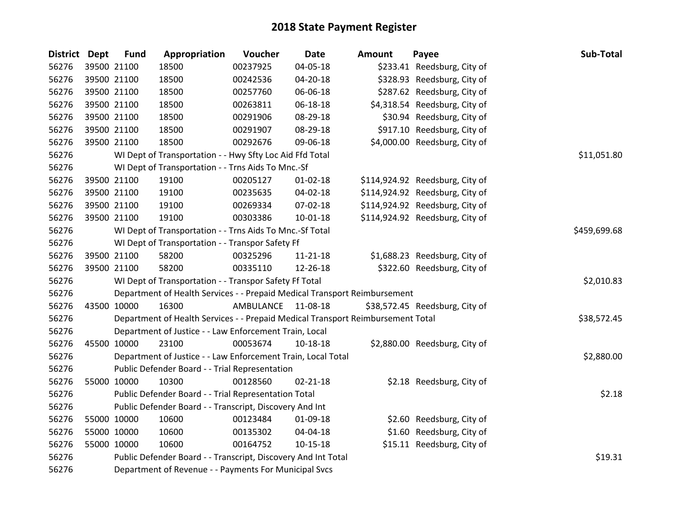| <b>District Dept</b> | <b>Fund</b> | Appropriation                                                                   | Voucher            | <b>Date</b>    | <b>Amount</b> | Payee                           | Sub-Total   |
|----------------------|-------------|---------------------------------------------------------------------------------|--------------------|----------------|---------------|---------------------------------|-------------|
| 56276                | 39500 21100 | 18500                                                                           | 00237925           | 04-05-18       |               | \$233.41 Reedsburg, City of     |             |
| 56276                | 39500 21100 | 18500                                                                           | 00242536           | 04-20-18       |               | \$328.93 Reedsburg, City of     |             |
| 56276                | 39500 21100 | 18500                                                                           | 00257760           | 06-06-18       |               | \$287.62 Reedsburg, City of     |             |
| 56276                | 39500 21100 | 18500                                                                           | 00263811           | 06-18-18       |               | \$4,318.54 Reedsburg, City of   |             |
| 56276                | 39500 21100 | 18500                                                                           | 00291906           | 08-29-18       |               | \$30.94 Reedsburg, City of      |             |
| 56276                | 39500 21100 | 18500                                                                           | 00291907           | 08-29-18       |               | \$917.10 Reedsburg, City of     |             |
| 56276                | 39500 21100 | 18500                                                                           | 00292676           | 09-06-18       |               | \$4,000.00 Reedsburg, City of   |             |
| 56276                |             | WI Dept of Transportation - - Hwy Sfty Loc Aid Ffd Total                        |                    |                |               |                                 | \$11,051.80 |
| 56276                |             | WI Dept of Transportation - - Trns Aids To Mnc.-Sf                              |                    |                |               |                                 |             |
| 56276                | 39500 21100 | 19100                                                                           | 00205127           | $01 - 02 - 18$ |               | \$114,924.92 Reedsburg, City of |             |
| 56276                | 39500 21100 | 19100                                                                           | 00235635           | 04-02-18       |               | \$114,924.92 Reedsburg, City of |             |
| 56276                | 39500 21100 | 19100                                                                           | 00269334           | 07-02-18       |               | \$114,924.92 Reedsburg, City of |             |
| 56276                | 39500 21100 | 19100                                                                           | 00303386           | $10-01-18$     |               | \$114,924.92 Reedsburg, City of |             |
| 56276                |             | WI Dept of Transportation - - Trns Aids To Mnc.-Sf Total                        |                    | \$459,699.68   |               |                                 |             |
| 56276                |             | WI Dept of Transportation - - Transpor Safety Ff                                |                    |                |               |                                 |             |
| 56276                | 39500 21100 | 58200                                                                           | 00325296           | 11-21-18       |               | \$1,688.23 Reedsburg, City of   |             |
| 56276                | 39500 21100 | 58200                                                                           | 00335110           | 12-26-18       |               | \$322.60 Reedsburg, City of     |             |
| 56276                |             | WI Dept of Transportation - - Transpor Safety Ff Total                          |                    |                |               |                                 | \$2,010.83  |
| 56276                |             | Department of Health Services - - Prepaid Medical Transport Reimbursement       |                    |                |               |                                 |             |
| 56276                | 43500 10000 | 16300                                                                           | AMBULANCE 11-08-18 |                |               | \$38,572.45 Reedsburg, City of  |             |
| 56276                |             | Department of Health Services - - Prepaid Medical Transport Reimbursement Total |                    |                |               |                                 | \$38,572.45 |
| 56276                |             | Department of Justice - - Law Enforcement Train, Local                          |                    |                |               |                                 |             |
| 56276                | 45500 10000 | 23100                                                                           | 00053674           | 10-18-18       |               | \$2,880.00 Reedsburg, City of   |             |
| 56276                |             | Department of Justice - - Law Enforcement Train, Local Total                    |                    |                |               |                                 | \$2,880.00  |
| 56276                |             | Public Defender Board - - Trial Representation                                  |                    |                |               |                                 |             |
| 56276                | 55000 10000 | 10300                                                                           | 00128560           | $02 - 21 - 18$ |               | \$2.18 Reedsburg, City of       |             |
| 56276                |             | Public Defender Board - - Trial Representation Total                            |                    |                |               |                                 | \$2.18      |
| 56276                |             | Public Defender Board - - Transcript, Discovery And Int                         |                    |                |               |                                 |             |
| 56276                | 55000 10000 | 10600                                                                           | 00123484           | 01-09-18       |               | \$2.60 Reedsburg, City of       |             |
| 56276                | 55000 10000 | 10600                                                                           | 00135302           | 04-04-18       |               | \$1.60 Reedsburg, City of       |             |
| 56276                | 55000 10000 | 10600                                                                           | 00164752           | $10 - 15 - 18$ |               | \$15.11 Reedsburg, City of      |             |
| 56276                |             | Public Defender Board - - Transcript, Discovery And Int Total                   |                    |                |               |                                 | \$19.31     |
| 56276                |             | Department of Revenue - - Payments For Municipal Svcs                           |                    |                |               |                                 |             |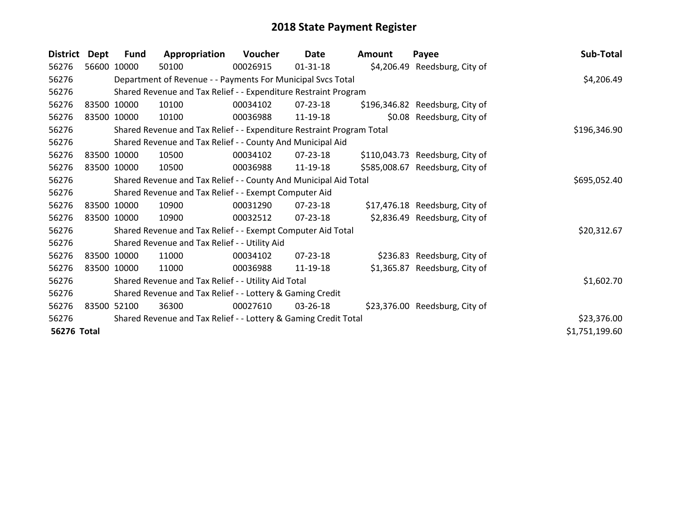| <b>District</b> | <b>Dept</b> | <b>Fund</b> | Appropriation                                                         | Voucher  | Date           | <b>Amount</b> | Payee                           | Sub-Total      |
|-----------------|-------------|-------------|-----------------------------------------------------------------------|----------|----------------|---------------|---------------------------------|----------------|
| 56276           |             | 56600 10000 | 50100                                                                 | 00026915 | $01 - 31 - 18$ |               | \$4,206.49 Reedsburg, City of   |                |
| 56276           |             |             | Department of Revenue - - Payments For Municipal Svcs Total           |          |                |               |                                 | \$4,206.49     |
| 56276           |             |             | Shared Revenue and Tax Relief - - Expenditure Restraint Program       |          |                |               |                                 |                |
| 56276           |             | 83500 10000 | 10100                                                                 | 00034102 | $07 - 23 - 18$ |               | \$196,346.82 Reedsburg, City of |                |
| 56276           |             | 83500 10000 | 10100                                                                 | 00036988 | 11-19-18       |               | \$0.08 Reedsburg, City of       |                |
| 56276           |             |             | Shared Revenue and Tax Relief - - Expenditure Restraint Program Total |          |                |               |                                 | \$196,346.90   |
| 56276           |             |             | Shared Revenue and Tax Relief - - County And Municipal Aid            |          |                |               |                                 |                |
| 56276           |             | 83500 10000 | 10500                                                                 | 00034102 | 07-23-18       |               | \$110,043.73 Reedsburg, City of |                |
| 56276           |             | 83500 10000 | 10500                                                                 | 00036988 | 11-19-18       |               | \$585,008.67 Reedsburg, City of |                |
| 56276           |             |             | Shared Revenue and Tax Relief - - County And Municipal Aid Total      |          | \$695,052.40   |               |                                 |                |
| 56276           |             |             | Shared Revenue and Tax Relief - - Exempt Computer Aid                 |          |                |               |                                 |                |
| 56276           |             | 83500 10000 | 10900                                                                 | 00031290 | 07-23-18       |               | \$17,476.18 Reedsburg, City of  |                |
| 56276           |             | 83500 10000 | 10900                                                                 | 00032512 | 07-23-18       |               | \$2,836.49 Reedsburg, City of   |                |
| 56276           |             |             | Shared Revenue and Tax Relief - - Exempt Computer Aid Total           |          |                |               |                                 | \$20,312.67    |
| 56276           |             |             | Shared Revenue and Tax Relief - - Utility Aid                         |          |                |               |                                 |                |
| 56276           |             | 83500 10000 | 11000                                                                 | 00034102 | $07 - 23 - 18$ |               | \$236.83 Reedsburg, City of     |                |
| 56276           |             | 83500 10000 | 11000                                                                 | 00036988 | 11-19-18       |               | \$1,365.87 Reedsburg, City of   |                |
| 56276           |             |             | Shared Revenue and Tax Relief - - Utility Aid Total                   |          |                |               |                                 | \$1,602.70     |
| 56276           |             |             | Shared Revenue and Tax Relief - - Lottery & Gaming Credit             |          |                |               |                                 |                |
| 56276           |             | 83500 52100 | 36300                                                                 | 00027610 | $03 - 26 - 18$ |               | \$23,376.00 Reedsburg, City of  |                |
| 56276           |             |             | Shared Revenue and Tax Relief - - Lottery & Gaming Credit Total       |          |                |               |                                 | \$23,376.00    |
| 56276 Total     |             |             |                                                                       |          |                |               |                                 | \$1,751,199.60 |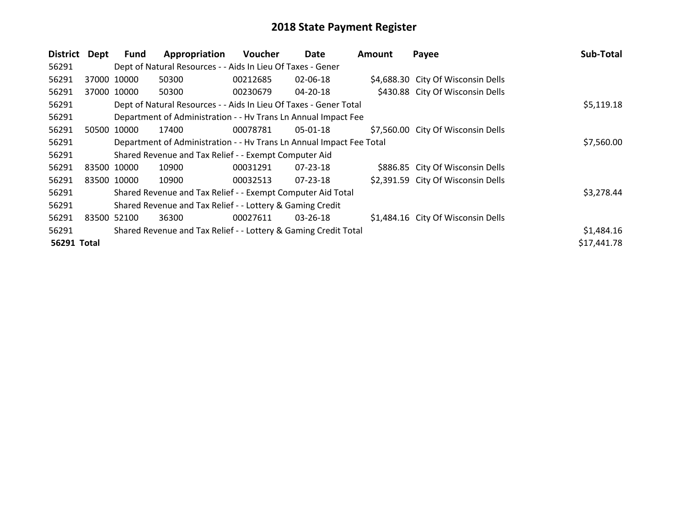| District    | Dept        | Fund        | Appropriation                                                        | <b>Voucher</b> | Date           | Amount | Payee                              | Sub-Total   |
|-------------|-------------|-------------|----------------------------------------------------------------------|----------------|----------------|--------|------------------------------------|-------------|
| 56291       |             |             | Dept of Natural Resources - - Aids In Lieu Of Taxes - Gener          |                |                |        |                                    |             |
| 56291       |             | 37000 10000 | 50300                                                                | 00212685       | 02-06-18       |        | \$4,688.30 City Of Wisconsin Dells |             |
| 56291       |             | 37000 10000 | 50300                                                                | 00230679       | 04-20-18       |        | \$430.88 City Of Wisconsin Dells   |             |
| 56291       |             |             | Dept of Natural Resources - - Aids In Lieu Of Taxes - Gener Total    |                |                |        |                                    | \$5,119.18  |
| 56291       |             |             | Department of Administration - - Hv Trans Ln Annual Impact Fee       |                |                |        |                                    |             |
| 56291       | 50500       | 10000       | 17400                                                                | 00078781       | $05 - 01 - 18$ |        | \$7,560.00 City Of Wisconsin Dells |             |
| 56291       |             |             | Department of Administration - - Hv Trans Ln Annual Impact Fee Total |                | \$7,560.00     |        |                                    |             |
| 56291       |             |             | Shared Revenue and Tax Relief - - Exempt Computer Aid                |                |                |        |                                    |             |
| 56291       |             | 83500 10000 | 10900                                                                | 00031291       | $07 - 23 - 18$ |        | \$886.85 City Of Wisconsin Dells   |             |
| 56291       |             | 83500 10000 | 10900                                                                | 00032513       | 07-23-18       |        | \$2,391.59 City Of Wisconsin Dells |             |
| 56291       |             |             | Shared Revenue and Tax Relief - - Exempt Computer Aid Total          |                |                |        |                                    | \$3,278.44  |
| 56291       |             |             | Shared Revenue and Tax Relief - - Lottery & Gaming Credit            |                |                |        |                                    |             |
| 56291       | 83500 52100 |             | 36300                                                                | 00027611       | $03 - 26 - 18$ |        | \$1,484.16 City Of Wisconsin Dells |             |
| 56291       |             |             | Shared Revenue and Tax Relief - - Lottery & Gaming Credit Total      |                |                |        |                                    | \$1,484.16  |
| 56291 Total |             |             |                                                                      |                |                |        |                                    | \$17,441.78 |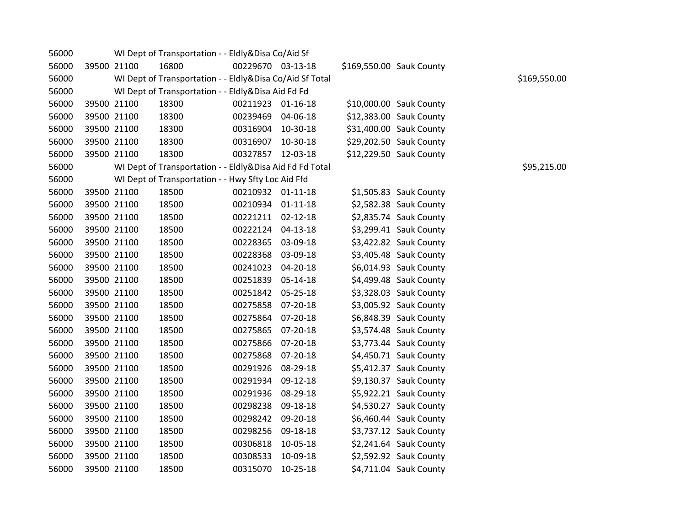| 56000 |             | WI Dept of Transportation - - Eldly&Disa Co/Aid Sf       |                   |          |                          |                         |              |
|-------|-------------|----------------------------------------------------------|-------------------|----------|--------------------------|-------------------------|--------------|
| 56000 | 39500 21100 | 16800                                                    | 00229670 03-13-18 |          | \$169,550.00 Sauk County |                         |              |
| 56000 |             | WI Dept of Transportation - - Eldly&Disa Co/Aid Sf Total |                   |          |                          |                         | \$169,550.00 |
| 56000 |             | WI Dept of Transportation - - Eldly&Disa Aid Fd Fd       |                   |          |                          |                         |              |
| 56000 | 39500 21100 | 18300                                                    | 00211923 01-16-18 |          |                          | \$10,000.00 Sauk County |              |
| 56000 | 39500 21100 | 18300                                                    | 00239469 04-06-18 |          |                          | \$12,383.00 Sauk County |              |
| 56000 | 39500 21100 | 18300                                                    | 00316904 10-30-18 |          |                          | \$31,400.00 Sauk County |              |
| 56000 | 39500 21100 | 18300                                                    | 00316907 10-30-18 |          |                          | \$29,202.50 Sauk County |              |
| 56000 | 39500 21100 | 18300                                                    | 00327857 12-03-18 |          |                          | \$12,229.50 Sauk County |              |
| 56000 |             | WI Dept of Transportation - - Eldly&Disa Aid Fd Fd Total |                   |          |                          |                         | \$95,215.00  |
| 56000 |             | WI Dept of Transportation - - Hwy Sfty Loc Aid Ffd       |                   |          |                          |                         |              |
| 56000 | 39500 21100 | 18500                                                    | 00210932 01-11-18 |          |                          | \$1,505.83 Sauk County  |              |
| 56000 | 39500 21100 | 18500                                                    | 00210934 01-11-18 |          |                          | \$2,582.38 Sauk County  |              |
| 56000 | 39500 21100 | 18500                                                    | 00221211 02-12-18 |          |                          | \$2,835.74 Sauk County  |              |
| 56000 | 39500 21100 | 18500                                                    | 00222124 04-13-18 |          |                          | \$3,299.41 Sauk County  |              |
| 56000 | 39500 21100 | 18500                                                    | 00228365 03-09-18 |          |                          | \$3,422.82 Sauk County  |              |
| 56000 | 39500 21100 | 18500                                                    | 00228368 03-09-18 |          |                          | \$3,405.48 Sauk County  |              |
| 56000 | 39500 21100 | 18500                                                    | 00241023 04-20-18 |          |                          | \$6,014.93 Sauk County  |              |
| 56000 | 39500 21100 | 18500                                                    | 00251839 05-14-18 |          |                          | \$4,499.48 Sauk County  |              |
| 56000 | 39500 21100 | 18500                                                    | 00251842 05-25-18 |          |                          | \$3,328.03 Sauk County  |              |
| 56000 | 39500 21100 | 18500                                                    | 00275858 07-20-18 |          |                          | \$3,005.92 Sauk County  |              |
| 56000 | 39500 21100 | 18500                                                    | 00275864 07-20-18 |          |                          | \$6,848.39 Sauk County  |              |
| 56000 | 39500 21100 | 18500                                                    | 00275865 07-20-18 |          |                          | \$3,574.48 Sauk County  |              |
| 56000 | 39500 21100 | 18500                                                    | 00275866 07-20-18 |          |                          | \$3,773.44 Sauk County  |              |
| 56000 | 39500 21100 | 18500                                                    | 00275868 07-20-18 |          |                          | \$4,450.71 Sauk County  |              |
| 56000 | 39500 21100 | 18500                                                    | 00291926 08-29-18 |          |                          | \$5,412.37 Sauk County  |              |
| 56000 | 39500 21100 | 18500                                                    | 00291934 09-12-18 |          |                          | \$9,130.37 Sauk County  |              |
| 56000 | 39500 21100 | 18500                                                    | 00291936 08-29-18 |          |                          | \$5,922.21 Sauk County  |              |
| 56000 | 39500 21100 | 18500                                                    | 00298238          | 09-18-18 |                          | \$4,530.27 Sauk County  |              |
| 56000 | 39500 21100 | 18500                                                    | 00298242 09-20-18 |          |                          | \$6,460.44 Sauk County  |              |
| 56000 | 39500 21100 | 18500                                                    | 00298256 09-18-18 |          |                          | \$3,737.12 Sauk County  |              |
| 56000 | 39500 21100 | 18500                                                    | 00306818 10-05-18 |          |                          | \$2,241.64 Sauk County  |              |
| 56000 | 39500 21100 | 18500                                                    | 00308533 10-09-18 |          |                          | \$2,592.92 Sauk County  |              |
| 56000 | 39500 21100 | 18500                                                    | 00315070 10-25-18 |          |                          | \$4,711.04 Sauk County  |              |
|       |             |                                                          |                   |          |                          |                         |              |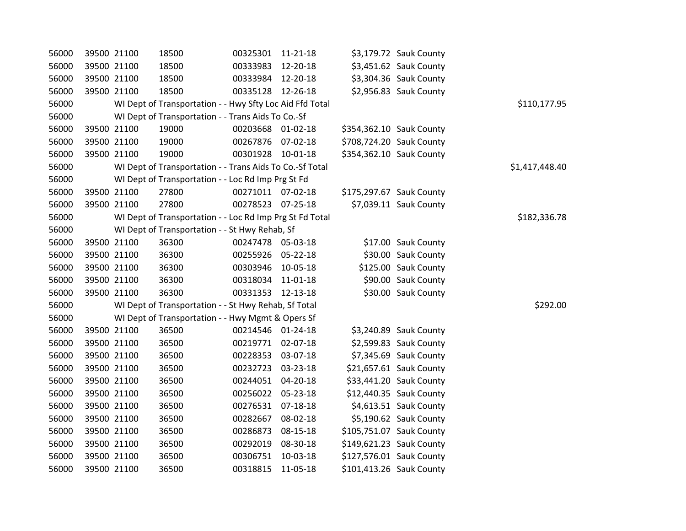| 56000 | 39500 21100 | 18500                                                    | 00325301 11-21-18 |          | \$3,179.72 Sauk County   |                |
|-------|-------------|----------------------------------------------------------|-------------------|----------|--------------------------|----------------|
| 56000 | 39500 21100 | 18500                                                    | 00333983 12-20-18 |          | \$3,451.62 Sauk County   |                |
| 56000 | 39500 21100 | 18500                                                    | 00333984 12-20-18 |          | \$3,304.36 Sauk County   |                |
| 56000 | 39500 21100 | 18500                                                    | 00335128 12-26-18 |          | \$2,956.83 Sauk County   |                |
| 56000 |             | WI Dept of Transportation - - Hwy Sfty Loc Aid Ffd Total |                   |          |                          | \$110,177.95   |
| 56000 |             | WI Dept of Transportation - - Trans Aids To Co.-Sf       |                   |          |                          |                |
| 56000 | 39500 21100 | 19000                                                    | 00203668 01-02-18 |          | \$354,362.10 Sauk County |                |
| 56000 | 39500 21100 | 19000                                                    | 00267876 07-02-18 |          | \$708,724.20 Sauk County |                |
| 56000 | 39500 21100 | 19000                                                    | 00301928 10-01-18 |          | \$354,362.10 Sauk County |                |
| 56000 |             | WI Dept of Transportation - - Trans Aids To Co.-Sf Total |                   |          |                          | \$1,417,448.40 |
| 56000 |             | WI Dept of Transportation - - Loc Rd Imp Prg St Fd       |                   |          |                          |                |
| 56000 | 39500 21100 | 27800                                                    | 00271011 07-02-18 |          | \$175,297.67 Sauk County |                |
| 56000 | 39500 21100 | 27800                                                    | 00278523 07-25-18 |          | \$7,039.11 Sauk County   |                |
| 56000 |             | WI Dept of Transportation - - Loc Rd Imp Prg St Fd Total |                   |          |                          | \$182,336.78   |
| 56000 |             | WI Dept of Transportation - - St Hwy Rehab, Sf           |                   |          |                          |                |
| 56000 | 39500 21100 | 36300                                                    | 00247478 05-03-18 |          | \$17.00 Sauk County      |                |
| 56000 | 39500 21100 | 36300                                                    | 00255926 05-22-18 |          | \$30.00 Sauk County      |                |
| 56000 | 39500 21100 | 36300                                                    | 00303946 10-05-18 |          | \$125.00 Sauk County     |                |
| 56000 | 39500 21100 | 36300                                                    | 00318034 11-01-18 |          | \$90.00 Sauk County      |                |
| 56000 | 39500 21100 | 36300                                                    | 00331353 12-13-18 |          | \$30.00 Sauk County      |                |
| 56000 |             | WI Dept of Transportation - - St Hwy Rehab, Sf Total     |                   |          |                          | \$292.00       |
| 56000 |             | WI Dept of Transportation - - Hwy Mgmt & Opers Sf        |                   |          |                          |                |
| 56000 | 39500 21100 | 36500                                                    | 00214546 01-24-18 |          | \$3,240.89 Sauk County   |                |
| 56000 | 39500 21100 | 36500                                                    | 00219771 02-07-18 |          | \$2,599.83 Sauk County   |                |
| 56000 | 39500 21100 | 36500                                                    | 00228353 03-07-18 |          | \$7,345.69 Sauk County   |                |
| 56000 | 39500 21100 | 36500                                                    | 00232723 03-23-18 |          | \$21,657.61 Sauk County  |                |
| 56000 | 39500 21100 | 36500                                                    | 00244051 04-20-18 |          | \$33,441.20 Sauk County  |                |
| 56000 | 39500 21100 | 36500                                                    | 00256022 05-23-18 |          | \$12,440.35 Sauk County  |                |
| 56000 | 39500 21100 | 36500                                                    | 00276531 07-18-18 |          | \$4,613.51 Sauk County   |                |
| 56000 | 39500 21100 | 36500                                                    | 00282667 08-02-18 |          | \$5,190.62 Sauk County   |                |
| 56000 | 39500 21100 | 36500                                                    | 00286873          | 08-15-18 | \$105,751.07 Sauk County |                |
| 56000 | 39500 21100 | 36500                                                    | 00292019 08-30-18 |          | \$149,621.23 Sauk County |                |
| 56000 | 39500 21100 | 36500                                                    | 00306751          | 10-03-18 | \$127,576.01 Sauk County |                |
| 56000 | 39500 21100 | 36500                                                    | 00318815          | 11-05-18 | \$101,413.26 Sauk County |                |